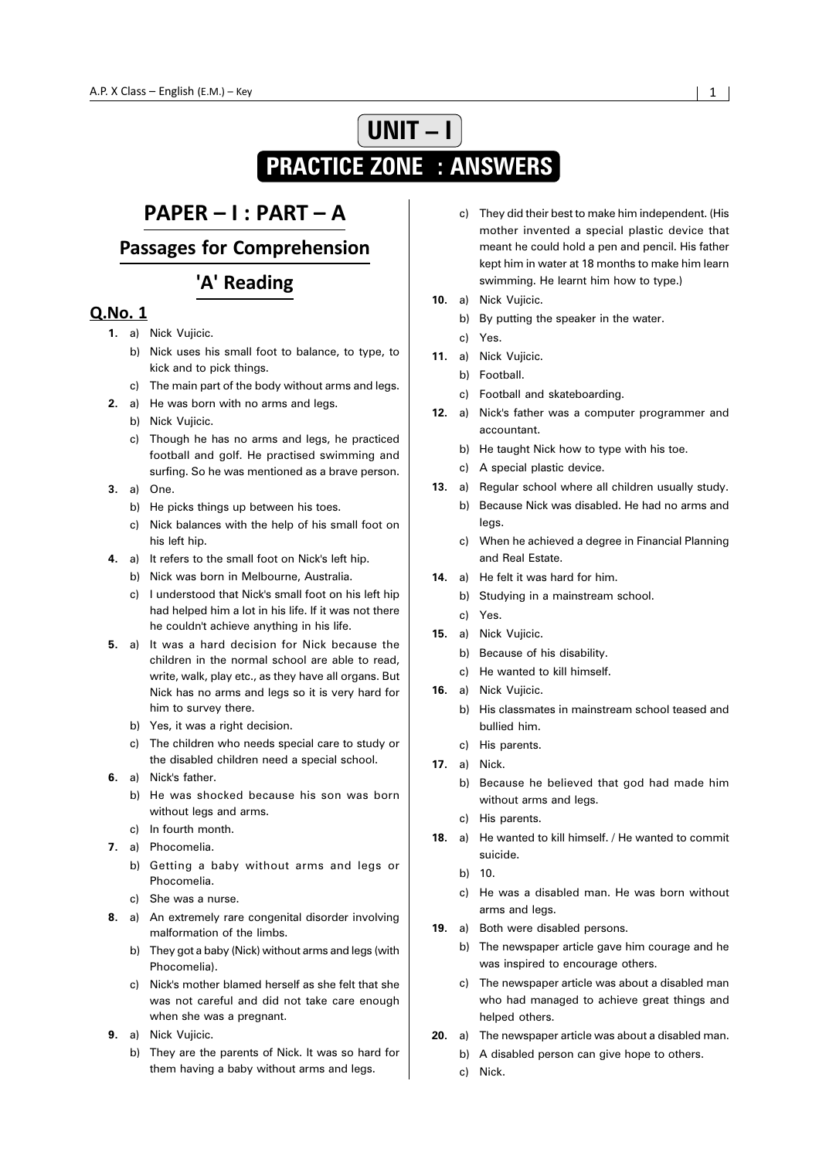# **UNIT – I PRACTICE ZONE : ANSWERS**

## PAPER - I : PART - A

## **Passages for Comprehension**

## 'A' Reading

- **1.** a) Nick Vujicic.
	- b) Nick uses his small foot to balance, to type, to kick and to pick things.
	- c) The main part of the body without arms and legs.
- **2.** a) He was born with no arms and legs.
	- b) Nick Vujicic.
	- c) Though he has no arms and legs, he practiced football and golf. He practised swimming and surfing. So he was mentioned as a brave person.
- **3.** a) One.
	- b) He picks things up between his toes.
	- c) Nick balances with the help of his small foot on his left hip.
- **4.** a) It refers to the small foot on Nick's left hip.
	- b) Nick was born in Melbourne, Australia.
	- c) I understood that Nick's small foot on his left hip had helped him a lot in his life. If it was not there he couldn't achieve anything in his life.
- **5.** a) It was a hard decision for Nick because the children in the normal school are able to read, write, walk, play etc., as they have all organs. But Nick has no arms and legs so it is very hard for him to survey there.
	- b) Yes, it was a right decision.
	- c) The children who needs special care to study or the disabled children need a special school.
- **6.** a) Nick's father.
	- b) He was shocked because his son was born without legs and arms.
	- c) In fourth month.
- **7.** a) Phocomelia.
	- b) Getting a baby without arms and legs or Phocomelia.
	- c) She was a nurse.
- **8.** a) An extremely rare congenital disorder involving malformation of the limbs.
	- b) They got a baby (Nick) without arms and legs (with Phocomelia).
	- c) Nick's mother blamed herself as she felt that she was not careful and did not take care enough when she was a pregnant.
- **9.** a) Nick Vujicic.
	- b) They are the parents of Nick. It was so hard for them having a baby without arms and legs.
- c) They did their best to make him independent. (His mother invented a special plastic device that meant he could hold a pen and pencil. His father kept him in water at 18 months to make him learn swimming. He learnt him how to type.)
- **10.** a) Nick Vujicic.
	- b) By putting the speaker in the water.
	- c) Yes.
- **11.** a) Nick Vujicic.
	- b) Football.
	- c) Football and skateboarding.
- **12.** a) Nick's father was a computer programmer and accountant.
	- b) He taught Nick how to type with his toe.
	- c) A special plastic device.
- **13.** a) Regular school where all children usually study.
	- b) Because Nick was disabled. He had no arms and legs.
	- c) When he achieved a degree in Financial Planning and Real Estate.
- **14.** a) He felt it was hard for him.
	- b) Studying in a mainstream school.
	- c) Yes.
- **15.** a) Nick Vujicic.
	- b) Because of his disability.
	- c) He wanted to kill himself.
- **16.** a) Nick Vujicic.
	- b) His classmates in mainstream school teased and bullied him.
	- c) His parents.
- **17.** a) Nick.
	- b) Because he believed that god had made him without arms and legs.
	- c) His parents.
- **18.** a) He wanted to kill himself. / He wanted to commit suicide.
	- $h$  10.
	- c) He was a disabled man. He was born without arms and legs.
- **19.** a) Both were disabled persons.
	- b) The newspaper article gave him courage and he was inspired to encourage others.
	- c) The newspaper article was about a disabled man who had managed to achieve great things and helped others.
- **20.** a) The newspaper article was about a disabled man.
	- b) A disabled person can give hope to others.
	- c) Nick.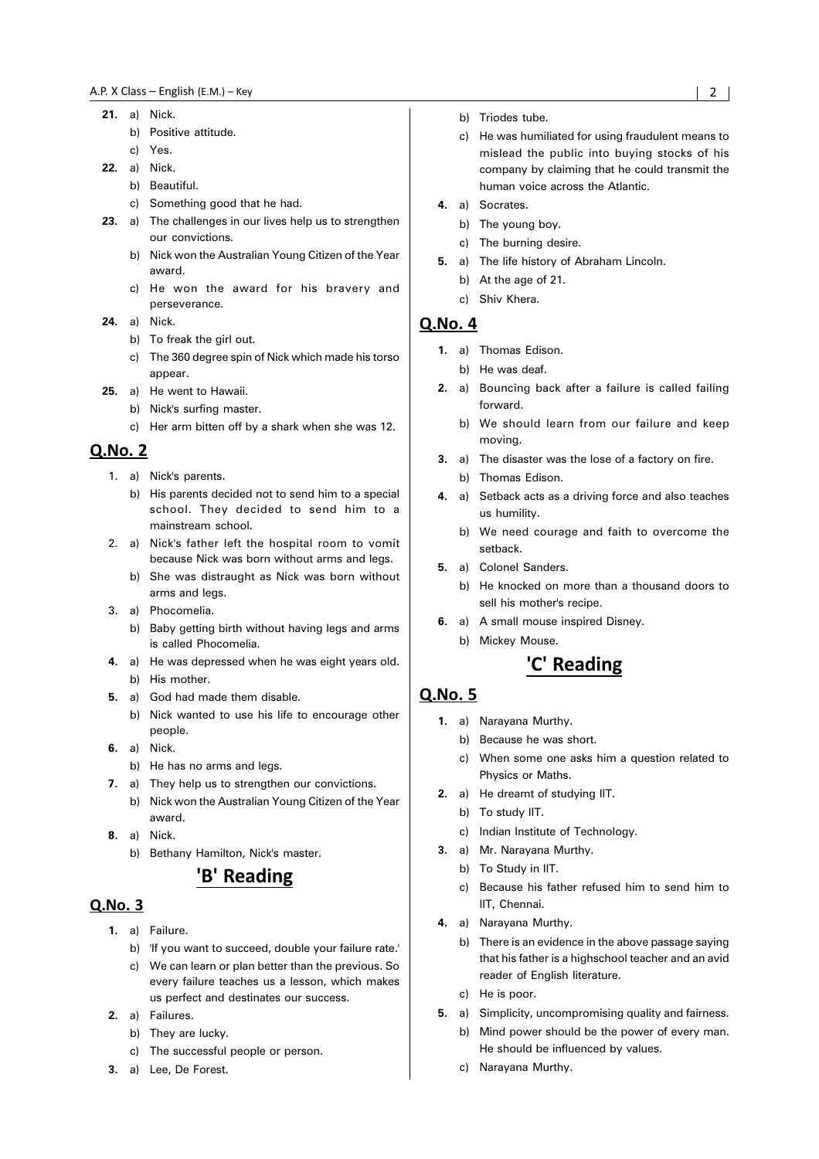- **21.** a) Nick.
	- b) Positive attitude.
	- c) Yes.
- **22.** a) Nick.
	- b) Beautiful.
	- c) Something good that he had.
- **23.** a) The challenges in our lives help us to strengthen our convictions.
	- b) Nick won the Australian Young Citizen of the Year award.
	- c) He won the award for his bravery and perseverance.
- **24.** a) Nick.
	- b) To freak the girl out.
	- c) The 360 degree spin of Nick which made his torso appear.
- **25.** a) He went to Hawaii.
	- b) Nick's surfing master.
	- c) Her arm bitten off by a shark when she was 12.

- 1. a) Nick's parents.
	- b) His parents decided not to send him to a special school. They decided to send him to a mainstream school.
- 2. a) Nick's father left the hospital room to vomit because Nick was born without arms and legs.
	- b) She was distraught as Nick was born without arms and legs.
- 3. a) Phocomelia.
	- b) Baby getting birth without having legs and arms is called Phocomelia.
- **4.** a) He was depressed when he was eight years old. b) His mother.
- **5.** a) God had made them disable.
- b) Nick wanted to use his life to encourage other people.
- **6.** a) Nick.
- b) He has no arms and legs.
- **7.** a) They help us to strengthen our convictions.
	- b) Nick won the Australian Young Citizen of the Year award.
- **8.** a) Nick.
	- b) Bethany Hamilton, Nick's master.

## 'B' Reading

#### Q.No. 3

- **1.** a) Failure.
	- b) 'If you want to succeed, double your failure rate.'
	- c) We can learn or plan better than the previous. So every failure teaches us a lesson, which makes us perfect and destinates our success.
- **2.** a) Failures.
	- b) They are lucky.
	- c) The successful people or person.
- **3.** a) Lee, De Forest.
- b) Triodes tube.
- c) He was humiliated for using fraudulent means to mislead the public into buying stocks of his company by claiming that he could transmit the human voice across the Atlantic.
- **4.** a) Socrates.
	- b) The young boy.
	- c) The burning desire.
- **5.** a) The life history of Abraham Lincoln.
	- b) At the age of 21.
	- c) Shiv Khera.

#### **Q.No. 4**

- **1.** a) Thomas Edison.
	- b) He was deaf.
- **2.** a) Bouncing back after a failure is called failing forward.
	- b) We should learn from our failure and keep moving.
- **3.** a) The disaster was the lose of a factory on fire. b) Thomas Edison.
- **4.** a) Setback acts as a driving force and also teaches us humility.
	- b) We need courage and faith to overcome the setback.
- **5.** a) Colonel Sanders.
	- b) He knocked on more than a thousand doors to sell his mother's recipe.
- **6.** a) A small mouse inspired Disney.
	- b) Mickey Mouse.

## 'C' Reading

- **1.** a) Narayana Murthy.
	- b) Because he was short.
	- c) When some one asks him a question related to Physics or Maths.
- **2.** a) He dreamt of studying IIT.
	- b) To study IIT.
	- c) Indian Institute of Technology.
- **3.** a) Mr. Narayana Murthy.
	- b) To Study in IIT.
	- c) Because his father refused him to send him to IIT, Chennai.
- **4.** a) Narayana Murthy.
	- b) There is an evidence in the above passage saying that his father is a highschool teacher and an avid reader of English literature.
	- c) He is poor.
- **5.** a) Simplicity, uncompromising quality and fairness.
	- b) Mind power should be the power of every man. He should be influenced by values.
	- c) Narayana Murthy.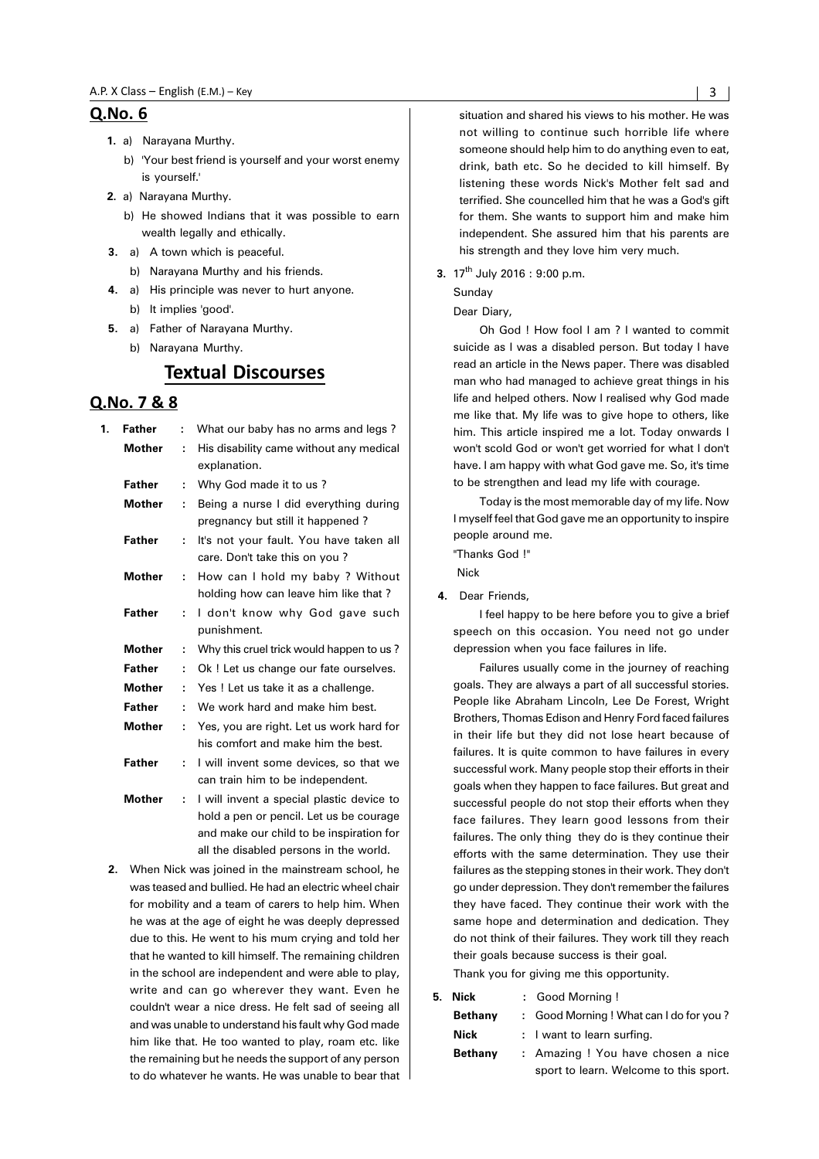- **1.** a) Narayana Murthy.
	- b) 'Your best friend is yourself and your worst enemy is yourself.'
- **2.** a) Narayana Murthy.
	- b) He showed Indians that it was possible to earn wealth legally and ethically.
- **3.** a) A town which is peaceful.
	- b) Narayana Murthy and his friends.
- **4.** a) His principle was never to hurt anyone. b) It implies 'good'.
- **5.** a) Father of Narayana Murthy.
	- b) Narayana Murthy.

## **Textual Discourses**

#### 0.No. 7 & 8

| 1. | <b>Father</b> | ŕ. | What our baby has no arms and legs?                                                                                                                                        |  |
|----|---------------|----|----------------------------------------------------------------------------------------------------------------------------------------------------------------------------|--|
|    | <b>Mother</b> | ÷  | His disability came without any medical<br>explanation.                                                                                                                    |  |
|    | <b>Father</b> | ÷  | Why God made it to us?                                                                                                                                                     |  |
|    | <b>Mother</b> | ÷  | Being a nurse I did everything during<br>pregnancy but still it happened?                                                                                                  |  |
|    | <b>Father</b> | ÷  | It's not your fault. You have taken all<br>care. Don't take this on you?                                                                                                   |  |
|    | <b>Mother</b> | ÷  | How can I hold my baby ? Without<br>holding how can leave him like that?                                                                                                   |  |
|    | <b>Father</b> | ÷  | I don't know why God gave such<br>punishment.                                                                                                                              |  |
|    | <b>Mother</b> | t  | Why this cruel trick would happen to us?                                                                                                                                   |  |
|    | <b>Father</b> | ÷  | Ok! Let us change our fate ourselves.                                                                                                                                      |  |
|    | <b>Mother</b> | t  | Yes! Let us take it as a challenge.                                                                                                                                        |  |
|    | <b>Father</b> | ÷  | We work hard and make him best.                                                                                                                                            |  |
|    | <b>Mother</b> | ÷  | Yes, you are right. Let us work hard for<br>his comfort and make him the best.                                                                                             |  |
|    | <b>Father</b> | ÷  | I will invent some devices, so that we<br>can train him to be independent.                                                                                                 |  |
|    | <b>Mother</b> | ÷  | I will invent a special plastic device to<br>hold a pen or pencil. Let us be courage<br>and make our child to be inspiration for<br>all the disabled persons in the world. |  |

**2.** When Nick was joined in the mainstream school, he was teased and bullied. He had an electric wheel chair for mobility and a team of carers to help him. When he was at the age of eight he was deeply depressed due to this. He went to his mum crying and told her that he wanted to kill himself. The remaining children in the school are independent and were able to play, write and can go wherever they want. Even he couldn't wear a nice dress. He felt sad of seeing all and was unable to understand his fault why God made him like that. He too wanted to play, roam etc. like the remaining but he needs the support of any person to do whatever he wants. He was unable to bear that situation and shared his views to his mother. He was not willing to continue such horrible life where someone should help him to do anything even to eat, drink, bath etc. So he decided to kill himself. By listening these words Nick's Mother felt sad and terrified. She councelled him that he was a God's gift for them. She wants to support him and make him independent. She assured him that his parents are his strength and they love him very much.

**3.** 17<sup>th</sup> July 2016 : 9:00 p.m.

#### Sunday

Dear Diary,

Oh God ! How fool I am ? I wanted to commit suicide as I was a disabled person. But today I have read an article in the News paper. There was disabled man who had managed to achieve great things in his life and helped others. Now I realised why God made me like that. My life was to give hope to others, like him. This article inspired me a lot. Today onwards I won't scold God or won't get worried for what I don't have. I am happy with what God gave me. So, it's time to be strengthen and lead my life with courage.

Today is the most memorable day of my life. Now I myself feel that God gave me an opportunity to inspire people around me.

"Thanks God !"

Nick

**4.** Dear Friends,

I feel happy to be here before you to give a brief speech on this occasion. You need not go under depression when you face failures in life.

Failures usually come in the journey of reaching goals. They are always a part of all successful stories. People like Abraham Lincoln, Lee De Forest, Wright Brothers, Thomas Edison and Henry Ford faced failures in their life but they did not lose heart because of failures. It is quite common to have failures in every successful work. Many people stop their efforts in their goals when they happen to face failures. But great and successful people do not stop their efforts when they face failures. They learn good lessons from their failures. The only thing they do is they continue their efforts with the same determination. They use their failures as the stepping stones in their work. They don't go under depression. They don't remember the failures they have faced. They continue their work with the same hope and determination and dedication. They do not think of their failures. They work till they reach their goals because success is their goal.

Thank you for giving me this opportunity.

| Nick<br>5.     | : Good Morning!                         |  |
|----------------|-----------------------------------------|--|
| <b>Bethany</b> | : Good Morning ! What can I do for you? |  |
| Nick           | : I want to learn surfing.              |  |
| <b>Bethany</b> | : Amazing ! You have chosen a nice      |  |
|                | sport to learn. Welcome to this sport.  |  |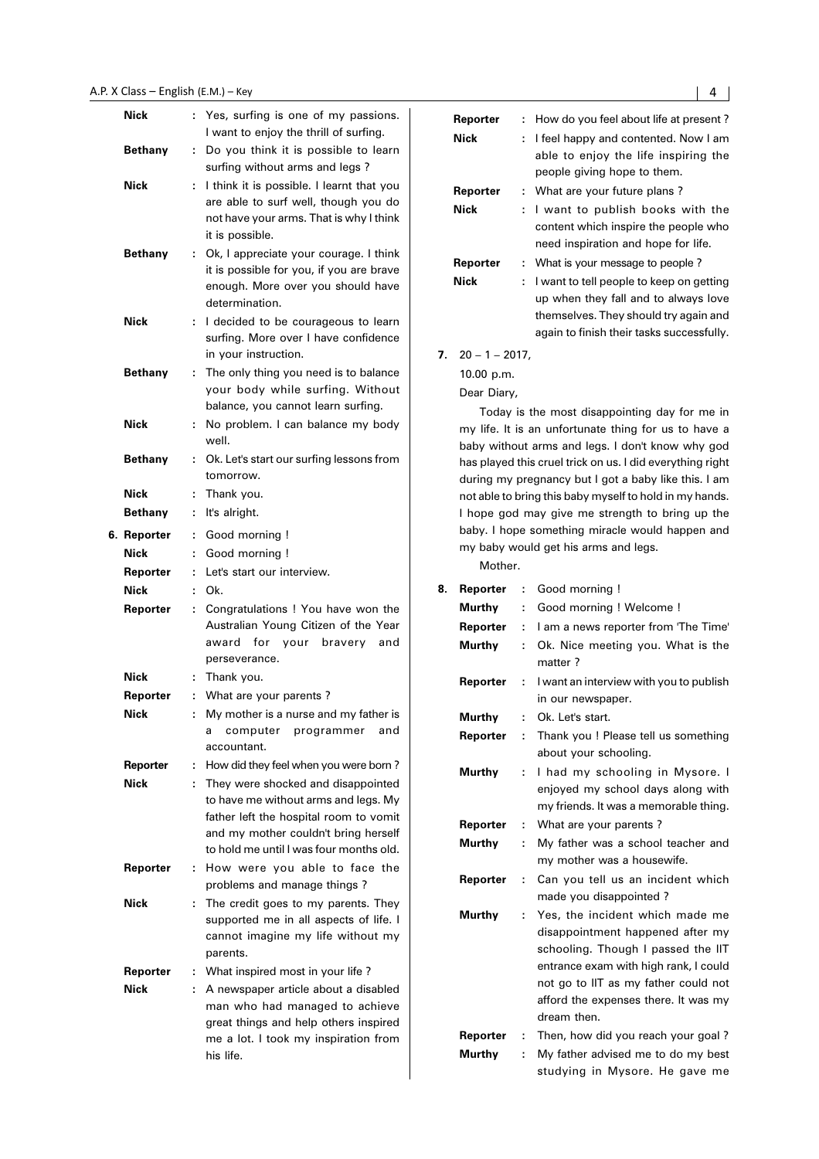#### A.P. X Class — English (E.M.) — Key National Service of Service Services of Alberta Services of Alberta Services of A

| Nick           | t  | Yes, surfing is one of my passions.<br>I want to enjoy the thrill of surfing.   |
|----------------|----|---------------------------------------------------------------------------------|
| <b>Bethany</b> | t. | Do you think it is possible to learn<br>surfing without arms and legs?          |
| Nick           | ÷  | I think it is possible. I learnt that you                                       |
|                |    | are able to surf well, though you do                                            |
|                |    | not have your arms. That is why I think                                         |
|                |    | it is possible.                                                                 |
| Bethany        | t. | Ok, I appreciate your courage. I think                                          |
|                |    | it is possible for you, if you are brave                                        |
|                |    | enough. More over you should have<br>determination.                             |
| Nick           | ÷. | I decided to be courageous to learn                                             |
|                |    | surfing. More over I have confidence                                            |
|                |    | in your instruction.                                                            |
| Bethany        | ٠. | The only thing you need is to balance                                           |
|                |    | your body while surfing. Without                                                |
|                |    | balance, you cannot learn surfing.                                              |
| Nick           | ÷. | No problem. I can balance my body                                               |
|                |    | well.                                                                           |
| Bethany        | ÷  | Ok. Let's start our surfing lessons from                                        |
|                |    | tomorrow.                                                                       |
| Nick           | t, | Thank you.                                                                      |
| Bethany        | t. | It's alright.                                                                   |
| 6. Reporter    | t. | Good morning !                                                                  |
| Nick           | t. | Good morning !                                                                  |
| Reporter       | ÷  | Let's start our interview.                                                      |
|                |    |                                                                                 |
| Nick           | ř. | Ok.                                                                             |
| Reporter       | ÷  | Congratulations ! You have won the                                              |
|                |    | Australian Young Citizen of the Year                                            |
|                |    | for<br>award<br>your bravery<br>and<br>perseverance.                            |
| Nick           | ÷. | Thank you.                                                                      |
| Reporter       | t. | What are your parents?                                                          |
| Nick           | ŕ. | My mother is a nurse and my father is                                           |
|                |    | computer<br>and<br>programmer<br>а                                              |
|                |    | accountant.                                                                     |
| Reporter       | t  | How did they feel when you were born?                                           |
| Nick           | ÷  | They were shocked and disappointed                                              |
|                |    | to have me without arms and legs. My                                            |
|                |    | father left the hospital room to vomit                                          |
|                |    | and my mother couldn't bring herself<br>to hold me until I was four months old. |
| Reporter       | t. | How were you able to face the                                                   |
|                |    | problems and manage things?                                                     |
| Nick           | ÷  | The credit goes to my parents. They                                             |
|                |    | supported me in all aspects of life. I                                          |
|                |    | cannot imagine my life without my                                               |
|                |    | parents.                                                                        |
| Reporter       | t, | What inspired most in your life?                                                |
| Nick           | ÷  | A newspaper article about a disabled                                            |
|                |    | man who had managed to achieve<br>great things and help others inspired         |
|                |    | me a lot. I took my inspiration from                                            |

|    | Reporter          | t.       | How do you feel about life at present?                                                                          |
|----|-------------------|----------|-----------------------------------------------------------------------------------------------------------------|
|    | Nick              | t.       | I feel happy and contented. Now I am                                                                            |
|    |                   |          | able to enjoy the life inspiring the                                                                            |
|    |                   |          | people giving hope to them.                                                                                     |
|    | Reporter          | t,       | What are your future plans?                                                                                     |
|    | Nick              | t.       | I want to publish books with the                                                                                |
|    |                   |          | content which inspire the people who<br>need inspiration and hope for life.                                     |
|    | Reporter          |          |                                                                                                                 |
|    | Nick              | t,<br>t. | What is your message to people?<br>I want to tell people to keep on getting                                     |
|    |                   |          | up when they fall and to always love                                                                            |
|    |                   |          | themselves. They should try again and                                                                           |
|    |                   |          | again to finish their tasks successfully.                                                                       |
| 7. | $20 - 1 - 2017$ , |          |                                                                                                                 |
|    | 10.00 p.m.        |          |                                                                                                                 |
|    | Dear Diary,       |          |                                                                                                                 |
|    |                   |          | Today is the most disappointing day for me in                                                                   |
|    |                   |          | my life. It is an unfortunate thing for us to have a                                                            |
|    |                   |          | baby without arms and legs. I don't know why god                                                                |
|    |                   |          | has played this cruel trick on us. I did everything right                                                       |
|    |                   |          | during my pregnancy but I got a baby like this. I am<br>not able to bring this baby myself to hold in my hands. |
|    |                   |          | I hope god may give me strength to bring up the                                                                 |
|    |                   |          | baby. I hope something miracle would happen and                                                                 |
|    |                   |          | my baby would get his arms and legs.                                                                            |
|    | Mother.           |          |                                                                                                                 |
| 8. | Reporter          | t        | Good morning !                                                                                                  |
|    | Murthy            | ÷.       | Good morning ! Welcome !                                                                                        |
|    | Reporter          | ÷.       | I am a news reporter from 'The Time'                                                                            |
|    | Murthy            | t.       | Ok. Nice meeting you. What is the                                                                               |
|    |                   |          | matter?                                                                                                         |
|    | Reporter          | ÷.       | I want an interview with you to publish                                                                         |
|    |                   |          | in our newspaper.                                                                                               |
|    | Murthv            |          | Ok. Let's start.                                                                                                |
|    | Reporter :        |          | Thank you ! Please tell us something                                                                            |
|    | Murthy            | t.       | about your schooling.<br>I had my schooling in Mysore. I                                                        |
|    |                   |          | enjoyed my school days along with                                                                               |
|    |                   |          | my friends. It was a memorable thing.                                                                           |
|    | Reporter          | ÷.       | What are your parents?                                                                                          |
|    | Murthy            | t.       | My father was a school teacher and                                                                              |
|    |                   |          | my mother was a housewife.                                                                                      |
|    | Reporter          | t        | Can you tell us an incident which                                                                               |
|    |                   |          | made you disappointed?                                                                                          |
|    | Murthy            | t        | Yes, the incident which made me                                                                                 |
|    |                   |          | disappointment happened after my                                                                                |
|    |                   |          | schooling. Though I passed the IIT                                                                              |
|    |                   |          | entrance exam with high rank, I could<br>not go to IIT as my father could not                                   |
|    |                   |          | afford the expenses there. It was my                                                                            |
|    |                   |          | dream then.                                                                                                     |
|    |                   |          |                                                                                                                 |

- **Reporter :** Then, how did you reach your goal ?
- **Murthy :** My father advised me to do my best studying in Mysore. He gave me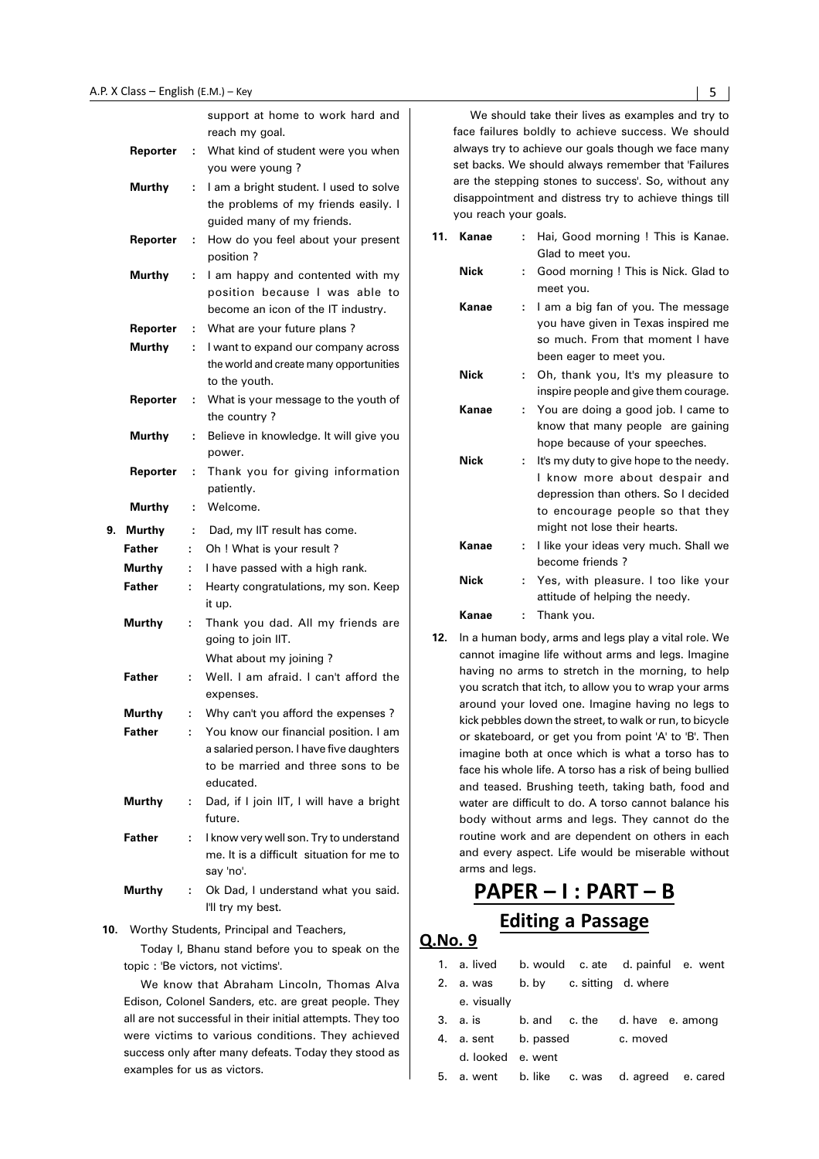|               |    | support at home to work hard and<br>reach my goal.                                                                                   |
|---------------|----|--------------------------------------------------------------------------------------------------------------------------------------|
| Reporter      | ÷  | What kind of student were you when                                                                                                   |
|               |    | you were young?                                                                                                                      |
| <b>Murthy</b> | ÷  | I am a bright student. I used to solve<br>the problems of my friends easily. I<br>guided many of my friends.                         |
| Reporter      | ÷  | How do you feel about your present<br>position?                                                                                      |
| <b>Murthy</b> | ÷  | I am happy and contented with my<br>position because I was able to<br>become an icon of the IT industry.                             |
| Reporter      | ÷. | What are your future plans?                                                                                                          |
| <b>Murthy</b> | ÷. | I want to expand our company across<br>the world and create many opportunities<br>to the youth.                                      |
| Reporter      | t  | What is your message to the youth of<br>the country?                                                                                 |
| <b>Murthy</b> | ÷  | Believe in knowledge. It will give you<br>power.                                                                                     |
| Reporter      | ÷  | Thank you for giving information<br>patiently.                                                                                       |
| Murthy        | ÷  | Welcome.                                                                                                                             |
|               |    |                                                                                                                                      |
| 9. Murthy     | ÷. | Dad, my IIT result has come.                                                                                                         |
| <b>Father</b> | t  | Oh ! What is your result?                                                                                                            |
| Murthy        | ÷. | I have passed with a high rank.                                                                                                      |
| <b>Father</b> | ÷  | Hearty congratulations, my son. Keep<br>it up.                                                                                       |
| <b>Murthy</b> | t  | Thank you dad. All my friends are<br>going to join IIT.                                                                              |
|               |    | What about my joining?                                                                                                               |
| <b>Father</b> | ÷  | Well. I am afraid. I can't afford the<br>expenses.                                                                                   |
| Murthy        | t  | Why can't you afford the expenses?                                                                                                   |
| Father        | ÷  | You know our financial position. I am<br>a salaried person. I have five daughters<br>to be married and three sons to be<br>educated. |
| <b>Murthy</b> | t  | Dad, if I join IIT, I will have a bright<br>future.                                                                                  |
| <b>Father</b> | t  | I know very well son. Try to understand<br>me. It is a difficult situation for me to<br>say 'no'.                                    |

**10.** Worthy Students, Principal and Teachers,

Today I, Bhanu stand before you to speak on the topic : 'Be victors, not victims'.

We know that Abraham Lincoln, Thomas Alva Edison, Colonel Sanders, etc. are great people. They all are not successful in their initial attempts. They too were victims to various conditions. They achieved success only after many defeats. Today they stood as examples for us as victors.

We should take their lives as examples and try to face failures boldly to achieve success. We should always try to achieve our goals though we face many set backs. We should always remember that 'Failures are the stepping stones to success'. So, without any disappointment and distress try to achieve things till you reach your goals.

| 11. | Kanae       |    | Hai, Good morning ! This is Kanae.<br>Glad to meet you.                                                                                                                              |
|-----|-------------|----|--------------------------------------------------------------------------------------------------------------------------------------------------------------------------------------|
|     | <b>Nick</b> | t. | Good morning ! This is Nick. Glad to<br>meet you.                                                                                                                                    |
|     | Kanae       | t. | I am a big fan of you. The message<br>you have given in Texas inspired me<br>so much. From that moment I have<br>been eager to meet you.                                             |
|     | <b>Nick</b> |    | Oh, thank you, It's my pleasure to<br>inspire people and give them courage.                                                                                                          |
|     | Kanae       |    | You are doing a good job. I came to<br>know that many people are gaining<br>hope because of your speeches.                                                                           |
|     | <b>Nick</b> |    | It's my duty to give hope to the needy.<br>I know more about despair and<br>depression than others. So I decided<br>to encourage people so that they<br>might not lose their hearts. |
|     | Kanae       | t. | I like your ideas very much. Shall we<br>become friends?                                                                                                                             |
|     | <b>Nick</b> |    | Yes, with pleasure. I too like your<br>attitude of helping the needy.                                                                                                                |
|     | Kanae       |    | Thank you.                                                                                                                                                                           |

**12.** In a human body, arms and legs play a vital role. We cannot imagine life without arms and legs. Imagine having no arms to stretch in the morning, to help you scratch that itch, to allow you to wrap your arms around your loved one. Imagine having no legs to kick pebbles down the street, to walk or run, to bicycle or skateboard, or get you from point 'A' to 'B'. Then imagine both at once which is what a torso has to face his whole life. A torso has a risk of being bullied and teased. Brushing teeth, taking bath, food and water are difficult to do. A torso cannot balance his body without arms and legs. They cannot do the routine work and are dependent on others in each and every aspect. Life would be miserable without arms and legs.

## PAPER - I : PART - B **Editing a Passage**

| 1. a lived b would c ate d painful e went    |  |  |
|----------------------------------------------|--|--|
| 2. a. was b. by c. sitting d. where          |  |  |
| e. visually                                  |  |  |
| 3. a. is b. and c. the d. have e. among      |  |  |
| 4. a. sent b. passed c. moved                |  |  |
| d. looked e. went                            |  |  |
| 5. a. went b. like c. was d. agreed e. cared |  |  |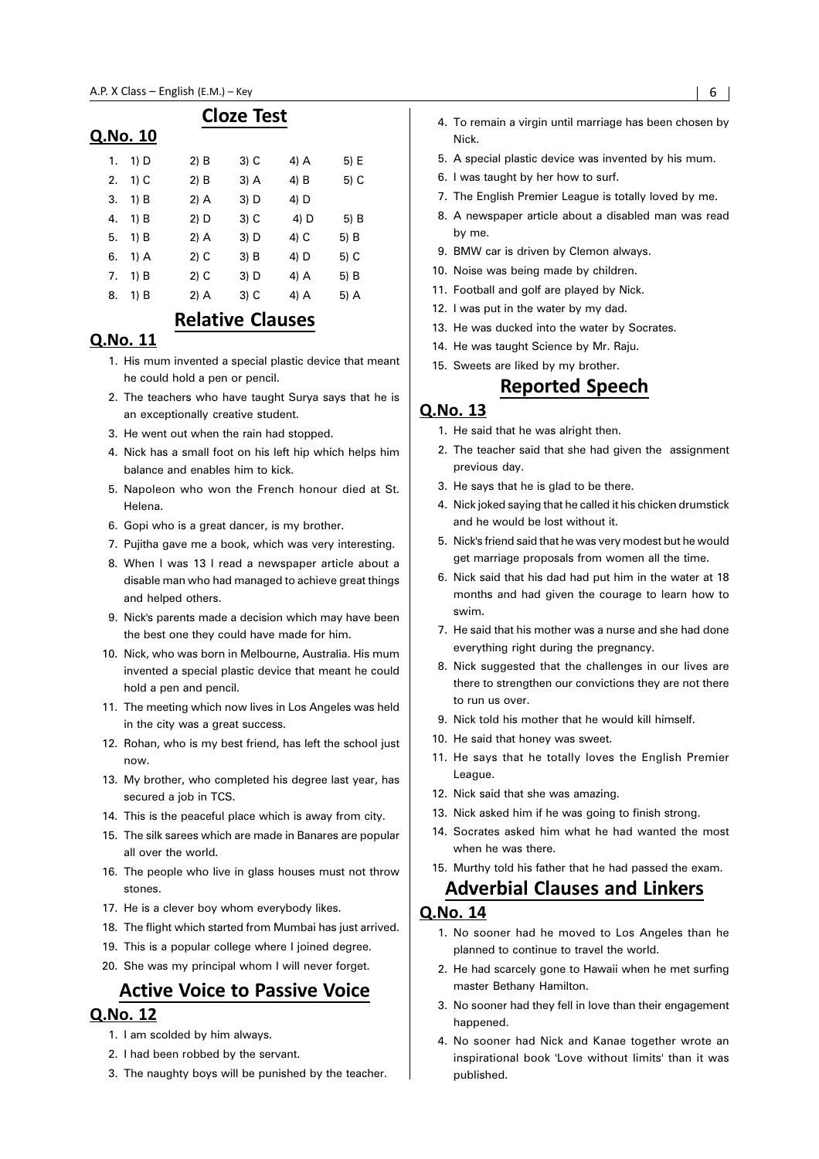#### $\Omega$

|    | No. 10. |        |        |      |      |
|----|---------|--------|--------|------|------|
| 1. | 1) D    | $2)$ B | 3) C   | 4) A | 5) E |
| 2. | $1)$ C  | 2) B   | 3) A   | 4) B | 5) C |
| 3. | 1) B    | 2) A   | 3) D   | 4) D |      |
| 4. | 1) B    | 2) D   | $3)$ C | 4) D | 5) B |
| 5. | 1) B    | 2) A   | 3) D   | 4) C | 5) B |
| 6. | 1) A    | 2) C   | $3)$ B | 4) D | 5) C |
| 7. | 1) B    | 2) C   | 3) D   | 4) A | 5) B |
| 8. | 1) B    | 2) A   | 3) C   | 4) A | 5) A |

**Cloze Test** 

## **Relative Clauses**

#### Q.No. 11

- 1. His mum invented a special plastic device that meant he could hold a pen or pencil.
- 2. The teachers who have taught Surya says that he is an exceptionally creative student.
- 3. He went out when the rain had stopped.
- 4. Nick has a small foot on his left hip which helps him balance and enables him to kick.
- 5. Napoleon who won the French honour died at St. Helena.
- 6. Gopi who is a great dancer, is my brother.
- 7. Pujitha gave me a book, which was very interesting.
- 8. When I was 13 I read a newspaper article about a disable man who had managed to achieve great things and helped others.
- 9. Nick's parents made a decision which may have been the best one they could have made for him.
- 10. Nick, who was born in Melbourne, Australia. His mum invented a special plastic device that meant he could hold a pen and pencil.
- 11. The meeting which now lives in Los Angeles was held in the city was a great success.
- 12. Rohan, who is my best friend, has left the school just now.
- 13. My brother, who completed his degree last year, has secured a job in TCS.
- 14. This is the peaceful place which is away from city.
- 15. The silk sarees which are made in Banares are popular all over the world.
- 16. The people who live in glass houses must not throw stones.
- 17. He is a clever boy whom everybody likes.
- 18. The flight which started from Mumbai has just arrived.
- 19. This is a popular college where I joined degree.
- 20. She was my principal whom I will never forget.

## **Active Voice to Passive Voice**

#### Q.No. 12

- 1. I am scolded by him always.
- 2. I had been robbed by the servant.
- 3. The naughty boys will be punished by the teacher.
- 4. To remain a virgin until marriage has been chosen by Nick.
- 5. A special plastic device was invented by his mum.
- 6. I was taught by her how to surf.
- 7. The English Premier League is totally loved by me.
- 8. A newspaper article about a disabled man was read by me.
- 9. BMW car is driven by Clemon always.
- 10. Noise was being made by children.
- 11. Football and golf are played by Nick.
- 12. I was put in the water by my dad.
- 13. He was ducked into the water by Socrates.
- 14. He was taught Science by Mr. Raju.
- 15. Sweets are liked by my brother.

#### Reported Speech

#### Q.No. 13

- 1. He said that he was alright then.
- 2. The teacher said that she had given the assignment previous day.
- 3. He says that he is glad to be there.
- 4. Nick joked saying that he called it his chicken drumstick and he would be lost without it.
- 5. Nick's friend said that he was very modest but he would get marriage proposals from women all the time.
- 6. Nick said that his dad had put him in the water at 18 months and had given the courage to learn how to swim.
- 7. He said that his mother was a nurse and she had done everything right during the pregnancy.
- 8. Nick suggested that the challenges in our lives are there to strengthen our convictions they are not there to run us over.
- 9. Nick told his mother that he would kill himself.
- 10. He said that honey was sweet.
- 11. He says that he totally loves the English Premier League.
- 12. Nick said that she was amazing.
- 13. Nick asked him if he was going to finish strong.
- 14. Socrates asked him what he had wanted the most when he was there.

### 15. Murthy told his father that he had passed the exam. **Adverbial Clauses and Linkers**

#### O.No. 14

- 1. No sooner had he moved to Los Angeles than he planned to continue to travel the world.
- 2. He had scarcely gone to Hawaii when he met surfing master Bethany Hamilton.
- 3. No sooner had they fell in love than their engagement happened.
- 4. No sooner had Nick and Kanae together wrote an inspirational book 'Love without limits' than it was published.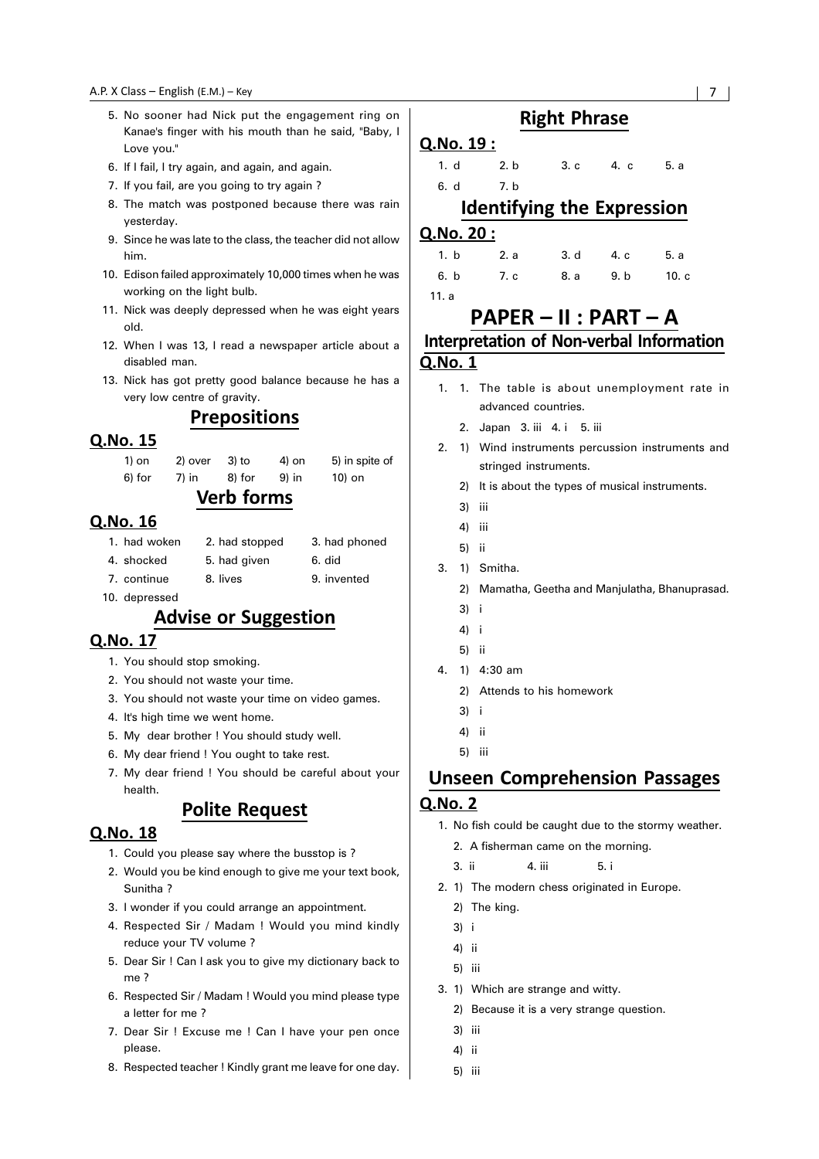- 5. No sooner had Nick put the engagement ring on Kanae's finger with his mouth than he said, "Baby, I Love you."
- 6. If I fail, I try again, and again, and again.
- 7. If you fail, are you going to try again ?
- 8. The match was postponed because there was rain yesterday.
- 9. Since he was late to the class, the teacher did not allow him.
- 10. Edison failed approximately 10,000 times when he was working on the light bulb.
- 11. Nick was deeply depressed when he was eight years old.
- 12. When I was 13, I read a newspaper article about a disabled man.
- 13. Nick has got pretty good balance because he has a very low centre of gravity.

#### **Prepositions**

#### Q.No. 15

| $\mathbf{V}$ and $\mathbf{r}$ and $\mathbf{r}$ |  |  |  |  |  |
|------------------------------------------------|--|--|--|--|--|
| 10) on                                         |  |  |  |  |  |
| 5) in spite of                                 |  |  |  |  |  |
|                                                |  |  |  |  |  |

#### verb forms

#### Q.No. 16

| 1. had woken  | 2. had stopped | 3. had phoned |
|---------------|----------------|---------------|
| 4. shocked    | 5. had given   | 6. did        |
| 7. continue   | 8. lives       | 9. invented   |
| 10. depressed |                |               |

## **Advise or Suggestion**

#### Q.No. 17

- 1. You should stop smoking.
- 2. You should not waste your time.
- 3. You should not waste your time on video games.
- 4. It's high time we went home.
- 5. My dear brother ! You should study well.
- 6. My dear friend ! You ought to take rest.
- 7. My dear friend ! You should be careful about your health.

#### **Polite Request**

#### Q.No. 18

- 1. Could you please say where the busstop is ?
- 2. Would you be kind enough to give me your text book, Sunitha ?
- 3. I wonder if you could arrange an appointment.
- 4. Respected Sir / Madam ! Would you mind kindly reduce your TV volume ?
- 5. Dear Sir ! Can I ask you to give my dictionary back to me ?
- 6. Respected Sir / Madam ! Would you mind please type a letter for me ?
- 7. Dear Sir ! Excuse me ! Can I have your pen once please.
- 8. Respected teacher ! Kindly grant me leave for one day.

## **Right Phrase**

#### Q.No. 19:

1. d 2. b 3. c 4. c 5. a 6. d 7. b

#### Identifying the Expression

#### Q.No. 20:

| 1. b 2. a 3. d 4. c 5. a  |  |  |
|---------------------------|--|--|
| 6. b 7. c 8. a 9. b 10. c |  |  |

11. a

## PAPER - II : PART - A Interpretation of Non-verbal Information Q.No. 1

- 1. 1. The table is about unemployment rate in advanced countries.
	- 2. Japan 3. iii 4. i 5. iii
- 2. 1) Wind instruments percussion instruments and stringed instruments.
	- 2) It is about the types of musical instruments.
	- 3) iii
	- 4) iii
	- 5) ii
- 3. 1) Smitha.
	- 2) Mamatha, Geetha and Manjulatha, Bhanuprasad.
	- 3) i
	- 4) i
	- 5) ii
- 4. 1) 4:30 am
	- 2) Attends to his homework
	- 3) i
	- 4) ii
	- 5) iii

## **Unseen Comprehension Passages**

- 1. No fish could be caught due to the stormy weather.
	- 2. A fisherman came on the morning.
	- 3. ii 4. iii 5. i
- 2. 1) The modern chess originated in Europe.
	- 2) The king.
	- 3) i
	- 4) ii
	- 5) iii
- 3. 1) Which are strange and witty.
- 2) Because it is a very strange question.
	- 3) iii
	- 4) ii
	- 5) iii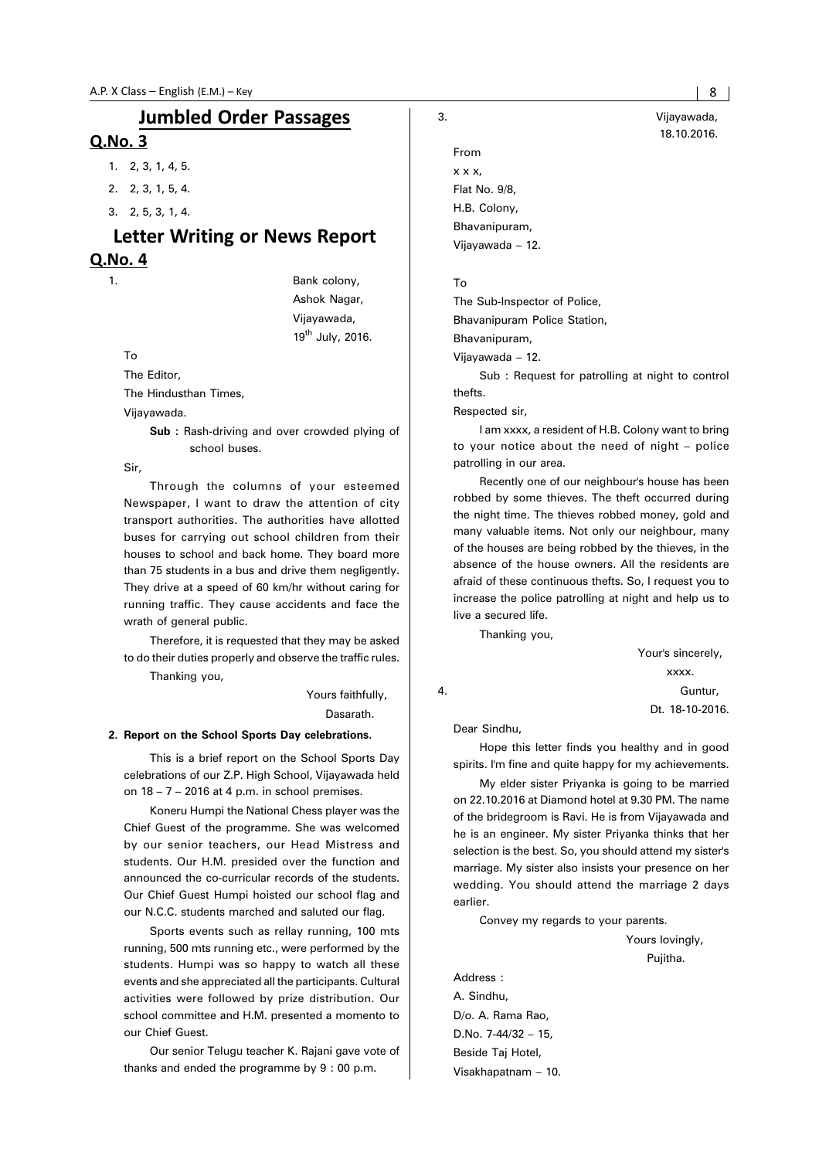## **Jumbled Order Passages**

#### Q.No. 3

- 1. 2, 3, 1, 4, 5.
- 2. 2, 3, 1, 5, 4.
- 3. 2, 5, 3, 1, 4.

### Letter Writing or News Report Q.No. 4

1. Bank colony, Ashok Nagar, Vijayawada, 19<sup>th</sup> July, 2016.

To

The Editor,

The Hindusthan Times,

Vijayawada.

**Sub :** Rash-driving and over crowded plying of school buses.

Sir,

Through the columns of your esteemed Newspaper, I want to draw the attention of city transport authorities. The authorities have allotted buses for carrying out school children from their houses to school and back home. They board more than 75 students in a bus and drive them negligently. They drive at a speed of 60 km/hr without caring for running traffic. They cause accidents and face the wrath of general public.

Therefore, it is requested that they may be asked to do their duties properly and observe the traffic rules.

Thanking you,

 Yours faithfully, Dasarath.

#### **2. Report on the School Sports Day celebrations.**

This is a brief report on the School Sports Day celebrations of our Z.P. High School, Vijayawada held on  $18 - 7 - 2016$  at 4 p.m. in school premises.

Koneru Humpi the National Chess player was the Chief Guest of the programme. She was welcomed by our senior teachers, our Head Mistress and students. Our H.M. presided over the function and announced the co-curricular records of the students. Our Chief Guest Humpi hoisted our school flag and our N.C.C. students marched and saluted our flag.

Sports events such as rellay running, 100 mts running, 500 mts running etc., were performed by the students. Humpi was so happy to watch all these events and she appreciated all the participants. Cultural activities were followed by prize distribution. Our school committee and H.M. presented a momento to our Chief Guest.

Our senior Telugu teacher K. Rajani gave vote of thanks and ended the programme by 9 : 00 p.m.

From x x x, Flat No. 9/8, H.B. Colony, Bhavanipuram, Vijayawada – 12.

#### To

The Sub-Inspector of Police,

Bhavanipuram Police Station,

Bhavanipuram,

Vijayawada – 12.

Sub : Request for patrolling at night to control thefts.

Respected sir,

I am xxxx, a resident of H.B. Colony want to bring to your notice about the need of night – police patrolling in our area.

Recently one of our neighbour's house has been robbed by some thieves. The theft occurred during the night time. The thieves robbed money, gold and many valuable items. Not only our neighbour, many of the houses are being robbed by the thieves, in the absence of the house owners. All the residents are afraid of these continuous thefts. So, I request you to increase the police patrolling at night and help us to live a secured life.

Thanking you,

 Your's sincerely, xxxx. 4. Guntur, Dt. 18-10-2016.

Dear Sindhu,

Hope this letter finds you healthy and in good spirits. I'm fine and quite happy for my achievements.

My elder sister Priyanka is going to be married on 22.10.2016 at Diamond hotel at 9.30 PM. The name of the bridegroom is Ravi. He is from Vijayawada and he is an engineer. My sister Priyanka thinks that her selection is the best. So, you should attend my sister's marriage. My sister also insists your presence on her wedding. You should attend the marriage 2 days earlier.

Convey my regards to your parents.

Yours lovingly,

Pujitha.

Address : A. Sindhu, D/o. A. Rama Rao, D.No. 7-44/32 – 15, Beside Taj Hotel, Visakhapatnam – 10.

3. Vijayawada, 18.10.2016.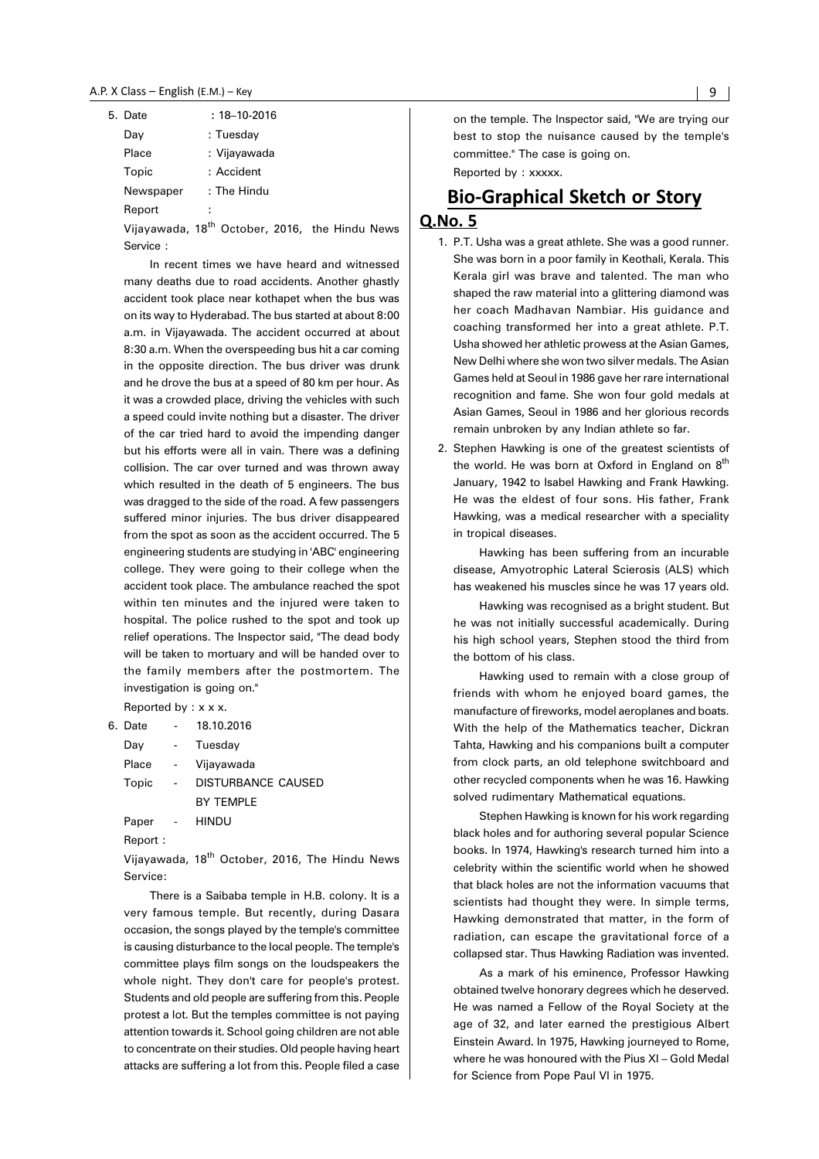| 5. Date   | $: 18 - 10 - 2016$ |
|-----------|--------------------|
| Day       | : Tuesday          |
| Place     | : Vijayawada       |
| Topic     | : Accident         |
| Newspaper | : The Hindu        |
| Report    | ÷                  |

Vijayawada, 18<sup>th</sup> October, 2016, the Hindu News Service :

In recent times we have heard and witnessed many deaths due to road accidents. Another ghastly accident took place near kothapet when the bus was on its way to Hyderabad. The bus started at about 8:00 a.m. in Vijayawada. The accident occurred at about 8:30 a.m. When the overspeeding bus hit a car coming in the opposite direction. The bus driver was drunk and he drove the bus at a speed of 80 km per hour. As it was a crowded place, driving the vehicles with such a speed could invite nothing but a disaster. The driver of the car tried hard to avoid the impending danger but his efforts were all in vain. There was a defining collision. The car over turned and was thrown away which resulted in the death of 5 engineers. The bus was dragged to the side of the road. A few passengers suffered minor injuries. The bus driver disappeared from the spot as soon as the accident occurred. The 5 engineering students are studying in 'ABC' engineering college. They were going to their college when the accident took place. The ambulance reached the spot within ten minutes and the injured were taken to hospital. The police rushed to the spot and took up relief operations. The Inspector said, "The dead body will be taken to mortuary and will be handed over to the family members after the postmortem. The investigation is going on."

Reported by : x x x.

| 6. Date | 18.10.2016         |
|---------|--------------------|
| Day     | Tuesday            |
| Place   | Vijayawada         |
| Topic   | DISTURBANCE CAUSED |
|         | BY TEMPI F         |
| Paper   | HINDU              |
| Report: |                    |

Vijayawada, 18<sup>th</sup> October, 2016, The Hindu News Service:

There is a Saibaba temple in H.B. colony. It is a very famous temple. But recently, during Dasara occasion, the songs played by the temple's committee is causing disturbance to the local people. The temple's committee plays film songs on the loudspeakers the whole night. They don't care for people's protest. Students and old people are suffering from this. People protest a lot. But the temples committee is not paying attention towards it. School going children are not able to concentrate on their studies. Old people having heart attacks are suffering a lot from this. People filed a case on the temple. The Inspector said, "We are trying our best to stop the nuisance caused by the temple's committee.'' The case is going on.

Reported by : xxxxx.

## **Bio-Graphical Sketch or Story**

#### Q.No. 5

- 1. P.T. Usha was a great athlete. She was a good runner. She was born in a poor family in Keothali, Kerala. This Kerala girl was brave and talented. The man who shaped the raw material into a glittering diamond was her coach Madhavan Nambiar. His guidance and coaching transformed her into a great athlete. P.T. Usha showed her athletic prowess at the Asian Games, New Delhi where she won two silver medals. The Asian Games held at Seoul in 1986 gave her rare international recognition and fame. She won four gold medals at Asian Games, Seoul in 1986 and her glorious records remain unbroken by any Indian athlete so far.
- 2. Stephen Hawking is one of the greatest scientists of the world. He was born at Oxford in England on  $8<sup>th</sup>$ January, 1942 to Isabel Hawking and Frank Hawking. He was the eldest of four sons. His father, Frank Hawking, was a medical researcher with a speciality in tropical diseases.

Hawking has been suffering from an incurable disease, Amyotrophic Lateral Scierosis (ALS) which has weakened his muscles since he was 17 years old.

Hawking was recognised as a bright student. But he was not initially successful academically. During his high school years, Stephen stood the third from the bottom of his class.

Hawking used to remain with a close group of friends with whom he enjoyed board games, the manufacture of fireworks, model aeroplanes and boats. With the help of the Mathematics teacher, Dickran Tahta, Hawking and his companions built a computer from clock parts, an old telephone switchboard and other recycled components when he was 16. Hawking solved rudimentary Mathematical equations.

Stephen Hawking is known for his work regarding black holes and for authoring several popular Science books. In 1974, Hawking's research turned him into a celebrity within the scientific world when he showed that black holes are not the information vacuums that scientists had thought they were. In simple terms, Hawking demonstrated that matter, in the form of radiation, can escape the gravitational force of a collapsed star. Thus Hawking Radiation was invented.

As a mark of his eminence, Professor Hawking obtained twelve honorary degrees which he deserved. He was named a Fellow of the Royal Society at the age of 32, and later earned the prestigious Albert Einstein Award. In 1975, Hawking journeyed to Rome, where he was honoured with the Pius XI – Gold Medal for Science from Pope Paul VI in 1975.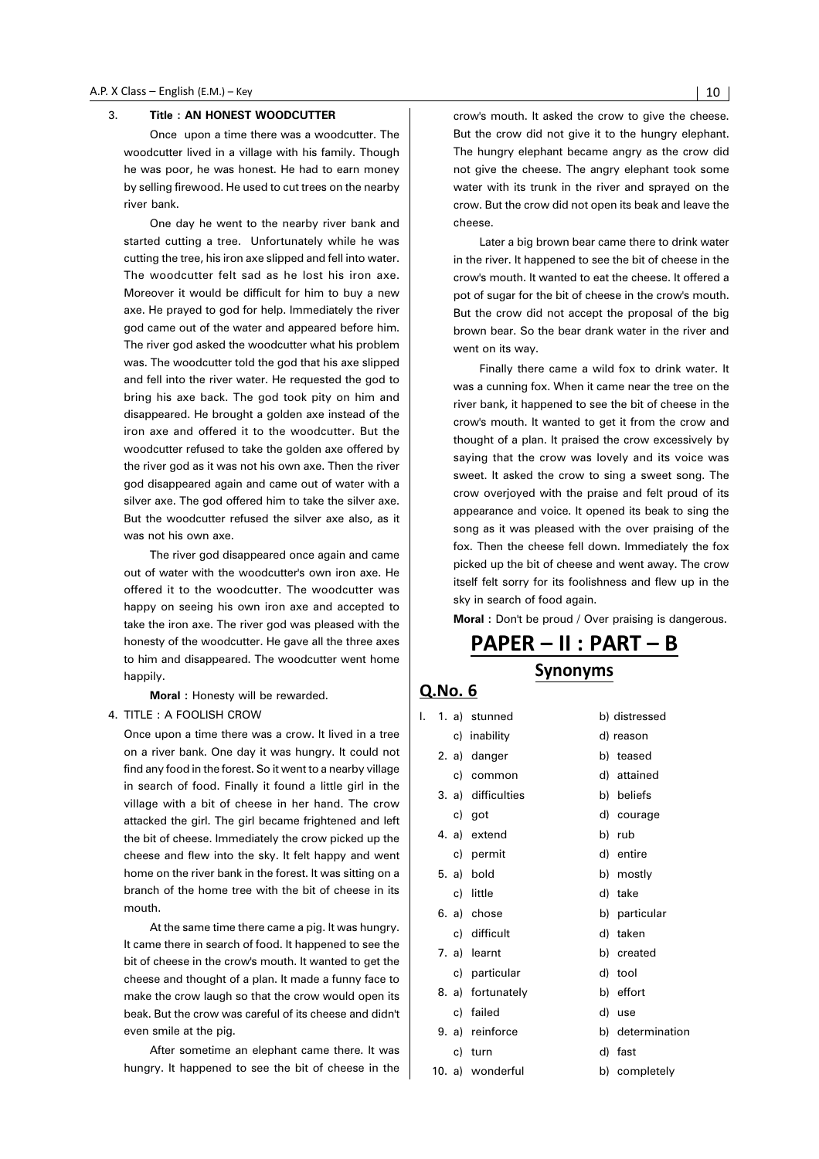#### 3. **Title : AN HONEST WOODCUTTER**

Once upon a time there was a woodcutter. The woodcutter lived in a village with his family. Though he was poor, he was honest. He had to earn money by selling firewood. He used to cut trees on the nearby river bank.

One day he went to the nearby river bank and started cutting a tree. Unfortunately while he was cutting the tree, his iron axe slipped and fell into water. The woodcutter felt sad as he lost his iron axe. Moreover it would be difficult for him to buy a new axe. He prayed to god for help. Immediately the river god came out of the water and appeared before him. The river god asked the woodcutter what his problem was. The woodcutter told the god that his axe slipped and fell into the river water. He requested the god to bring his axe back. The god took pity on him and disappeared. He brought a golden axe instead of the iron axe and offered it to the woodcutter. But the woodcutter refused to take the golden axe offered by the river god as it was not his own axe. Then the river god disappeared again and came out of water with a silver axe. The god offered him to take the silver axe. But the woodcutter refused the silver axe also, as it was not his own axe.

The river god disappeared once again and came out of water with the woodcutter's own iron axe. He offered it to the woodcutter. The woodcutter was happy on seeing his own iron axe and accepted to take the iron axe. The river god was pleased with the honesty of the woodcutter. He gave all the three axes to him and disappeared. The woodcutter went home happily.

**Moral :** Honesty will be rewarded.

#### 4. TITLE : A FOOLISH CROW

Once upon a time there was a crow. It lived in a tree on a river bank. One day it was hungry. It could not find any food in the forest. So it went to a nearby village in search of food. Finally it found a little girl in the village with a bit of cheese in her hand. The crow attacked the girl. The girl became frightened and left the bit of cheese. Immediately the crow picked up the cheese and flew into the sky. It felt happy and went home on the river bank in the forest. It was sitting on a branch of the home tree with the bit of cheese in its mouth.

At the same time there came a pig. It was hungry. It came there in search of food. It happened to see the bit of cheese in the crow's mouth. It wanted to get the cheese and thought of a plan. It made a funny face to make the crow laugh so that the crow would open its beak. But the crow was careful of its cheese and didn't even smile at the pig.

After sometime an elephant came there. It was hungry. It happened to see the bit of cheese in the crow's mouth. It asked the crow to give the cheese. But the crow did not give it to the hungry elephant. The hungry elephant became angry as the crow did not give the cheese. The angry elephant took some water with its trunk in the river and sprayed on the crow. But the crow did not open its beak and leave the cheese.

Later a big brown bear came there to drink water in the river. It happened to see the bit of cheese in the crow's mouth. It wanted to eat the cheese. It offered a pot of sugar for the bit of cheese in the crow's mouth. But the crow did not accept the proposal of the big brown bear. So the bear drank water in the river and went on its way.

Finally there came a wild fox to drink water. It was a cunning fox. When it came near the tree on the river bank, it happened to see the bit of cheese in the crow's mouth. It wanted to get it from the crow and thought of a plan. It praised the crow excessively by saying that the crow was lovely and its voice was sweet. It asked the crow to sing a sweet song. The crow overjoyed with the praise and felt proud of its appearance and voice. It opened its beak to sing the song as it was pleased with the over praising of the fox. Then the cheese fell down. Immediately the fox picked up the bit of cheese and went away. The crow itself felt sorry for its foolishness and flew up in the sky in search of food again.

**Moral :** Don't be proud / Over praising is dangerous.

## PAPER - II : PART - B Synonyms

| I. |    | 1. a) stunned      | b) distressed    |
|----|----|--------------------|------------------|
|    |    | c) inability       | d) reason        |
|    |    | 2. a) danger       | b) teased        |
|    |    | c) common          | d) attained      |
|    |    | 3. a) difficulties | b) beliefs       |
|    |    | c) got             | d) courage       |
|    |    | 4. a) extend       | b) rub           |
|    |    | c) permit          | d) entire        |
|    |    | 5. a) bold         | b) mostly        |
|    |    | c) little          | d) take          |
|    |    | 6. a) chose        | b) particular    |
|    |    | c) difficult       | d) taken         |
|    |    | 7. a) learnt       | b) created       |
|    |    | c) particular      | d) tool          |
|    |    | 8. a) fortunately  | b) effort        |
|    |    | c) failed          | d) use           |
|    |    | 9. a) reinforce    | b) determination |
|    | c) | turn               | d) fast          |
|    |    | 10. a) wonderful   | b) completely    |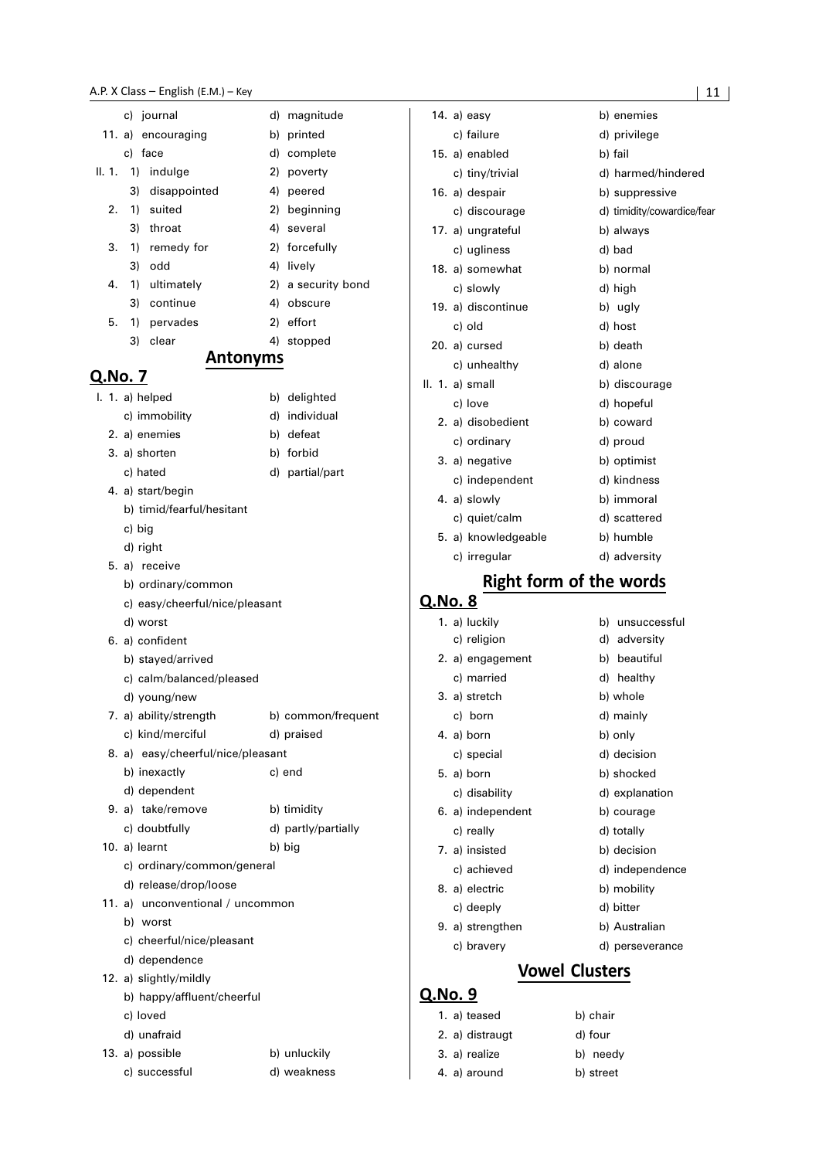|         |        | c) journal                     | d)                                | magnitude                     |
|---------|--------|--------------------------------|-----------------------------------|-------------------------------|
| 11. a)  |        | encouraging                    | b)                                | printed                       |
|         |        | c) face                        |                                   | d) complete                   |
| II. 1.  |        | 1) indulge                     |                                   | 2) poverty                    |
|         | 3)     | disappointed                   |                                   | 4) peered                     |
| 2.      | 1)     | suited                         |                                   | 2) beginning                  |
|         | 3)     | throat                         |                                   | 4) several                    |
| 3.      | 1)     | remedy for                     |                                   | 2) forcefully                 |
|         | 3)     | odd                            |                                   | 4) lively                     |
| 4.      | 1)     | ultimately                     |                                   | 2) a security bond            |
|         | 3)     | continue                       |                                   | 4) obscure                    |
| 5.      | 1)     | pervades                       |                                   | 2) effort                     |
|         | 3)     | clear                          |                                   | 4) stopped                    |
|         |        |                                | <b>Antonyms</b>                   |                               |
| Q.No. 7 |        |                                |                                   |                               |
|         |        | I. 1. a) helped                |                                   | b) delighted                  |
|         |        | c) immobility                  |                                   | d) individual                 |
|         |        | 2. a) enemies                  |                                   | b) defeat                     |
|         |        | 3. a) shorten                  |                                   | b) forbid                     |
|         |        | c) hated                       |                                   | d) partial/part               |
|         |        | 4. a) start/begin              |                                   |                               |
|         |        | b) timid/fearful/hesitant      |                                   |                               |
|         | c) big |                                |                                   |                               |
|         |        | d) right                       |                                   |                               |
|         |        | 5. a) receive                  |                                   |                               |
|         |        | b) ordinary/common             |                                   |                               |
|         |        |                                | c) easy/cheerful/nice/pleasant    |                               |
|         |        | d) worst                       |                                   |                               |
|         |        | 6. a) confident                |                                   |                               |
|         |        | b) stayed/arrived              |                                   |                               |
|         |        | c) calm/balanced/pleased       |                                   |                               |
|         |        | d) young/new                   |                                   |                               |
|         |        | 7. a) ability/strength         |                                   | b) common/frequent            |
|         |        | c) kind/merciful               |                                   | d) praised                    |
|         |        |                                | 8. a) easy/cheerful/nice/pleasant |                               |
|         |        | b) inexactly                   |                                   | c) end                        |
|         |        | d) dependent                   |                                   |                               |
|         |        | 9. a) take/remove              |                                   | b) timidity                   |
|         |        | c) doubtfully<br>10. a) learnt |                                   | d) partly/partially<br>b) big |
|         |        | c) ordinary/common/general     |                                   |                               |
|         |        | d) release/drop/loose          |                                   |                               |
|         |        |                                | 11. a) unconventional / uncommon  |                               |
|         |        | b) worst                       |                                   |                               |
|         |        | c) cheerful/nice/pleasant      |                                   |                               |
|         |        | d) dependence                  |                                   |                               |
|         |        | 12. a) slightly/mildly         |                                   |                               |
|         |        | b) happy/affluent/cheerful     |                                   |                               |
|         |        | c) loved                       |                                   |                               |
|         |        | d) unafraid                    |                                   |                               |
|         |        | 13. a) possible                |                                   | b) unluckily                  |
|         |        | c) successful                  |                                   | d) weakness                   |

| 14. a) easy         | b) enemies                     |  |  |  |
|---------------------|--------------------------------|--|--|--|
| c) failure          | d) privilege                   |  |  |  |
| 15. a) enabled      | b) fail                        |  |  |  |
| c) tiny/trivial     | d) harmed/hindered             |  |  |  |
| 16. a) despair      | b) suppressive                 |  |  |  |
| c) discourage       | d) timidity/cowardice/fear     |  |  |  |
| 17. a) ungrateful   | b) always                      |  |  |  |
| c) ugliness         | d) bad                         |  |  |  |
| 18. a) somewhat     | b) normal                      |  |  |  |
| c) slowly           | d) high                        |  |  |  |
| 19. a) discontinue  | b) ugly                        |  |  |  |
| c) old              | d) host                        |  |  |  |
| 20. a) cursed       | b) death                       |  |  |  |
| c) unhealthy        | d) alone                       |  |  |  |
| II. 1. a) small     | b) discourage                  |  |  |  |
| c) love             | d) hopeful                     |  |  |  |
| 2. a) disobedient   | b) coward                      |  |  |  |
| c) ordinary         | d) proud                       |  |  |  |
| 3. a) negative      | b) optimist                    |  |  |  |
| c) independent      | d) kindness                    |  |  |  |
| 4. a) slowly        | b) immoral                     |  |  |  |
| c) quiet/calm       | d) scattered                   |  |  |  |
| 5. a) knowledgeable | b) humble                      |  |  |  |
| c) irregular        | d) adversity                   |  |  |  |
|                     | <b>Right form of the words</b> |  |  |  |
| 8<br>ი Nი           |                                |  |  |  |

### 1. a) luckily b) unsuccessful c) religion d) adversity 2. a) engagement b) beautiful c) married d) healthy 3. a) stretch b) whole c) born d) mainly 4. a) born b) only c) special d) decision 5. a) born b) shocked c) disability d) explanation 6. a) independent b) courage c) really d) totally 7. a) insisted b) decision c) achieved d) independence 8. a) electric b) mobility c) deeply d) bitter 9. a) strengthen b) Australian c) bravery d) perseverance

### **Vowel Clusters**

#### Q.No. 9

Q.

| 1. a) teased    | b) chair  |
|-----------------|-----------|
| 2. a) distraugt | d) four   |
| 3. a) realize   | b) needy  |
| 4. a) around    | b) street |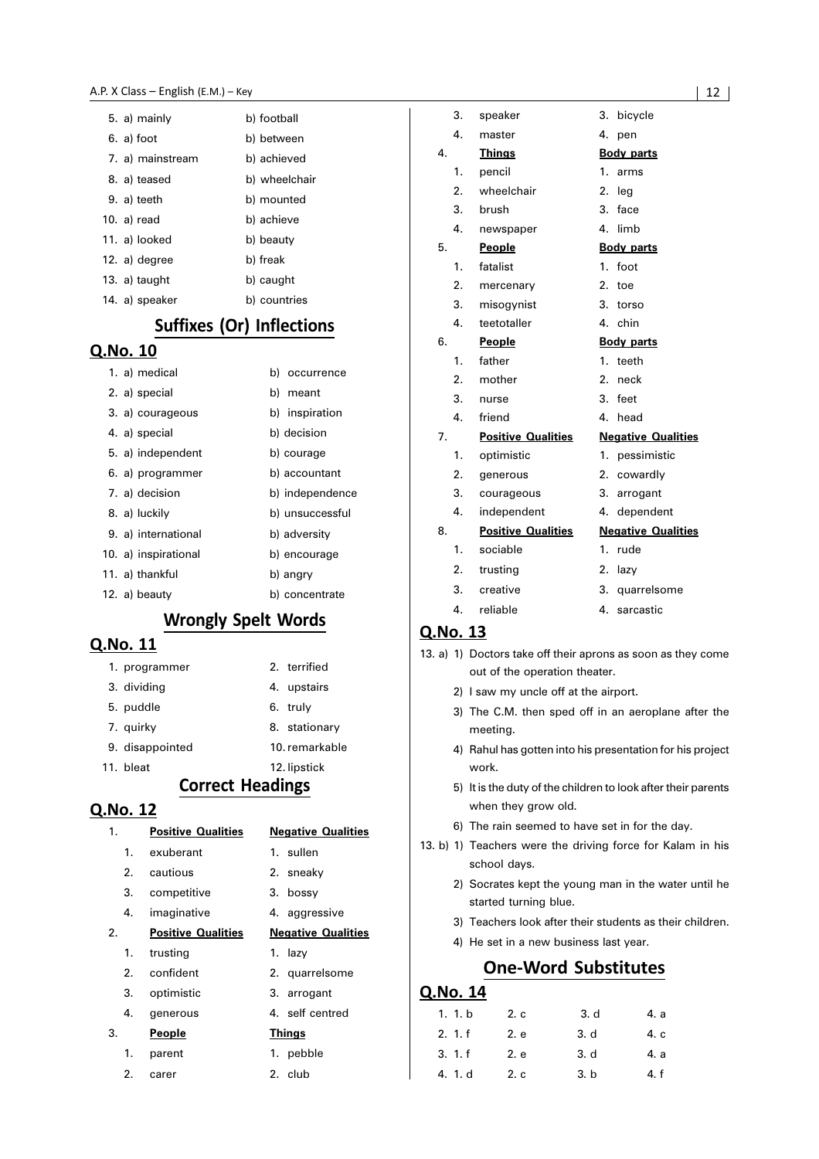| 5. a) mainly     | b) football   |
|------------------|---------------|
| 6. a) foot       | b) between    |
| 7. a) mainstream | b) achieved   |
| 8. a) teased     | b) wheelchair |
| 9. a) teeth      | b) mounted    |
| 10. a) read      | b) achieve    |
| 11. a) looked    | b) beauty     |
| 12. a) degree    | b) freak      |
| 13. $a)$ taught  | b) caught     |
| 14. a) speaker   | b) countries  |

### Suffixes (Or) Inflections

#### Q.No. 10

| 1. a) medical        | b) occurrence   |
|----------------------|-----------------|
| 2. a) special        | b) meant        |
| 3. a) courageous     | b) inspiration  |
| 4. a) special        | b) decision     |
| 5. a) independent    | b) courage      |
| 6. a) programmer     | b) accountant   |
| 7. a) decision       | b) independence |
| 8. a) luckily        | b) unsuccessful |
| 9. a) international  | b) adversity    |
| 10. a) inspirational | b) encourage    |
| 11. a) thankful      | b) angry        |
| 12. a) beauty        | b) concentrate  |

## **Wrongly Spelt Words**

#### Q.No. 11

| 1. programmer   | 2. terrified   |
|-----------------|----------------|
| 3. dividing     | 4. upstairs    |
| 5. puddle       | 6. truly       |
| 7. guirky       | 8. stationary  |
| 9. disappointed | 10. remarkable |
| 11. bleat       | 12. lipstick   |

#### **Correct Headings**

#### Q.No. 12

| 1. | <b>Positive Qualities</b> | <b>Negative Qualities</b> |
|----|---------------------------|---------------------------|
| 1. | exuberant                 | 1. sullen                 |
|    | 2. cautious               | 2. sneaky                 |
| 3. | competitive               | 3. bossy                  |
| 4. | imaginative               | 4. aggressive             |
| 2. | <b>Positive Qualities</b> | <b>Negative Qualities</b> |
| 1. | trusting                  | 1. lazy                   |
|    | 2. confident              | 2. quarrelsome            |
| 3. | optimistic                | 3. arrogant               |
| 4. | generous                  | 4. self centred           |
| 3. | <u>People</u>             | <b>Things</b>             |
| 1. | parent                    | 1. pebble                 |
| 2. | carer                     | 2. club                   |

|    | 3.               | speaker                   | 3.               | bicycle                   |
|----|------------------|---------------------------|------------------|---------------------------|
|    | 4.               | master                    | 4.               | pen                       |
| 4. |                  | <b>Things</b>             |                  | <b>Body parts</b>         |
|    | 1.               | pencil                    | 1.               | arms                      |
|    | 2.               | wheelchair                | 2.               | leg                       |
|    | 3.               | brush                     | 3.               | face                      |
|    | 4.               | newspaper                 | 4.               | limb                      |
| 5. |                  | <b>People</b>             |                  | <b>Body parts</b>         |
|    | 1.               | fatalist                  | $1_{-}$          | foot                      |
|    | 2.               | mercenary                 | $\overline{2}$ . | toe                       |
|    | 3.               | misogynist                | 3.               | torso                     |
|    | 4.               | teetotaller               | 4.               | chin                      |
| 6. |                  | People                    |                  | <b>Body parts</b>         |
|    | 1.               | father                    | $1_{-}$          | teeth                     |
|    | 2.               | mother                    | $\overline{2}$ . | neck                      |
|    | 3.               | nurse                     | 3.               | feet                      |
|    | 4.               | friend                    | 4.               | head                      |
| 7. |                  | <b>Positive Qualities</b> |                  | <b>Negative Qualities</b> |
|    | 1.               | optimistic                | 1.               | pessimistic               |
|    | $\overline{2}$ . | generous                  | 2.               | cowardly                  |
|    | 3.               | courageous                | 3.               | arrogant                  |
|    | 4.               | independent               | 4.               | dependent                 |
| 8. |                  | <b>Positive Qualities</b> |                  | <b>Negative Qualities</b> |
|    | 1.               | sociable                  | 1.               | rude                      |
|    | 2.               | trusting                  |                  | 2. lazy                   |
|    | 3.               | creative                  |                  | 3. quarrelsome            |
|    | 4.               | reliable                  | 4.               | sarcastic                 |

#### Q.No. 13

- 13. a) 1) Doctors take off their aprons as soon as they come out of the operation theater.
	- 2) I saw my uncle off at the airport.
	- 3) The C.M. then sped off in an aeroplane after the meeting.
	- 4) Rahul has gotten into his presentation for his project work.
	- 5) It is the duty of the children to look after their parents when they grow old.
	- 6) The rain seemed to have set in for the day.
- 13. b) 1) Teachers were the driving force for Kalam in his school days.
	- 2) Socrates kept the young man in the water until he started turning blue.
	- 3) Teachers look after their students as their children.
	- 4) He set in a new business last year.

### **One-Word Substitutes**

| 1. 1. b | 2. c | 3. d | 4. a |
|---------|------|------|------|
| 2.1.f   | 2. e | 3. d | 4. c |
| 3.1.f   | 2. e | 3. d | 4. a |
| 4. 1. d | 2. c | 3. b | 4. f |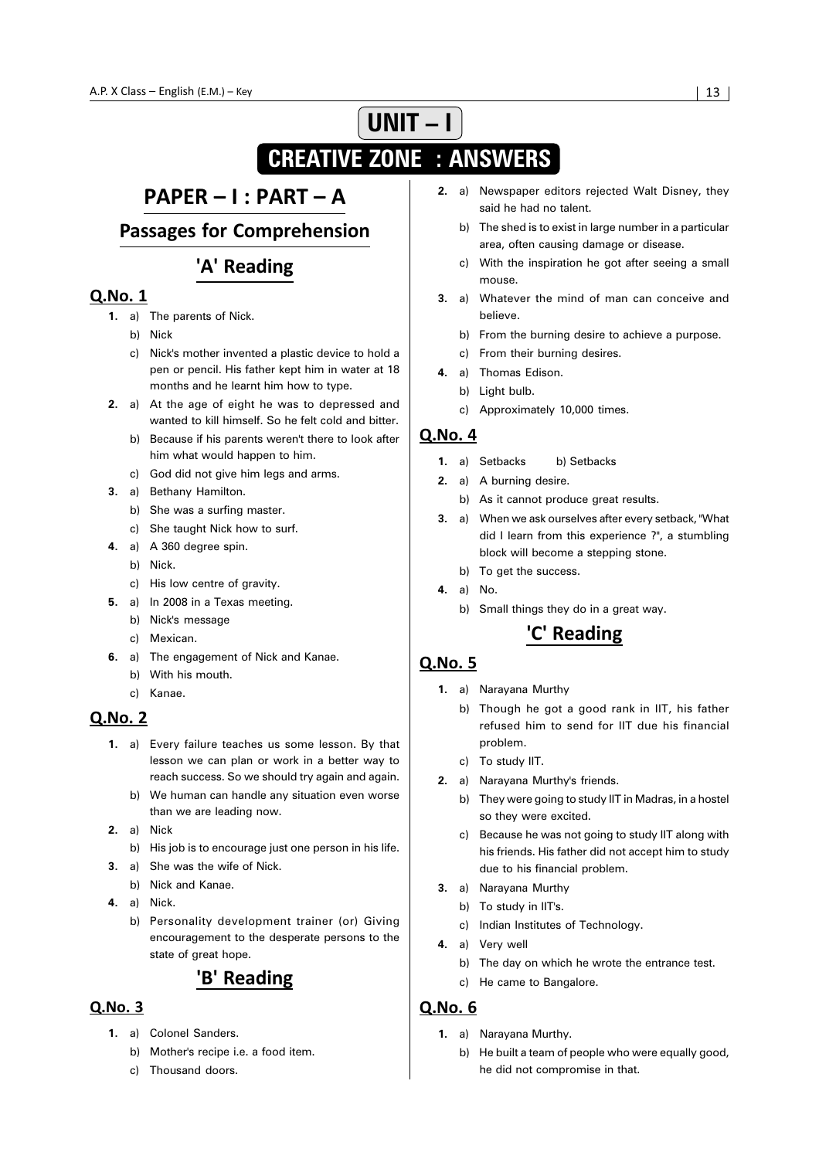# **UNIT – I CREATIVE ZONE : ANSWERS**

## PAPER - I : PART - A

**Passages for Comprehension** 

## 'A' Reading

#### **Q.No. 1**

- **1.** a) The parents of Nick.
	- b) Nick
	- c) Nick's mother invented a plastic device to hold a pen or pencil. His father kept him in water at 18 months and he learnt him how to type.
- **2.** a) At the age of eight he was to depressed and wanted to kill himself. So he felt cold and bitter.
	- b) Because if his parents weren't there to look after him what would happen to him.
	- c) God did not give him legs and arms.
- **3.** a) Bethany Hamilton.
	- b) She was a surfing master.
	- c) She taught Nick how to surf.
- **4.** a) A 360 degree spin.
	- b) Nick.
	- c) His low centre of gravity.
- **5.** a) In 2008 in a Texas meeting.
	- b) Nick's message
	- c) Mexican.
- **6.** a) The engagement of Nick and Kanae.
	- b) With his mouth.
	- c) Kanae.

#### **Q.No. 2**

- **1.** a) Every failure teaches us some lesson. By that lesson we can plan or work in a better way to reach success. So we should try again and again.
	- b) We human can handle any situation even worse than we are leading now.
- **2.** a) Nick
	- b) His job is to encourage just one person in his life.
- **3.** a) She was the wife of Nick.
	- b) Nick and Kanae.
- **4.** a) Nick.
	- b) Personality development trainer (or) Giving encouragement to the desperate persons to the state of great hope.

## 'B' Reading

#### $O.No.3$

- **1.** a) Colonel Sanders.
	- b) Mother's recipe i.e. a food item.
	- c) Thousand doors.
- **2.** a) Newspaper editors rejected Walt Disney, they said he had no talent.
	- b) The shed is to exist in large number in a particular area, often causing damage or disease.
	- c) With the inspiration he got after seeing a small mouse.
- **3.** a) Whatever the mind of man can conceive and believe.
	- b) From the burning desire to achieve a purpose.
	- c) From their burning desires.
- **4.** a) Thomas Edison.
	- b) Light bulb.
	- c) Approximately 10,000 times.

#### Q.No. 4

- **1.** a) Setbacks b) Setbacks
- **2.** a) A burning desire.
	- b) As it cannot produce great results.
- **3.** a) When we ask ourselves after every setback, "What did I learn from this experience ?", a stumbling block will become a stepping stone.
	- b) To get the success.
- **4.** a) No.
	- b) Small things they do in a great way.

## 'C' Reading

#### **Q.No. 5**

- **1.** a) Narayana Murthy
	- b) Though he got a good rank in IIT, his father refused him to send for IIT due his financial problem.
	- c) To study IIT.
- **2.** a) Narayana Murthy's friends.
	- b) They were going to study IIT in Madras, in a hostel so they were excited.
	- c) Because he was not going to study IIT along with his friends. His father did not accept him to study due to his financial problem.
- **3.** a) Narayana Murthy
	- b) To study in IIT's.
	- c) Indian Institutes of Technology.
- **4.** a) Very well
	- b) The day on which he wrote the entrance test.
	- c) He came to Bangalore.

- **1.** a) Narayana Murthy.
	- b) He built a team of people who were equally good, he did not compromise in that.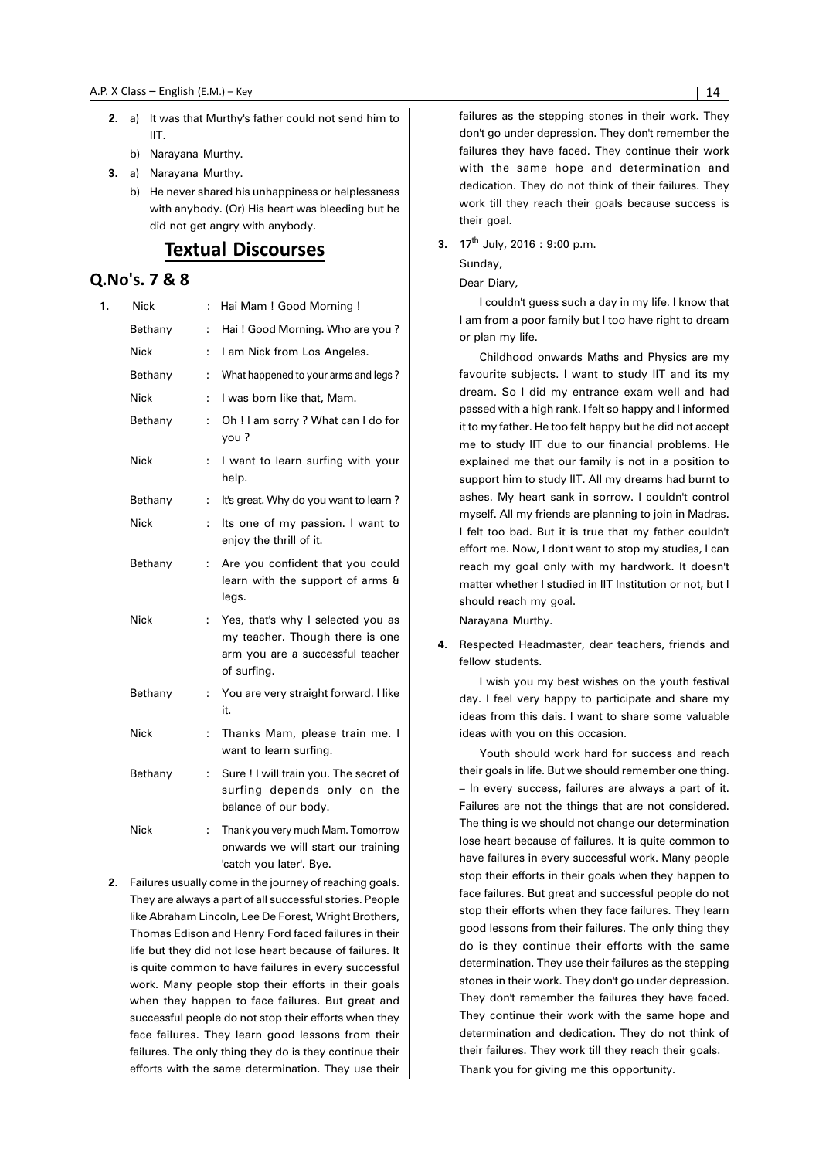- **2.** a) It was that Murthy's father could not send him to IIT.
	- b) Narayana Murthy.
- **3.** a) Narayana Murthy.
	- b) He never shared his unhappiness or helplessness with anybody. (Or) His heart was bleeding but he did not get angry with anybody.

## **Textual Discourses**

#### Q.No's. 7 & 8

| 1. | Nick        | ÷  | Hai Mam ! Good Morning !                                                                                                |
|----|-------------|----|-------------------------------------------------------------------------------------------------------------------------|
|    | Bethany     | ÷  | Hai! Good Morning. Who are you?                                                                                         |
|    | Nick        | ÷  | I am Nick from Los Angeles.                                                                                             |
|    | Bethany     | ÷  | What happened to your arms and legs?                                                                                    |
|    | <b>Nick</b> | ÷  | I was born like that, Mam.                                                                                              |
|    | Bethany     | ÷  | Oh ! I am sorry ? What can I do for<br>you?                                                                             |
|    | Nick        | ÷  | I want to learn surfing with your<br>help.                                                                              |
|    | Bethany     | ÷  | It's great. Why do you want to learn?                                                                                   |
|    | Nick        | ÷  | Its one of my passion. I want to<br>enjoy the thrill of it.                                                             |
|    | Bethany     | ÷  | Are you confident that you could<br>learn with the support of arms &<br>legs.                                           |
|    | <b>Nick</b> | ÷  | Yes, that's why I selected you as<br>my teacher. Though there is one<br>arm you are a successful teacher<br>of surfing. |
|    | Bethany     | t  | You are very straight forward. I like<br>it.                                                                            |
|    | Nick        | ÷  | Thanks Mam, please train me. I<br>want to learn surfing.                                                                |
|    | Bethany     | ÷. | Sure ! I will train you. The secret of<br>surfing depends only on the<br>balance of our body.                           |
|    | <b>Nick</b> | ÷  | Thank you very much Mam. Tomorrow<br>onwards we will start our training<br>'catch you later'. Bye.                      |

**2.** Failures usually come in the journey of reaching goals. They are always a part of all successful stories. People like Abraham Lincoln, Lee De Forest, Wright Brothers, Thomas Edison and Henry Ford faced failures in their life but they did not lose heart because of failures. It is quite common to have failures in every successful work. Many people stop their efforts in their goals when they happen to face failures. But great and successful people do not stop their efforts when they face failures. They learn good lessons from their failures. The only thing they do is they continue their efforts with the same determination. They use their failures as the stepping stones in their work. They don't go under depression. They don't remember the failures they have faced. They continue their work with the same hope and determination and dedication. They do not think of their failures. They work till they reach their goals because success is their goal.

 **3.** 17th July, 2016 : 9:00 p.m.

Sunday,

Dear Diary,

I couldn't guess such a day in my life. I know that I am from a poor family but I too have right to dream or plan my life.

Childhood onwards Maths and Physics are my favourite subjects. I want to study IIT and its my dream. So I did my entrance exam well and had passed with a high rank. I felt so happy and I informed it to my father. He too felt happy but he did not accept me to study IIT due to our financial problems. He explained me that our family is not in a position to support him to study IIT. All my dreams had burnt to ashes. My heart sank in sorrow. I couldn't control myself. All my friends are planning to join in Madras. I felt too bad. But it is true that my father couldn't effort me. Now, I don't want to stop my studies, I can reach my goal only with my hardwork. It doesn't matter whether I studied in IIT Institution or not, but I should reach my goal.

Narayana Murthy.

**4.** Respected Headmaster, dear teachers, friends and fellow students.

I wish you my best wishes on the youth festival day. I feel very happy to participate and share my ideas from this dais. I want to share some valuable ideas with you on this occasion.

Youth should work hard for success and reach their goals in life. But we should remember one thing. – In every success, failures are always a part of it. Failures are not the things that are not considered. The thing is we should not change our determination lose heart because of failures. It is quite common to have failures in every successful work. Many people stop their efforts in their goals when they happen to face failures. But great and successful people do not stop their efforts when they face failures. They learn good lessons from their failures. The only thing they do is they continue their efforts with the same determination. They use their failures as the stepping stones in their work. They don't go under depression. They don't remember the failures they have faced. They continue their work with the same hope and determination and dedication. They do not think of their failures. They work till they reach their goals. Thank you for giving me this opportunity.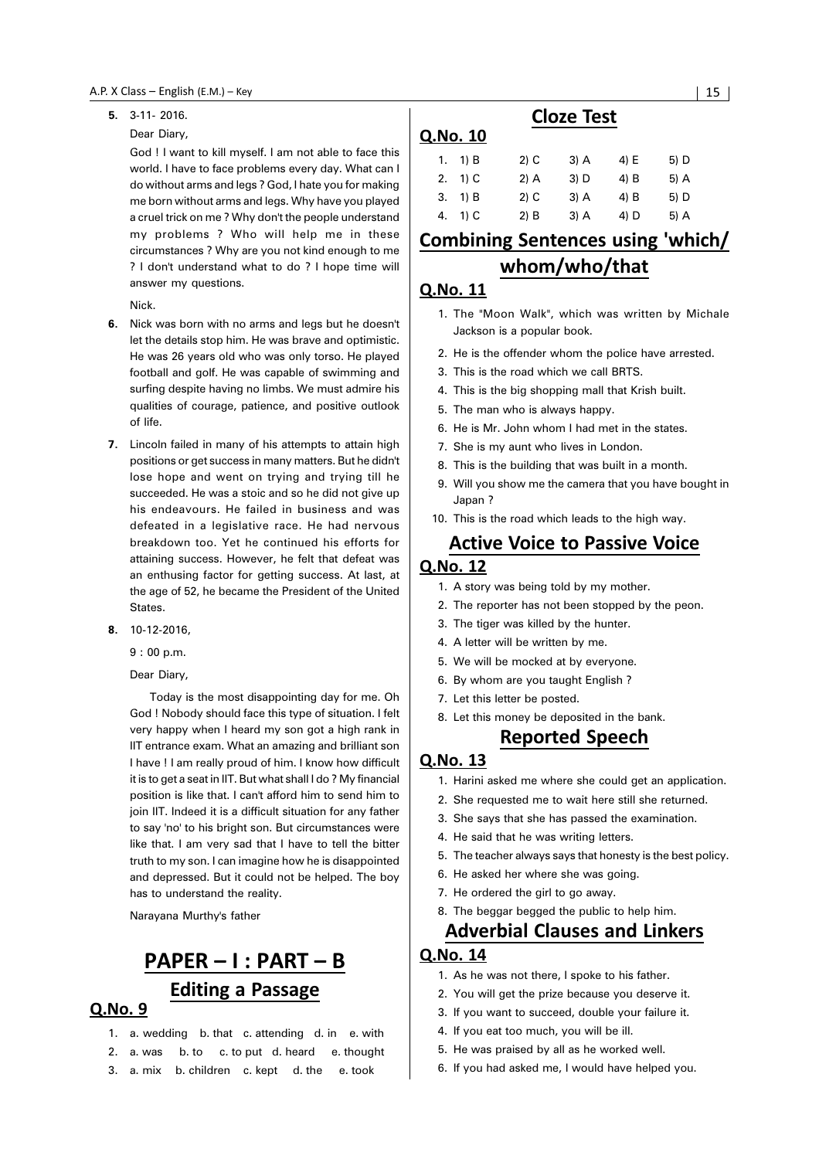#### **5.** 3-11- 2016.

#### Dear Diary,

God ! I want to kill myself. I am not able to face this world. I have to face problems every day. What can I do without arms and legs ? God, I hate you for making me born without arms and legs. Why have you played a cruel trick on me ? Why don't the people understand my problems ? Who will help me in these circumstances ? Why are you not kind enough to me ? I don't understand what to do ? I hope time will answer my questions.

Nick.

- **6.** Nick was born with no arms and legs but he doesn't let the details stop him. He was brave and optimistic. He was 26 years old who was only torso. He played football and golf. He was capable of swimming and surfing despite having no limbs. We must admire his qualities of courage, patience, and positive outlook of life.
- **7.** Lincoln failed in many of his attempts to attain high positions or get success in many matters. But he didn't lose hope and went on trying and trying till he succeeded. He was a stoic and so he did not give up his endeavours. He failed in business and was defeated in a legislative race. He had nervous breakdown too. Yet he continued his efforts for attaining success. However, he felt that defeat was an enthusing factor for getting success. At last, at the age of 52, he became the President of the United States.
- **8.** 10-12-2016,

9 : 00 p.m.

Dear Diary,

Today is the most disappointing day for me. Oh God ! Nobody should face this type of situation. I felt very happy when I heard my son got a high rank in IIT entrance exam. What an amazing and brilliant son I have ! I am really proud of him. I know how difficult it is to get a seat in IIT. But what shall I do ? My financial position is like that. I can't afford him to send him to join IIT. Indeed it is a difficult situation for any father to say 'no' to his bright son. But circumstances were like that. I am very sad that I have to tell the bitter truth to my son. I can imagine how he is disappointed and depressed. But it could not be helped. The boy has to understand the reality.

Narayana Murthy's father

# PAPER - I : PART - B **Editing a Passage**

#### Q.No. 9

- 1. a. wedding b. that c. attending d. in e. with
- 2. a. was b. to c. to put d. heard e. thought
- 3. a. mix b. children c. kept d. the e. took

### **Cloze Test**

#### **Q.No. 10**

|    | 1. $1)$ B | $2)$ C | $3)$ A | 4) E   | 5) D |
|----|-----------|--------|--------|--------|------|
|    | 2. $1)$ C | $2)$ A | $3)$ D | $4)$ B | 5) A |
|    | 3. 1) B   | $2)$ C | $3)$ A | $4)$ B | 5) D |
| 4. | $1)$ C    | $2)$ B | $3)$ A | 4) D   | 5) A |

## Combining Sentences using 'which/ whom/who/that

#### Q.No. 11

- 1. The "Moon Walk", which was written by Michale Jackson is a popular book.
- 2. He is the offender whom the police have arrested.
- 3. This is the road which we call BRTS.
- 4. This is the big shopping mall that Krish built.
- 5. The man who is always happy.
- 6. He is Mr. John whom I had met in the states.
- 7. She is my aunt who lives in London.
- 8. This is the building that was built in a month.
- 9. Will you show me the camera that you have bought in Japan ?
- 10. This is the road which leads to the high way.

### **Active Voice to Passive Voice O.No. 12**

- 1. A story was being told by my mother.
- 2. The reporter has not been stopped by the peon.
- 3. The tiger was killed by the hunter.
- 4. A letter will be written by me.
- 5. We will be mocked at by everyone.
- 6. By whom are you taught English ?
- 7. Let this letter be posted.
- 8. Let this money be deposited in the bank.

## Reported Speech

#### Q.No. 13

- 1. Harini asked me where she could get an application.
- 2. She requested me to wait here still she returned.
- 3. She says that she has passed the examination.
- 4. He said that he was writing letters.
- 5. The teacher always says that honesty is the best policy.
- 6. He asked her where she was going.
- 7. He ordered the girl to go away.
- 8. The beggar begged the public to help him.

## **Adverbial Clauses and Linkers**

- 1. As he was not there, I spoke to his father.
- 2. You will get the prize because you deserve it.
- 3. If you want to succeed, double your failure it.
- 4. If you eat too much, you will be ill.
- 5. He was praised by all as he worked well.
- 6. If you had asked me, I would have helped you.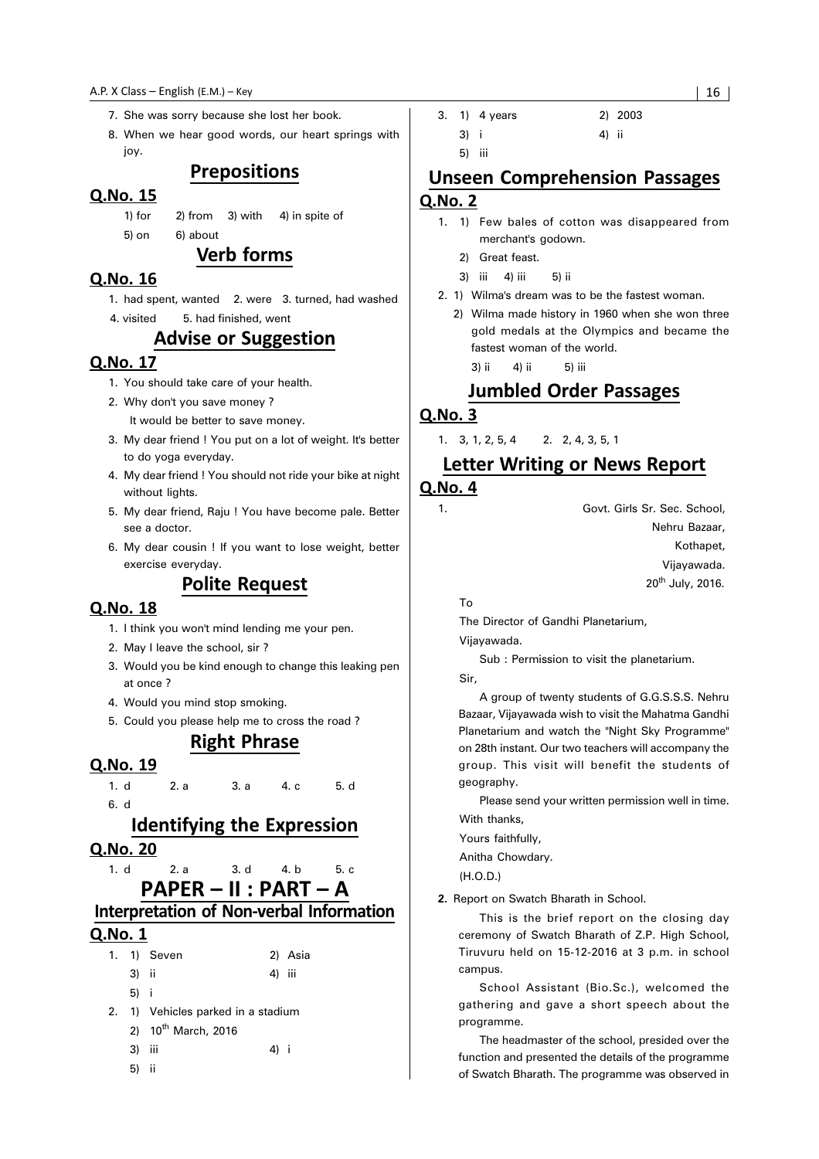- 7. She was sorry because she lost her book.
- 8. When we hear good words, our heart springs with joy.

#### Prepositions

#### Q.No. 15

- 1) for 2) from 3) with 4) in spite of
- 5) on 6) about

### **Verb forms**

#### Q.No. 16

- 1. had spent, wanted 2. were 3. turned, had washed
- 4. visited 5. had finished, went

## **Advise or Suggestion**

#### 0.No. 17

- 1. You should take care of your health.
- 2. Why don't you save money ?
	- It would be better to save money.
- 3. My dear friend ! You put on a lot of weight. It's better to do yoga everyday.
- 4. My dear friend ! You should not ride your bike at night without lights.
- 5. My dear friend, Raju ! You have become pale. Better see a doctor.
- 6. My dear cousin ! If you want to lose weight, better exercise everyday.

### **Polite Request**

#### Q.No. 18

- 1. I think you won't mind lending me your pen.
- 2. May I leave the school, sir ?
- 3. Would you be kind enough to change this leaking pen at once ?
- 4. Would you mind stop smoking.
- 5. Could you please help me to cross the road ?

## **Right Phrase**

#### Q.No. 19

1. d 2. a 3. a 4. c 5. d 6. d

#### Identifying the Expression

#### Q.No. 20

- 1. d 2. a 3. d 4. b 5. c
	- PAPER II : PART A

## Interpretation of Non-verbal Information

#### **Q.No. 1**

|    |       | 1. 1) Seven                     |        | 2) Asia |  |  |
|----|-------|---------------------------------|--------|---------|--|--|
|    | 3) ii |                                 | 4) iii |         |  |  |
|    | 5) i  |                                 |        |         |  |  |
| 2. |       | 1) Vehicles parked in a stadium |        |         |  |  |
|    |       | 2) 10 <sup>th</sup> March, 2016 |        |         |  |  |
|    | 3)    | iii                             | 4) i   |         |  |  |
|    | 5)    | - II                            |        |         |  |  |

3. 1) 4 years 2) 2003 3) i 4) ii

5) iii

## **Unseen Comprehension Passages** Q.No. 2

- 1. 1) Few bales of cotton was disappeared from merchant's godown.
	- 2) Great feast.
	- 3) iii 4) iii 5) ii
- 2. 1) Wilma's dream was to be the fastest woman.
	- 2) Wilma made history in 1960 when she won three gold medals at the Olympics and became the fastest woman of the world.
		- 3) ii 4) ii 5) iii

## **Jumbled Order Passages**

#### Q.No. 3

1. 3, 1, 2, 5, 4 2. 2, 4, 3, 5, 1

### Letter Writing or News Report

#### **Q.No. 4**

1. Govt. Girls Sr. Sec. School, Nehru Bazaar, Kothapet, Vijayawada. 20<sup>th</sup> July, 2016.

To

The Director of Gandhi Planetarium,

Vijayawada.

Sub : Permission to visit the planetarium.

Sir,

A group of twenty students of G.G.S.S.S. Nehru Bazaar, Vijayawada wish to visit the Mahatma Gandhi Planetarium and watch the "Night Sky Programme" on 28th instant. Our two teachers will accompany the group. This visit will benefit the students of geography.

Please send your written permission well in time. With thanks,

Yours faithfully,

Anitha Chowdary.

(H.O.D.)

**2.** Report on Swatch Bharath in School.

This is the brief report on the closing day ceremony of Swatch Bharath of Z.P. High School, Tiruvuru held on 15-12-2016 at 3 p.m. in school campus.

School Assistant (Bio.Sc.), welcomed the gathering and gave a short speech about the programme.

The headmaster of the school, presided over the function and presented the details of the programme of Swatch Bharath. The programme was observed in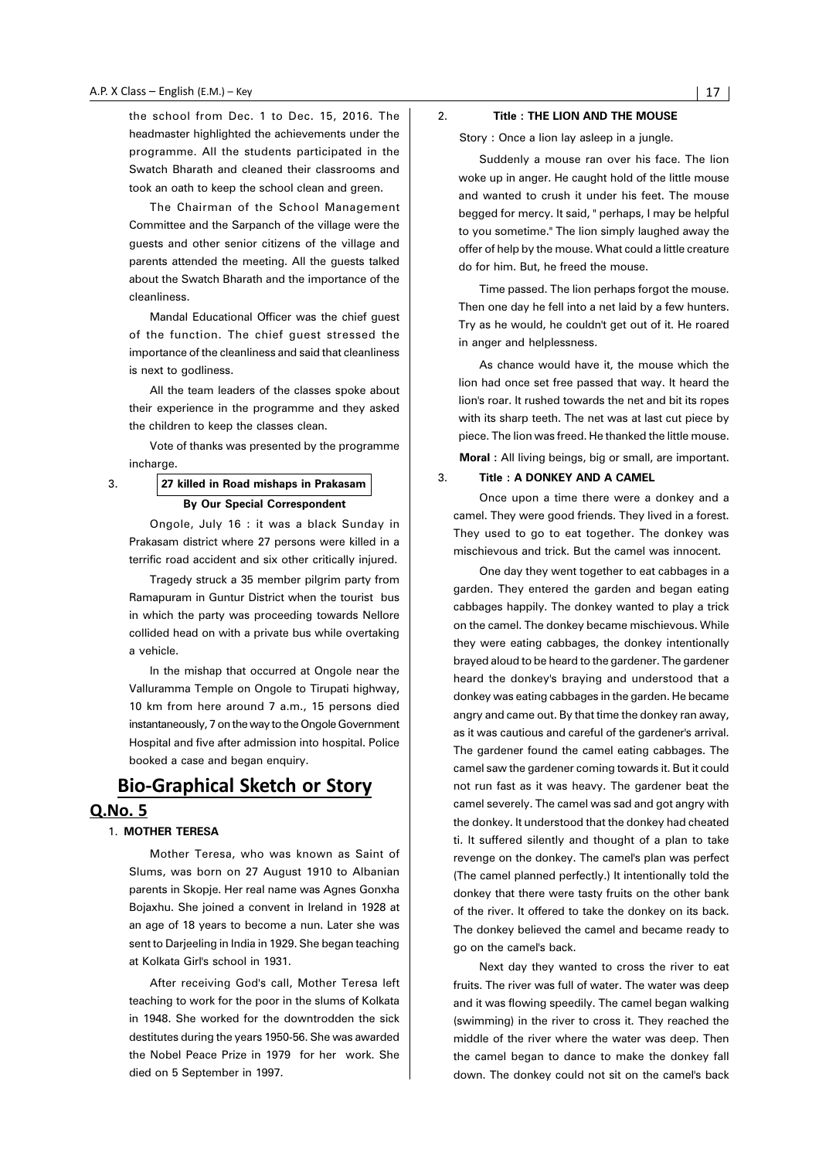the school from Dec. 1 to Dec. 15, 2016. The headmaster highlighted the achievements under the programme. All the students participated in the Swatch Bharath and cleaned their classrooms and took an oath to keep the school clean and green.

The Chairman of the School Management Committee and the Sarpanch of the village were the guests and other senior citizens of the village and parents attended the meeting. All the guests talked about the Swatch Bharath and the importance of the cleanliness.

Mandal Educational Officer was the chief guest of the function. The chief guest stressed the importance of the cleanliness and said that cleanliness is next to godliness.

All the team leaders of the classes spoke about their experience in the programme and they asked the children to keep the classes clean.

Vote of thanks was presented by the programme incharge.

#### 3. **27 killed in Road mishaps in Prakasam By Our Special Correspondent**

Ongole, July 16 : it was a black Sunday in Prakasam district where 27 persons were killed in a terrific road accident and six other critically injured.

Tragedy struck a 35 member pilgrim party from Ramapuram in Guntur District when the tourist bus in which the party was proceeding towards Nellore collided head on with a private bus while overtaking a vehicle.

In the mishap that occurred at Ongole near the Valluramma Temple on Ongole to Tirupati highway, 10 km from here around 7 a.m., 15 persons died instantaneously, 7 on the way to the Ongole Government Hospital and five after admission into hospital. Police booked a case and began enquiry.

## **Bio-Graphical Sketch or Story**

#### **Q.No. 5**

#### 1. **MOTHER TERESA**

Mother Teresa, who was known as Saint of Slums, was born on 27 August 1910 to Albanian parents in Skopje. Her real name was Agnes Gonxha Bojaxhu. She joined a convent in Ireland in 1928 at an age of 18 years to become a nun. Later she was sent to Darjeeling in India in 1929. She began teaching at Kolkata Girl's school in 1931.

After receiving God's call, Mother Teresa left teaching to work for the poor in the slums of Kolkata in 1948. She worked for the downtrodden the sick destitutes during the years 1950-56. She was awarded the Nobel Peace Prize in 1979 for her work. She died on 5 September in 1997.

#### 2. **Title : THE LION AND THE MOUSE**

Story : Once a lion lay asleep in a jungle.

Suddenly a mouse ran over his face. The lion woke up in anger. He caught hold of the little mouse and wanted to crush it under his feet. The mouse begged for mercy. It said, " perhaps, I may be helpful to you sometime." The lion simply laughed away the offer of help by the mouse. What could a little creature do for him. But, he freed the mouse.

Time passed. The lion perhaps forgot the mouse. Then one day he fell into a net laid by a few hunters. Try as he would, he couldn't get out of it. He roared in anger and helplessness.

As chance would have it, the mouse which the lion had once set free passed that way. It heard the lion's roar. It rushed towards the net and bit its ropes with its sharp teeth. The net was at last cut piece by piece. The lion was freed. He thanked the little mouse. **Moral :** All living beings, big or small, are important.

#### 3. **Title : A DONKEY AND A CAMEL**

Once upon a time there were a donkey and a camel. They were good friends. They lived in a forest. They used to go to eat together. The donkey was mischievous and trick. But the camel was innocent.

One day they went together to eat cabbages in a garden. They entered the garden and began eating cabbages happily. The donkey wanted to play a trick on the camel. The donkey became mischievous. While they were eating cabbages, the donkey intentionally brayed aloud to be heard to the gardener. The gardener heard the donkey's braying and understood that a donkey was eating cabbages in the garden. He became angry and came out. By that time the donkey ran away, as it was cautious and careful of the gardener's arrival. The gardener found the camel eating cabbages. The camel saw the gardener coming towards it. But it could not run fast as it was heavy. The gardener beat the camel severely. The camel was sad and got angry with the donkey. It understood that the donkey had cheated ti. It suffered silently and thought of a plan to take revenge on the donkey. The camel's plan was perfect (The camel planned perfectly.) It intentionally told the donkey that there were tasty fruits on the other bank of the river. It offered to take the donkey on its back. The donkey believed the camel and became ready to go on the camel's back.

Next day they wanted to cross the river to eat fruits. The river was full of water. The water was deep and it was flowing speedily. The camel began walking (swimming) in the river to cross it. They reached the middle of the river where the water was deep. Then the camel began to dance to make the donkey fall down. The donkey could not sit on the camel's back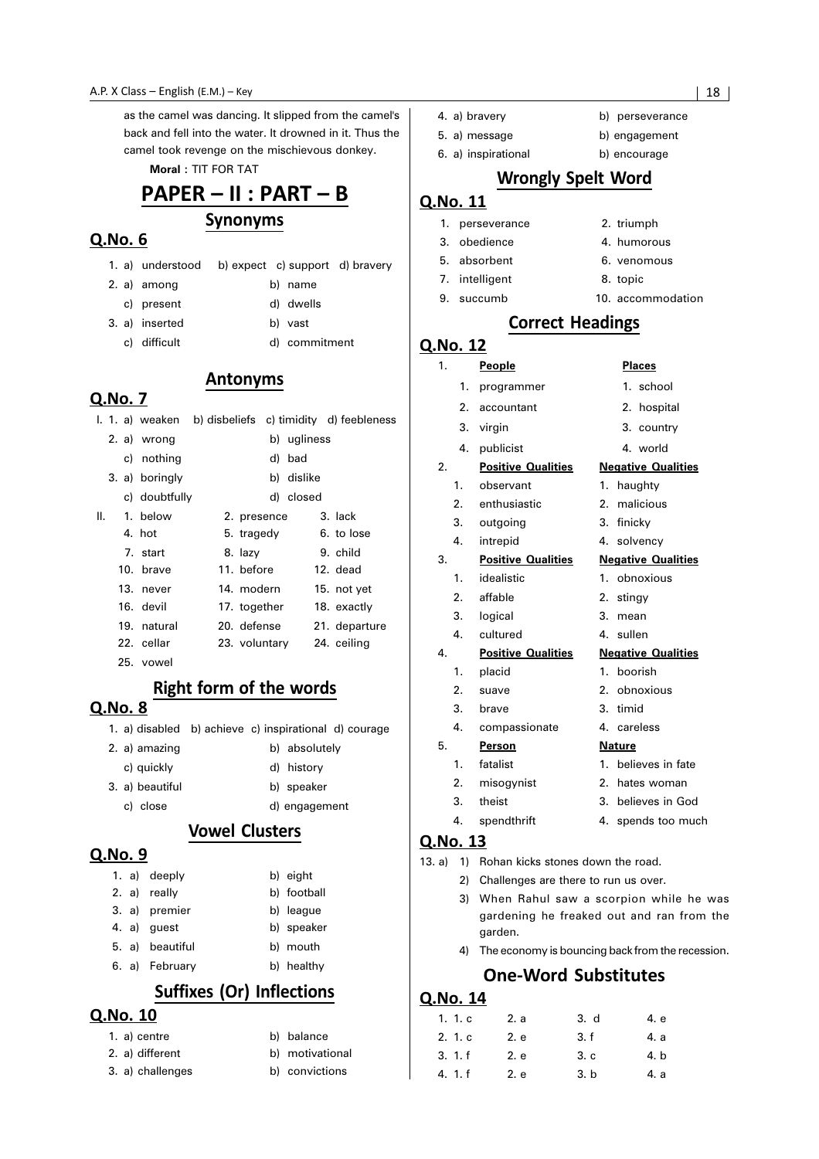as the camel was dancing. It slipped from the camel's back and fell into the water. It drowned in it. Thus the camel took revenge on the mischievous donkey.

**Moral :** TIT FOR TAT

## PAPER - II : PART - B

### Synonyms

#### Q.No. 6

1. a) understood b) expect c) support d) bravery

**Antonyms** 

- 2. a) among b) name
- c) present d) dwells
- 3. a) inserted b) vast
	- c) difficult d) commitment

## Q.No. 7

|    |                |               |             | 1. 1. a) weaken b) disbeliefs c) timidity d) feebleness |
|----|----------------|---------------|-------------|---------------------------------------------------------|
|    | 2. a) wrong    |               | b) ugliness |                                                         |
|    | c) nothing     |               | d) bad      |                                                         |
|    | 3. a) boringly |               | b) dislike  |                                                         |
|    | c) doubtfully  |               | d) closed   |                                                         |
| Ш. | 1. below       | 2. presence   |             | 3. lack                                                 |
|    | 4. hot         | 5. tragedy    |             | 6. to lose                                              |
|    | 7. start       | 8. lazy       |             | 9. child                                                |
|    | 10. brave      | 11. before    |             | 12. dead                                                |
|    | 13. never      | 14. modern    |             | 15. not yet                                             |
|    | 16. devil      | 17. together  |             | 18. exactly                                             |
|    | 19. natural    | 20. defense   |             | 21. departure                                           |
|    | 22. cellar     | 23. voluntary |             | 24. ceiling                                             |
|    |                |               |             |                                                         |

25. vowel

### Right form of the words

#### Q.No. 8

1. a) disabled b) achieve c) inspirational d) courage

| 2. a) amazing   | b) absolutely |
|-----------------|---------------|
| c) quickly      | d) history    |
| 3. a) beautiful | b) speaker    |
| c) close        | d) engagement |

#### **Vowel Clusters**

#### Q.No. 9

|  | 1. a) deeply    | b) eight    |
|--|-----------------|-------------|
|  | 2. a) really    | b) football |
|  | 3. a) premier   | b) league   |
|  | 4. a) quest     | b) speaker  |
|  | 5. a) beautiful | b) mouth    |
|  | 6. a) February  | b) healthy  |

## Suffixes (Or) Inflections

#### Q.No. 10

- 2. a) different b) motivational
- 3. a) challenges b) convictions

- b) balance
	-
	-
- 4. a) bravery b) perseverance
- 5. a) message b) engagement
- 6. a) inspirational b) encourage

#### **Wrongly Spelt Word**

#### Q.No. 11

|    | 1. perseverance | 2. triumph        |
|----|-----------------|-------------------|
|    | 3. obedience    | 4. humorous       |
|    | 5. absorbent    | 6. venomous       |
|    | 7. intelligent  | 8. topic          |
| 9. | succumb         | 10. accommodation |

#### **Correct Headings**

### Q.No. 12

| 1. |                  | <b>People</b>             | <b>Places</b>             |
|----|------------------|---------------------------|---------------------------|
|    | 1.               | programmer                | 1. school                 |
|    | 2.               | accountant                | 2. hospital               |
|    | 3.               | virgin                    | 3. country                |
|    | 4.               | publicist                 | 4. world                  |
| 2. |                  | <b>Positive Qualities</b> | <b>Negative Qualities</b> |
|    | 1.               | observant                 | haughty<br>1.             |
|    | 2.               | enthusiastic              | malicious<br>2.           |
|    | 3.               | outgoing                  | finicky<br>3.             |
|    | 4.               | intrepid                  | solvency<br>4.            |
| 3. |                  | <b>Positive Qualities</b> | <b>Negative Qualities</b> |
|    | $\mathbf{1}$ .   | idealistic                | obnoxious<br>$1_{-}$      |
|    | 2.               | affable                   | 2.<br>stingy              |
|    | 3.               | logical                   | 3.<br>mean                |
|    | 4.               | cultured                  | sullen<br>4.              |
| 4. |                  | <b>Positive Qualities</b> | <b>Negative Qualities</b> |
|    | 1.               | placid                    | boorish<br>1.             |
|    | 2.               | suave                     | obnoxious<br>2.           |
|    | 3.               | brave                     | timid<br>3.               |
|    | 4.               | compassionate             | 4. careless               |
| 5. |                  | Person                    | <b>Nature</b>             |
|    | 1.               | fatalist                  | 1.<br>believes in fate    |
|    | $\overline{2}$ . | misogynist                | $2^{+}$<br>hates woman    |
|    | 3.               | theist                    | 3. believes in God        |
|    | 4.               | spendthrift               | 4.<br>spends too much     |

#### Q.No. 13

- 13. a) 1) Rohan kicks stones down the road.
	- 2) Challenges are there to run us over.
		- 3) When Rahul saw a scorpion while he was gardening he freaked out and ran from the garden.
		- 4) The economy is bouncing back from the recession.

### **One-Word Substitutes**

| 1. 1. c | 2. a | 3. d | 4. e |
|---------|------|------|------|
| 2.1c    | 2. e | 3. f | 4. a |
| 3.1.f   | 2. e | 3.c  | 4. b |
| 4. 1. f | 2. e | 3. b | 4. a |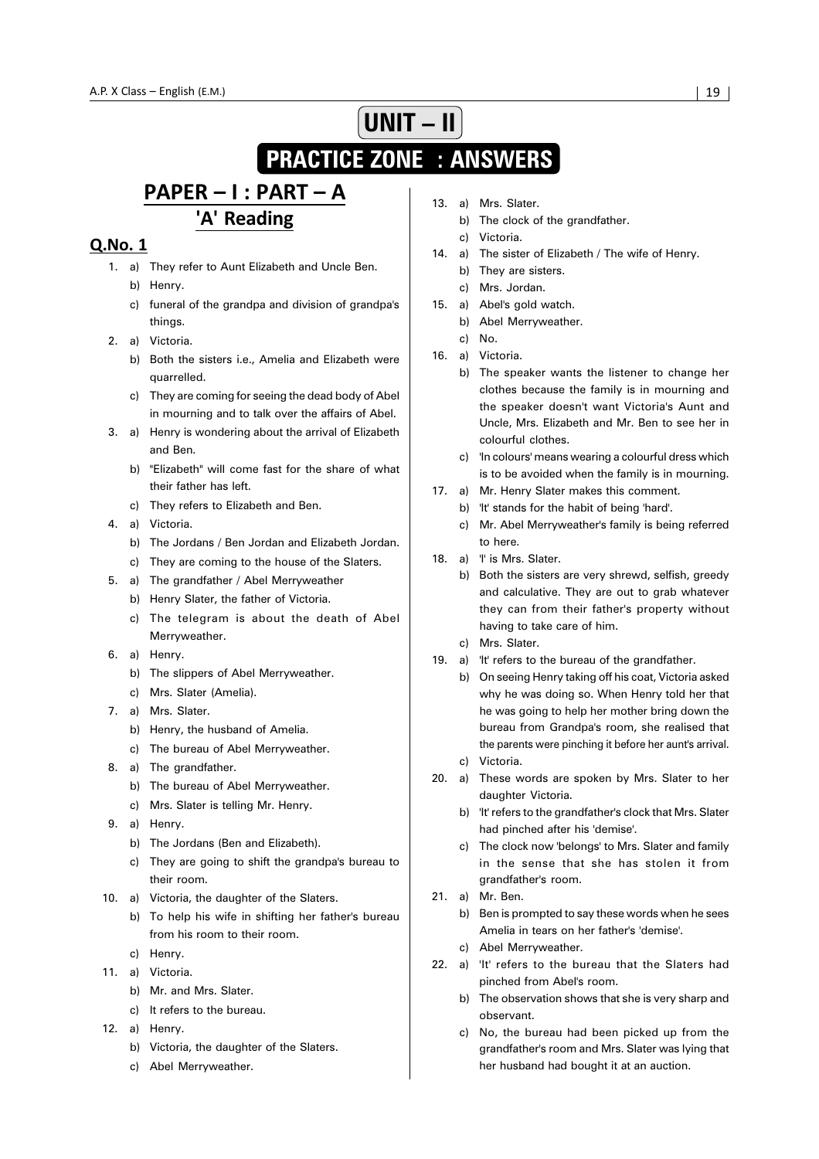# **UNIT – II**

## **PRACTICE ZONE : ANSWERS**

## PAPER - I : PART - A 'A' Reading

- 1. a) They refer to Aunt Elizabeth and Uncle Ben. b) Henry.
	- c) funeral of the grandpa and division of grandpa's things.
- 2. a) Victoria.
	- b) Both the sisters i.e., Amelia and Elizabeth were quarrelled.
	- c) They are coming for seeing the dead body of Abel in mourning and to talk over the affairs of Abel.
- 3. a) Henry is wondering about the arrival of Elizabeth and Ben.
	- b) "Elizabeth" will come fast for the share of what their father has left.
	- c) They refers to Elizabeth and Ben.
- 4. a) Victoria.
	- b) The Jordans / Ben Jordan and Elizabeth Jordan.
	- c) They are coming to the house of the Slaters.
- 5. a) The grandfather / Abel Merryweather
	- b) Henry Slater, the father of Victoria.
	- c) The telegram is about the death of Abel Merryweather.
- 6. a) Henry.
	- b) The slippers of Abel Merryweather.
	- c) Mrs. Slater (Amelia).
- 7. a) Mrs. Slater.
	- b) Henry, the husband of Amelia.
	- c) The bureau of Abel Merryweather.
- 8. a) The grandfather.
	- b) The bureau of Abel Merryweather.
	- c) Mrs. Slater is telling Mr. Henry.
- 9. a) Henry.
	- b) The Jordans (Ben and Elizabeth).
	- c) They are going to shift the grandpa's bureau to their room.
- 10. a) Victoria, the daughter of the Slaters.
	- b) To help his wife in shifting her father's bureau from his room to their room.
	- c) Henry.
- 11. a) Victoria.
	- b) Mr. and Mrs. Slater.
	- c) It refers to the bureau.
- 12. a) Henry.
	- b) Victoria, the daughter of the Slaters.
	- c) Abel Merryweather.
- 13. a) Mrs. Slater.
	- b) The clock of the grandfather.
	- c) Victoria.
- 14. a) The sister of Elizabeth / The wife of Henry.
	- b) They are sisters.
	- c) Mrs. Jordan.
- 15. a) Abel's gold watch.
	- b) Abel Merryweather.
	- c) No.
- 16. a) Victoria.
	- b) The speaker wants the listener to change her clothes because the family is in mourning and the speaker doesn't want Victoria's Aunt and Uncle, Mrs. Elizabeth and Mr. Ben to see her in colourful clothes.
	- c) 'In colours' means wearing a colourful dress which is to be avoided when the family is in mourning.
- 17. a) Mr. Henry Slater makes this comment.
	- b) 'It' stands for the habit of being 'hard'.
	- c) Mr. Abel Merryweather's family is being referred to here.
- 18. a) 'I' is Mrs. Slater.
	- b) Both the sisters are very shrewd, selfish, greedy and calculative. They are out to grab whatever they can from their father's property without having to take care of him.
	- c) Mrs. Slater.
- 19. a) 'It' refers to the bureau of the grandfather.
	- b) On seeing Henry taking off his coat, Victoria asked why he was doing so. When Henry told her that he was going to help her mother bring down the bureau from Grandpa's room, she realised that the parents were pinching it before her aunt's arrival.
	- c) Victoria.
- 20. a) These words are spoken by Mrs. Slater to her daughter Victoria.
	- b) 'It' refers to the grandfather's clock that Mrs. Slater had pinched after his 'demise'.
	- c) The clock now 'belongs' to Mrs. Slater and family in the sense that she has stolen it from grandfather's room.
- 21. a) Mr. Ben.
	- b) Ben is prompted to say these words when he sees Amelia in tears on her father's 'demise'.
	- c) Abel Merryweather.
- 22. a) 'It' refers to the bureau that the Slaters had pinched from Abel's room.
	- b) The observation shows that she is very sharp and observant.
	- c) No, the bureau had been picked up from the grandfather's room and Mrs. Slater was lying that her husband had bought it at an auction.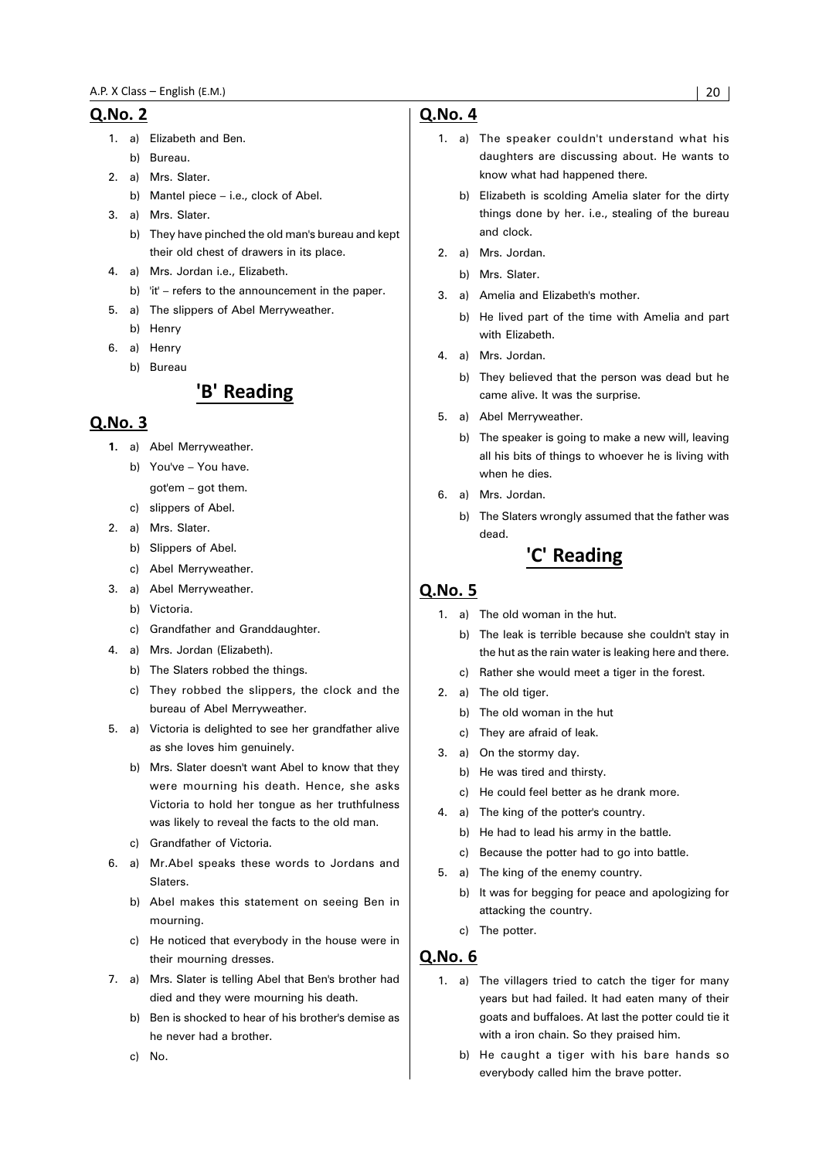- 1. a) Elizabeth and Ben.
- b) Bureau.
- 2. a) Mrs. Slater.
	- b) Mantel piece i.e., clock of Abel.
- 3. a) Mrs. Slater.
	- b) They have pinched the old man's bureau and kept their old chest of drawers in its place.
- 4. a) Mrs. Jordan i.e., Elizabeth.
	- b) 'it' refers to the announcement in the paper.
- 5. a) The slippers of Abel Merryweather.
	- b) Henry
- 6. a) Henry
	- b) Bureau

## 'B' Reading

#### Q.No. 3

- **1.** a) Abel Merryweather.
	- b) You've You have. got'em – got them.
	- c) slippers of Abel.
- 2. a) Mrs. Slater.
	- b) Slippers of Abel.
		- c) Abel Merryweather.
- 3. a) Abel Merryweather.
	- b) Victoria.
	- c) Grandfather and Granddaughter.
- 4. a) Mrs. Jordan (Elizabeth).
	- b) The Slaters robbed the things.
	- c) They robbed the slippers, the clock and the bureau of Abel Merryweather.
- 5. a) Victoria is delighted to see her grandfather alive as she loves him genuinely.
	- b) Mrs. Slater doesn't want Abel to know that they were mourning his death. Hence, she asks Victoria to hold her tongue as her truthfulness was likely to reveal the facts to the old man.
	- c) Grandfather of Victoria.
- 6. a) Mr.Abel speaks these words to Jordans and Slaters.
	- b) Abel makes this statement on seeing Ben in mourning.
	- c) He noticed that everybody in the house were in their mourning dresses.
- 7. a) Mrs. Slater is telling Abel that Ben's brother had died and they were mourning his death.
	- b) Ben is shocked to hear of his brother's demise as he never had a brother.
	- c) No.

#### Q.No. 4

- 1. a) The speaker couldn't understand what his daughters are discussing about. He wants to know what had happened there.
	- b) Elizabeth is scolding Amelia slater for the dirty things done by her. i.e., stealing of the bureau and clock.
- 2. a) Mrs. Jordan.
	- b) Mrs. Slater.
- 3. a) Amelia and Elizabeth's mother.
	- b) He lived part of the time with Amelia and part with Elizabeth.
- 4. a) Mrs. Jordan.
	- b) They believed that the person was dead but he came alive. It was the surprise.
- 5. a) Abel Merryweather.
	- b) The speaker is going to make a new will, leaving all his bits of things to whoever he is living with when he dies.
- 6. a) Mrs. Jordan.
	- b) The Slaters wrongly assumed that the father was dead.

## 'C' Reading

#### **Q.No. 5**

- 1. a) The old woman in the hut.
	- b) The leak is terrible because she couldn't stay in the hut as the rain water is leaking here and there.
	- c) Rather she would meet a tiger in the forest.
- 2. a) The old tiger.
	- b) The old woman in the hut
	- c) They are afraid of leak.
- 3. a) On the stormy day.
	- b) He was tired and thirsty.
	- c) He could feel better as he drank more.
- 4. a) The king of the potter's country.
	- b) He had to lead his army in the battle.
	- c) Because the potter had to go into battle.
- 5. a) The king of the enemy country.
	- b) It was for begging for peace and apologizing for attacking the country.
	- c) The potter.

- 1. a) The villagers tried to catch the tiger for many years but had failed. It had eaten many of their goats and buffaloes. At last the potter could tie it with a iron chain. So they praised him.
	- b) He caught a tiger with his bare hands so everybody called him the brave potter.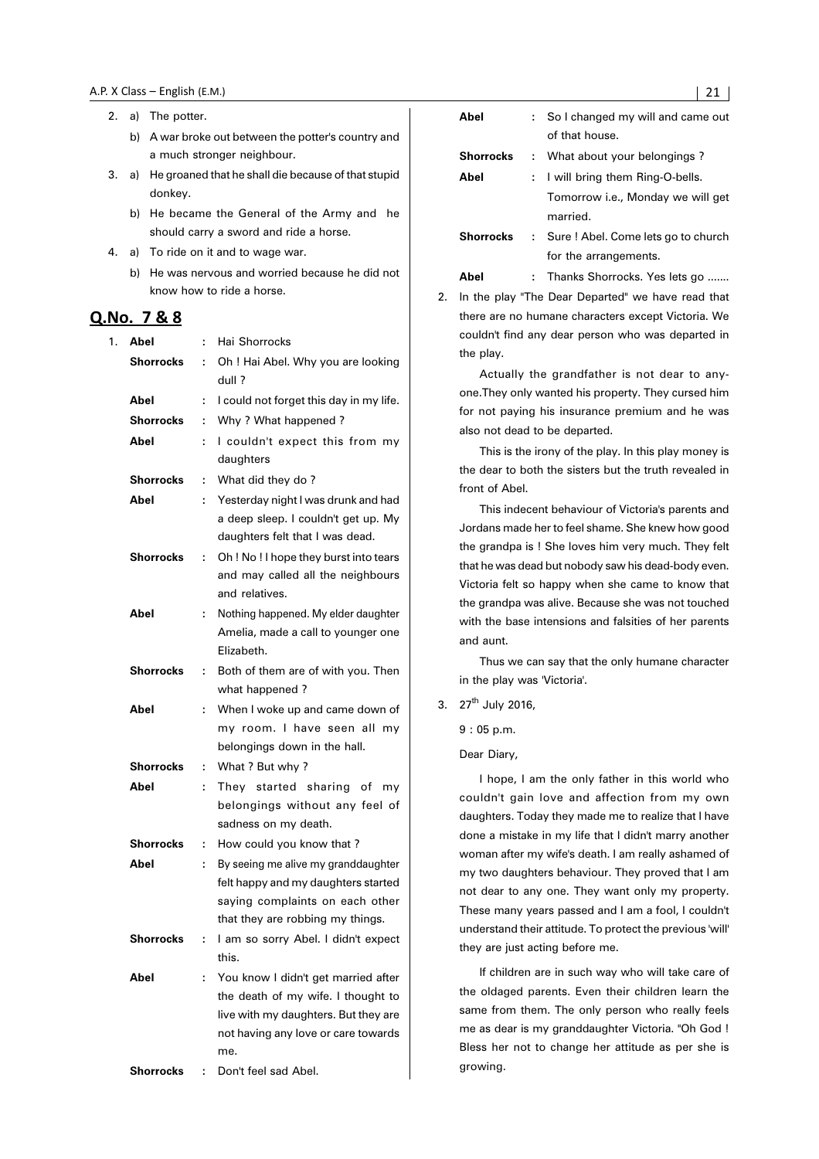- 2. a) The potter.
	- b) A war broke out between the potter's country and a much stronger neighbour.
- 3. a) He groaned that he shall die because of that stupid donkey.
	- b) He became the General of the Army and he should carry a sword and ride a horse.
- 4. a) To ride on it and to wage war.
	- b) He was nervous and worried because he did not know how to ride a horse.

#### Q.No. 7 & 8

| 1. | Abel             | t. | Hai Shorrocks                           |
|----|------------------|----|-----------------------------------------|
|    | <b>Shorrocks</b> | ÷  | Oh ! Hai Abel. Why you are looking      |
|    |                  |    | dull?                                   |
|    | Abel             | ÷  | I could not forget this day in my life. |
|    | <b>Shorrocks</b> | t  | Why ? What happened ?                   |
|    | Abel             | ÷  | I couldn't expect this from my          |
|    |                  |    | daughters                               |
|    | <b>Shorrocks</b> | t  | What did they do?                       |
|    | Abel             | ÷  | Yesterday night I was drunk and had     |
|    |                  |    | a deep sleep. I couldn't get up. My     |
|    |                  |    | daughters felt that I was dead.         |
|    | <b>Shorrocks</b> | ÷  | Oh ! No ! I hope they burst into tears  |
|    |                  |    | and may called all the neighbours       |
|    |                  |    | and relatives.                          |
|    | Abel             | ÷  | Nothing happened. My elder daughter     |
|    |                  |    | Amelia, made a call to younger one      |
|    |                  |    | Elizabeth.                              |
|    | <b>Shorrocks</b> | ÷  | Both of them are of with you. Then      |
|    |                  |    | what happened?                          |
|    | Abel             | ÷  | When I woke up and came down of         |
|    |                  |    | my room. I have seen all my             |
|    |                  |    | belongings down in the hall.            |
|    | <b>Shorrocks</b> | t  | What ? But why ?                        |
|    | Abel             | ÷  | They started sharing of<br>my           |
|    |                  |    | belongings without any feel of          |
|    |                  |    | sadness on my death.                    |
|    | <b>Shorrocks</b> | ÷  | How could you know that?                |
|    | Abel             | ÷  | By seeing me alive my granddaughter     |
|    |                  |    | felt happy and my daughters started     |
|    |                  |    | saying complaints on each other         |
|    |                  |    | that they are robbing my things.        |
|    | Shorrocks        | ÷  | I am so sorry Abel. I didn't expect     |
|    |                  |    | this.                                   |
|    | Abel             | ÷  | You know I didn't get married after     |
|    |                  |    | the death of my wife. I thought to      |
|    |                  |    | live with my daughters. But they are    |
|    |                  |    | not having any love or care towards     |
|    |                  |    | me.                                     |
|    | Shorrocks        | t  | Don't feel sad Abel.                    |

| Abel             | : So I changed my will and came out<br>of that house. |
|------------------|-------------------------------------------------------|
| <b>Shorrocks</b> | : What about your belongings?                         |
| Abel             | : I will bring them Ring-O-bells.                     |
|                  | Tomorrow <i>i.e.</i> , Monday we will get<br>married. |
| Shorrocks        | : Sure ! Abel. Come lets go to church                 |
|                  | for the arrangements.                                 |

Abel : Thanks Shorrocks. Yes lets go .......

2. In the play "The Dear Departed" we have read that there are no humane characters except Victoria. We couldn't find any dear person who was departed in the play.

Actually the grandfather is not dear to anyone.They only wanted his property. They cursed him for not paying his insurance premium and he was also not dead to be departed.

This is the irony of the play. In this play money is the dear to both the sisters but the truth revealed in front of Abel.

This indecent behaviour of Victoria's parents and Jordans made her to feel shame. She knew how good the grandpa is ! She loves him very much. They felt that he was dead but nobody saw his dead-body even. Victoria felt so happy when she came to know that the grandpa was alive. Because she was not touched with the base intensions and falsities of her parents and aunt.

Thus we can say that the only humane character in the play was 'Victoria'.

3.  $27^{th}$  July 2016.

9 : 05 p.m.

Dear Diary,

I hope, I am the only father in this world who couldn't gain love and affection from my own daughters. Today they made me to realize that I have done a mistake in my life that I didn't marry another woman after my wife's death. I am really ashamed of my two daughters behaviour. They proved that I am not dear to any one. They want only my property. These many years passed and I am a fool, I couldn't understand their attitude. To protect the previous 'will' they are just acting before me.

If children are in such way who will take care of the oldaged parents. Even their children learn the same from them. The only person who really feels me as dear is my granddaughter Victoria. "Oh God ! Bless her not to change her attitude as per she is growing.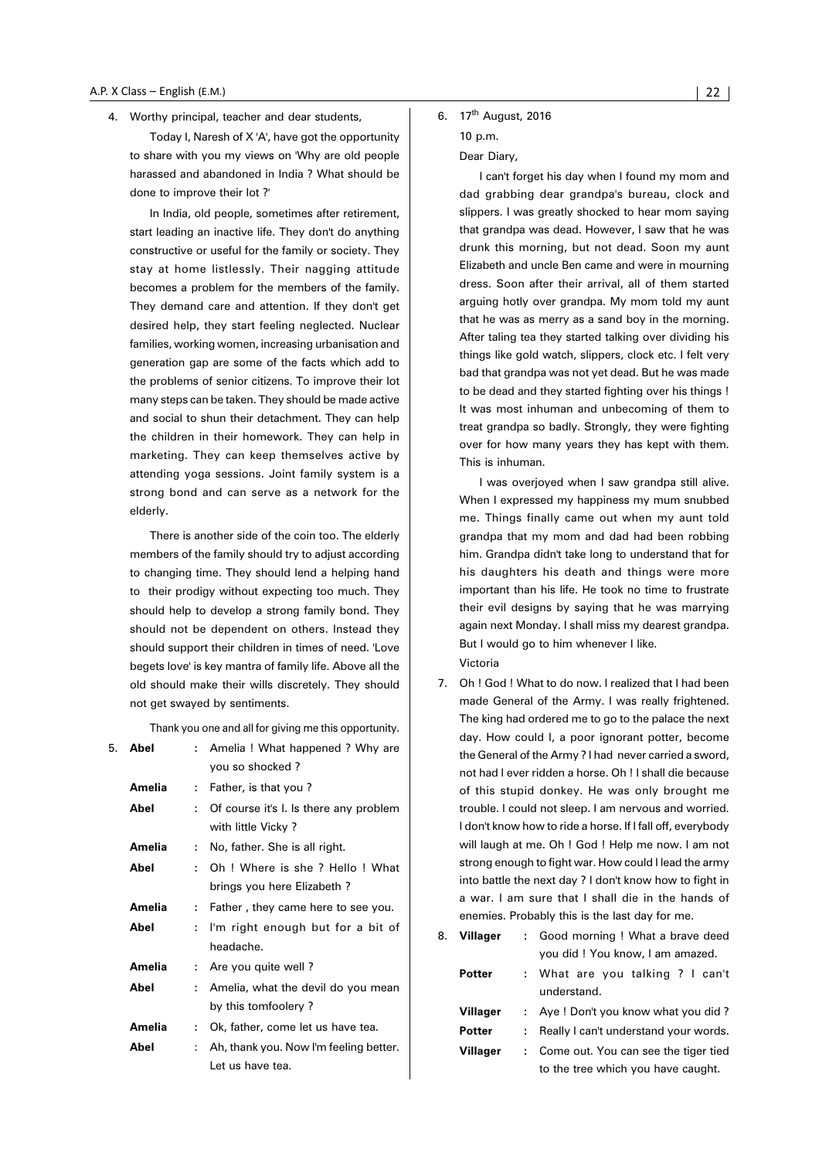4. Worthy principal, teacher and dear students,

Today I, Naresh of X 'A', have got the opportunity to share with you my views on 'Why are old people harassed and abandoned in India ? What should be done to improve their lot ?'

In India, old people, sometimes after retirement, start leading an inactive life. They don't do anything constructive or useful for the family or society. They stay at home listlessly. Their nagging attitude becomes a problem for the members of the family. They demand care and attention. If they don't get desired help, they start feeling neglected. Nuclear families, working women, increasing urbanisation and generation gap are some of the facts which add to the problems of senior citizens. To improve their lot many steps can be taken. They should be made active and social to shun their detachment. They can help the children in their homework. They can help in marketing. They can keep themselves active by attending yoga sessions. Joint family system is a strong bond and can serve as a network for the elderly.

There is another side of the coin too. The elderly members of the family should try to adjust according to changing time. They should lend a helping hand to their prodigy without expecting too much. They should help to develop a strong family bond. They should not be dependent on others. Instead they should support their children in times of need. 'Love begets love' is key mantra of family life. Above all the old should make their wills discretely. They should not get swayed by sentiments.

Thank you one and all for giving me this opportunity.

| 5. | Abel          |    | Amelia ! What happened ? Why are       |
|----|---------------|----|----------------------------------------|
|    |               |    | you so shocked?                        |
|    | Amelia        | ÷. | Father, is that you?                   |
|    | Abel          | ۰. | Of course it's l. Is there any problem |
|    |               |    | with little Vicky?                     |
|    | Amelia        | ÷. | No, father. She is all right.          |
|    | Abel          | ٠. | Oh! Where is she? Hello! What          |
|    |               |    | brings you here Elizabeth?             |
|    | Amelia        | ÷. | Father, they came here to see you.     |
|    | Abel          | ÷. | I'm right enough but for a bit of      |
|    |               |    | headache.                              |
|    | <b>Amelia</b> |    | Are you quite well?                    |
|    | Abel          |    | Amelia, what the devil do you mean     |
|    |               |    | by this tomfoolery?                    |
|    | Amelia        |    | Ok, father, come let us have tea.      |
|    | Abel          |    | Ah, thank you. Now I'm feeling better. |
|    |               |    | Let us have tea.                       |

#### 6. 17<sup>th</sup> August, 2016 10 p.m.

#### Dear Diary,

I can't forget his day when I found my mom and dad grabbing dear grandpa's bureau, clock and slippers. I was greatly shocked to hear mom saying that grandpa was dead. However, I saw that he was drunk this morning, but not dead. Soon my aunt Elizabeth and uncle Ben came and were in mourning dress. Soon after their arrival, all of them started arguing hotly over grandpa. My mom told my aunt that he was as merry as a sand boy in the morning. After taling tea they started talking over dividing his things like gold watch, slippers, clock etc. I felt very bad that grandpa was not yet dead. But he was made to be dead and they started fighting over his things ! It was most inhuman and unbecoming of them to treat grandpa so badly. Strongly, they were fighting over for how many years they has kept with them. This is inhuman.

I was overjoyed when I saw grandpa still alive. When I expressed my happiness my mum snubbed me. Things finally came out when my aunt told grandpa that my mom and dad had been robbing him. Grandpa didn't take long to understand that for his daughters his death and things were more important than his life. He took no time to frustrate their evil designs by saying that he was marrying again next Monday. I shall miss my dearest grandpa. But I would go to him whenever I like.

Victoria

7. Oh ! God ! What to do now. I realized that I had been made General of the Army. I was really frightened. The king had ordered me to go to the palace the next day. How could I, a poor ignorant potter, become the General of the Army ? I had never carried a sword, not had I ever ridden a horse. Oh ! I shall die because of this stupid donkey. He was only brought me trouble. I could not sleep. I am nervous and worried. I don't know how to ride a horse. If I fall off, everybody will laugh at me. Oh ! God ! Help me now. I am not strong enough to fight war. How could I lead the army into battle the next day ? I don't know how to fight in a war. I am sure that I shall die in the hands of enemies. Probably this is the last day for me.

| : Good morning ! What a brave deed              |  |  |
|-------------------------------------------------|--|--|
| you did ! You know, I am amazed.                |  |  |
| : What are you talking ? I can't<br>understand. |  |  |
| : Aye! Don't you know what you did?             |  |  |
| Really I can't understand your words.           |  |  |
| : Come out. You can see the tiger tied          |  |  |
|                                                 |  |  |

to the tree which you have caught.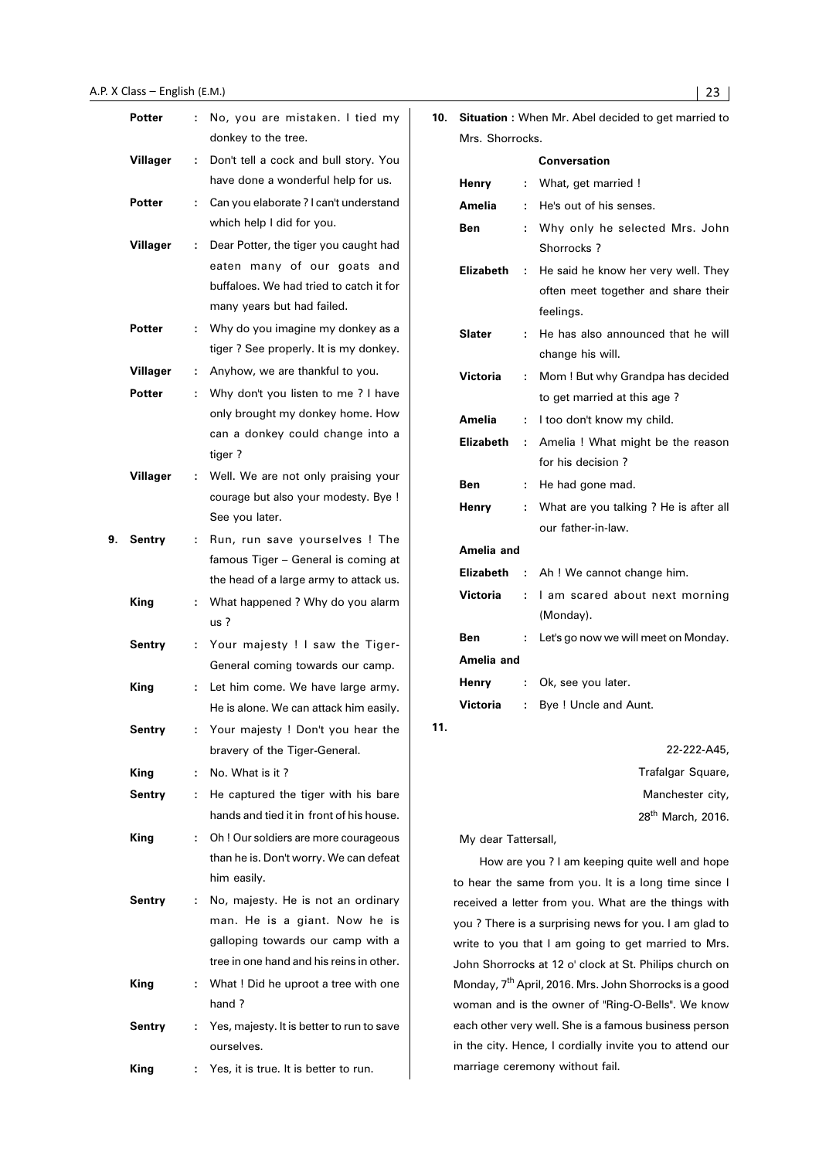|    | Potter        |    | No, you are mistaken. I tied my                                        | 10. |                     |               | <b>Situation:</b> When Mr. Abel decided to get married to          |
|----|---------------|----|------------------------------------------------------------------------|-----|---------------------|---------------|--------------------------------------------------------------------|
|    |               |    | donkey to the tree.                                                    |     | Mrs. Shorrocks.     |               |                                                                    |
|    | Villager      |    | Don't tell a cock and bull story. You                                  |     |                     |               | <b>Conversation</b>                                                |
|    |               |    | have done a wonderful help for us.                                     |     | Henry               |               | What, get married !                                                |
|    | Potter        |    | Can you elaborate ? I can't understand                                 |     | Amelia              |               | He's out of his senses.                                            |
|    |               |    | which help I did for you.                                              |     | Ben                 |               | Why only he selected Mrs. John                                     |
|    | Villager      | ÷. | Dear Potter, the tiger you caught had                                  |     |                     |               | Shorrocks ?                                                        |
|    |               |    | eaten many of our goats and<br>buffaloes. We had tried to catch it for |     | <b>Elizabeth</b>    | $\mathcal{L}$ | He said he know her very well. They                                |
|    |               |    | many years but had failed.                                             |     |                     |               | often meet together and share their                                |
|    | <b>Potter</b> |    | : Why do you imagine my donkey as a                                    |     |                     |               | feelings.                                                          |
|    |               |    | tiger? See properly. It is my donkey.                                  |     | <b>Slater</b>       |               | He has also announced that he will                                 |
|    | Villager      |    | : Anyhow, we are thankful to you.                                      |     |                     |               | change his will.                                                   |
|    | <b>Potter</b> |    | Why don't you listen to me ? I have                                    |     | Victoria            |               | Mom ! But why Grandpa has decided                                  |
|    |               |    | only brought my donkey home. How                                       |     |                     |               | to get married at this age?                                        |
|    |               |    | can a donkey could change into a                                       |     | Amelia              |               | : I too don't know my child.                                       |
|    |               |    | tiger?                                                                 |     | <b>Elizabeth</b>    | $\mathcal{L}$ | Amelia ! What might be the reason                                  |
|    | Villager      |    | Well. We are not only praising your                                    |     |                     |               | for his decision?                                                  |
|    |               |    | courage but also your modesty. Bye !                                   |     | Ben                 |               | He had gone mad.                                                   |
|    |               |    | See you later.                                                         |     | Henry               |               | What are you talking ? He is after all                             |
| 9. | Sentry        |    | Run, run save yourselves ! The                                         |     |                     |               | our father-in-law.                                                 |
|    |               |    | famous Tiger - General is coming at                                    |     | Amelia and          |               |                                                                    |
|    |               |    | the head of a large army to attack us.                                 |     | <b>Elizabeth</b>    |               | : Ah ! We cannot change him.                                       |
|    | <b>King</b>   |    | : What happened ? Why do you alarm                                     |     | Victoria            |               | I am scared about next morning                                     |
|    |               |    | $us$ ?                                                                 |     |                     |               | (Monday).                                                          |
|    | <b>Sentry</b> |    | : Your majesty ! I saw the Tiger-                                      |     | <b>Ben</b>          |               | Let's go now we will meet on Monday.                               |
|    |               |    | General coming towards our camp.                                       |     | Amelia and          |               |                                                                    |
|    | King          |    | : Let him come. We have large army.                                    |     | Henry               |               | Ok, see you later.                                                 |
|    |               |    | He is alone. We can attack him easily.                                 |     | <b>Victoria</b>     |               | Bye ! Uncle and Aunt.                                              |
|    | <b>Sentry</b> |    | Your majesty ! Don't you hear the                                      | 11. |                     |               |                                                                    |
|    |               |    | bravery of the Tiger-General.                                          |     |                     |               | 22-222-A45,                                                        |
|    | King          | ÷  | No. What is it?                                                        |     |                     |               | Trafalgar Square,                                                  |
|    | <b>Sentry</b> | ÷  | He captured the tiger with his bare                                    |     |                     |               | Manchester city,                                                   |
|    |               |    | hands and tied it in front of his house.                               |     |                     |               | 28 <sup>th</sup> March, 2016.                                      |
|    | King          |    | Oh ! Our soldiers are more courageous                                  |     | My dear Tattersall, |               |                                                                    |
|    |               |    | than he is. Don't worry. We can defeat                                 |     |                     |               | How are you ? I am keeping quite well and hope                     |
|    |               |    | him easily.                                                            |     |                     |               | to hear the same from you. It is a long time since I               |
|    | <b>Sentry</b> | ÷. | No, majesty. He is not an ordinary                                     |     |                     |               | received a letter from you. What are the things with               |
|    |               |    | man. He is a giant. Now he is                                          |     |                     |               | you? There is a surprising news for you. I am glad to              |
|    |               |    | galloping towards our camp with a                                      |     |                     |               | write to you that I am going to get married to Mrs.                |
|    |               |    | tree in one hand and his reins in other.                               |     |                     |               | John Shorrocks at 12 o' clock at St. Philips church on             |
|    | King          |    | What ! Did he uproot a tree with one                                   |     |                     |               | Monday, 7 <sup>th</sup> April, 2016. Mrs. John Shorrocks is a good |
|    |               |    | hand ?                                                                 |     |                     |               | woman and is the owner of "Ring-O-Bells". We know                  |
|    | <b>Sentry</b> |    | Yes, majesty. It is better to run to save                              |     |                     |               | each other very well. She is a famous business person              |
|    |               |    | ourselves.                                                             |     |                     |               | in the city. Hence, I cordially invite you to attend our           |
|    | King          |    | Yes, it is true. It is better to run.                                  |     |                     |               | marriage ceremony without fail.                                    |
|    |               |    |                                                                        |     |                     |               |                                                                    |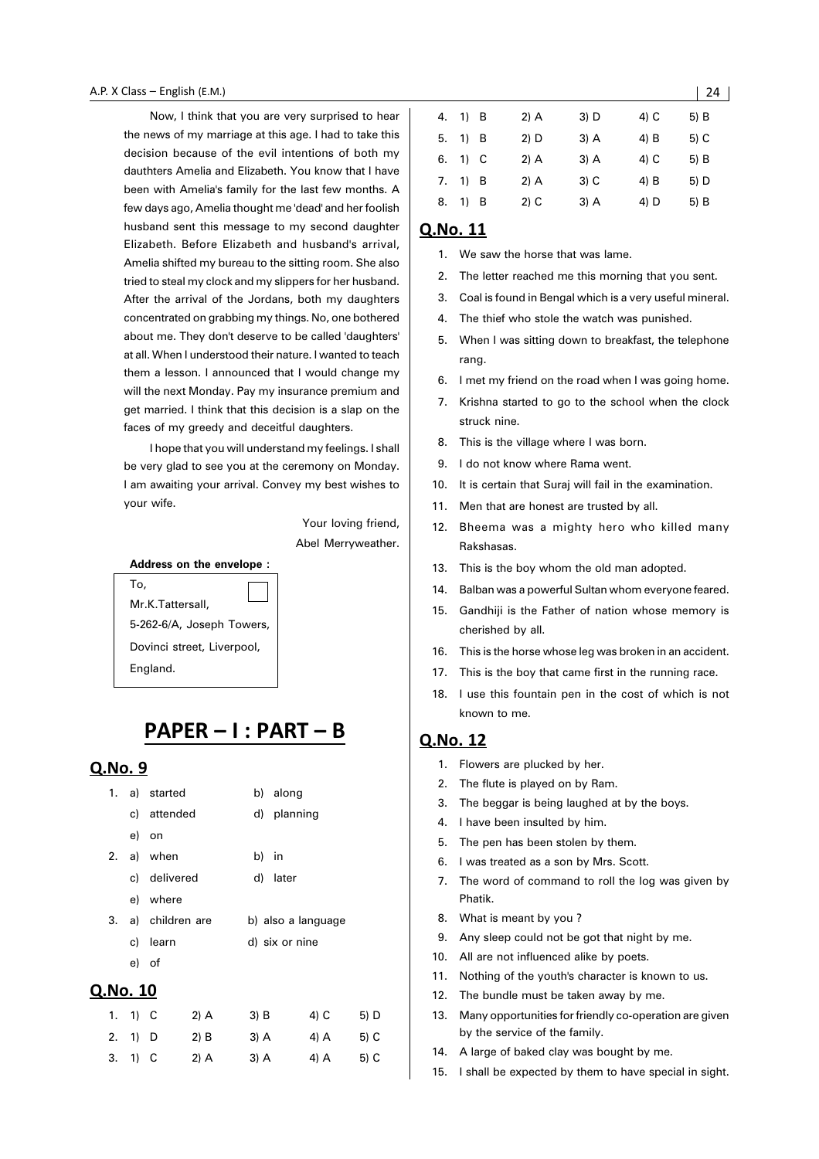Now, I think that you are very surprised to hear the news of my marriage at this age. I had to take this decision because of the evil intentions of both my dauthters Amelia and Elizabeth. You know that I have been with Amelia's family for the last few months. A few days ago, Amelia thought me 'dead' and her foolish husband sent this message to my second daughter Elizabeth. Before Elizabeth and husband's arrival, Amelia shifted my bureau to the sitting room. She also tried to steal my clock and my slippers for her husband. After the arrival of the Jordans, both my daughters concentrated on grabbing my things. No, one bothered about me. They don't deserve to be called 'daughters' at all. When I understood their nature. I wanted to teach them a lesson. I announced that I would change my will the next Monday. Pay my insurance premium and get married. I think that this decision is a slap on the faces of my greedy and deceitful daughters.

I hope that you will understand my feelings. I shall be very glad to see you at the ceremony on Monday. I am awaiting your arrival. Convey my best wishes to your wife.

> Your loving friend, Abel Merryweather.

#### **Address on the envelope :**

## To,

Mr.K.Tattersall, 5-262-6/A, Joseph Towers, Dovinci street, Liverpool, England.

## PAPER - I : PART - B

#### Q.No. 9

| 1.       |  | a) started         | b) along           |  |  |
|----------|--|--------------------|--------------------|--|--|
|          |  | c) attended        | d) planning        |  |  |
|          |  | e) on              |                    |  |  |
|          |  | 2. a) when         | b) in              |  |  |
|          |  | c) delivered       | d) later           |  |  |
|          |  | e) where           |                    |  |  |
|          |  | 3. a) children are | b) also a language |  |  |
|          |  | c) learn           | d) six or nine     |  |  |
|          |  | e) of              |                    |  |  |
| ≀.No. 10 |  |                    |                    |  |  |

| 1. 1) C | 2) A   | 3) B   | 4) C   | 5) D |
|---------|--------|--------|--------|------|
| 2. 1) D | $2)$ B | $3)$ A | $4)$ A | 5) C |
| 3. 1) C | $2)$ A | 3) A   | 4) A   | 5) C |

| 4. | 1) B |      | $2)$ A | $3)$ D | 4) C | 5) B |
|----|------|------|--------|--------|------|------|
| 5. | 1) B |      | 2) D   | $3)$ A | 4) B | 5) C |
| 6. |      | 1) C | 2) A   | $3)$ A | 4) C | 5) B |
| 7. | 1) B |      | $2)$ A | $3)$ C | 4) B | 5) D |
| 8. | 1)   | - B  | $2)$ C | $3)$ A | 4) D | 5) B |
|    |      |      |        |        |      |      |

#### Q.No. 11

- 1. We saw the horse that was lame.
- 2. The letter reached me this morning that you sent.
- 3. Coal is found in Bengal which is a very useful mineral.
- 4. The thief who stole the watch was punished.
- 5. When I was sitting down to breakfast, the telephone rang.
- 6. I met my friend on the road when I was going home.
- 7. Krishna started to go to the school when the clock struck nine.
- 8. This is the village where I was born.
- 9. I do not know where Rama went.
- 10. It is certain that Suraj will fail in the examination.
- 11. Men that are honest are trusted by all.
- 12. Bheema was a mighty hero who killed many Rakshasas.
- 13. This is the boy whom the old man adopted.
- 14. Balban was a powerful Sultan whom everyone feared.
- 15. Gandhiji is the Father of nation whose memory is cherished by all.
- 16. This is the horse whose leg was broken in an accident.
- 17. This is the boy that came first in the running race.
- 18. I use this fountain pen in the cost of which is not known to me.

- 1. Flowers are plucked by her.
- 2. The flute is played on by Ram.
- 3. The beggar is being laughed at by the boys.
- 4. I have been insulted by him.
- 5. The pen has been stolen by them.
- 6. I was treated as a son by Mrs. Scott.
- 7. The word of command to roll the log was given by Phatik.
- 8. What is meant by you ?
- 9. Any sleep could not be got that night by me.
- 10. All are not influenced alike by poets.
- 11. Nothing of the youth's character is known to us.
- 12. The bundle must be taken away by me.
- 13. Many opportunities for friendly co-operation are given by the service of the family.
- 14. A large of baked clay was bought by me.
- 15. I shall be expected by them to have special in sight.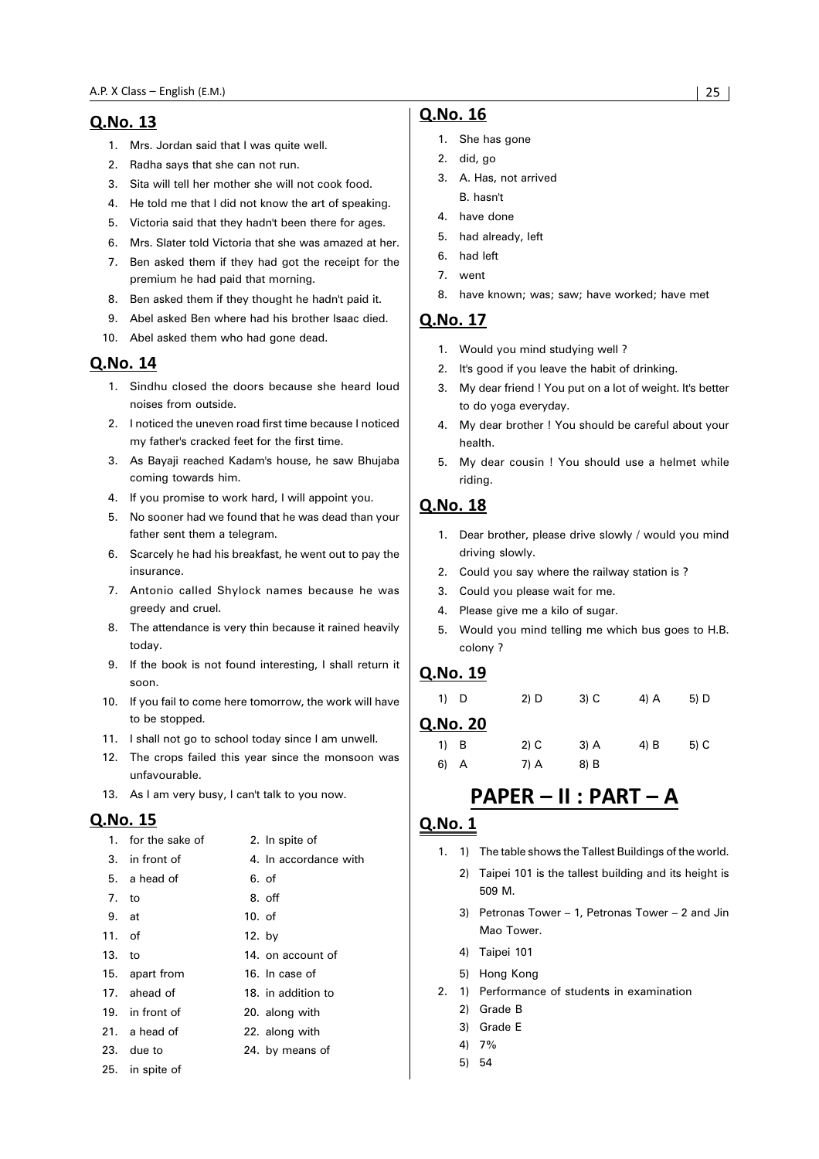- 1. Mrs. Jordan said that I was quite well.
- 2. Radha says that she can not run.
- 3. Sita will tell her mother she will not cook food.
- 4. He told me that I did not know the art of speaking.
- 5. Victoria said that they hadn't been there for ages.
- 6. Mrs. Slater told Victoria that she was amazed at her.
- 7. Ben asked them if they had got the receipt for the premium he had paid that morning.
- 8. Ben asked them if they thought he hadn't paid it.
- 9. Abel asked Ben where had his brother Isaac died.
- 10. Abel asked them who had gone dead.

#### Q.No. 14

- 1. Sindhu closed the doors because she heard loud noises from outside.
- 2. I noticed the uneven road first time because I noticed my father's cracked feet for the first time.
- 3. As Bayaji reached Kadam's house, he saw Bhujaba coming towards him.
- 4. If you promise to work hard, I will appoint you.
- 5. No sooner had we found that he was dead than your father sent them a telegram.
- 6. Scarcely he had his breakfast, he went out to pay the insurance.
- 7. Antonio called Shylock names because he was greedy and cruel.
- 8. The attendance is very thin because it rained heavily today.
- 9. If the book is not found interesting, I shall return it soon.
- 10. If you fail to come here tomorrow, the work will have to be stopped.
- 11. I shall not go to school today since I am unwell.
- 12. The crops failed this year since the monsoon was unfavourable.
- 13. As I am very busy, I can't talk to you now.

#### Q.No. 15

|          | 1. for the sake of | 2. In spite of        |
|----------|--------------------|-----------------------|
|          | 3. in front of     | 4. In accordance with |
|          | 5. a head of       | 6. of                 |
| 7. to    |                    | 8. off                |
| 9. at    |                    | $10.$ of              |
| $11.$ of |                    | 12. by                |
| 13. to   |                    | 14. on account of     |
|          | 15. apart from     | 16. In case of        |
|          | 17. ahead of       | 18. in addition to    |
|          | 19. in front of    | 20. along with        |
|          | 21. a head of      | 22. along with        |
|          | 23. due to         | 24. by means of       |
|          | 25. in spite of    |                       |

#### Q.No. 16

- 1. She has gone
- 2. did, go
- 3. A. Has, not arrived B. hasn't
- 4. have done
- 5. had already, left
- 6. had left
- 7. went
- 8. have known; was; saw; have worked; have met

#### Q.No. 17

- 1. Would you mind studying well ?
- 2. It's good if you leave the habit of drinking.
- 3. My dear friend ! You put on a lot of weight. It's better to do yoga everyday.
- 4. My dear brother ! You should be careful about your health.
- 5. My dear cousin ! You should use a helmet while riding.

#### **O.No. 18**

- 1. Dear brother, please drive slowly / would you mind driving slowly.
- 2. Could you say where the railway station is ?
- 3. Could you please wait for me.
- 4. Please give me a kilo of sugar.
- 5. Would you mind telling me which bus goes to H.B. colony ?

#### Q.No. 19

| 1) D     | 2) D   | $3)$ C | 4) A | 5) D |
|----------|--------|--------|------|------|
| Q.No. 20 |        |        |      |      |
| 1) B     | $2)$ C | $3)$ A | 4) B | 5) C |
| 6) A     | 7) A   | 8) B   |      |      |

## PAPER - II : PART - A

- 1. 1) The table shows the Tallest Buildings of the world.
	- 2) Taipei 101 is the tallest building and its height is 509 M.
	- 3) Petronas Tower 1, Petronas Tower 2 and Jin Mao Tower.
	- 4) Taipei 101
	- 5) Hong Kong
- 2. 1) Performance of students in examination
	- 2) Grade B
	- 3) Grade E
	- 4) 7%
	- 5) 54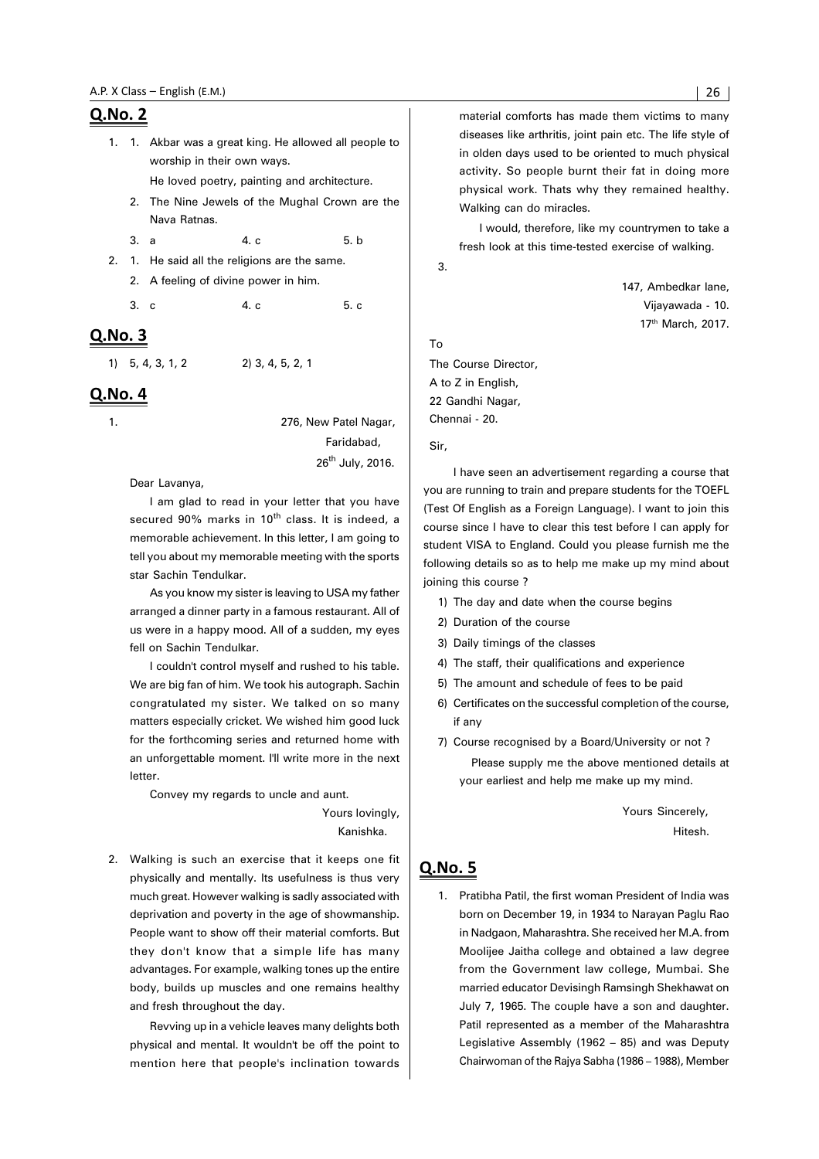1. 1. Akbar was a great king. He allowed all people to worship in their own ways.

He loved poetry, painting and architecture.

2. The Nine Jewels of the Mughal Crown are the Nava Ratnas.

3. a 4. c 5. b

- 2. 1. He said all the religions are the same.
	- 2. A feeling of divine power in him.

3. c 4. c 5. c

#### Q.No. 3

1) 5, 4, 3, 1, 2 2) 3, 4, 5, 2, 1

#### Q.No. 4

1. 276, New Patel Nagar, Faridabad, 26<sup>th</sup> July, 2016.

Dear Lavanya,

I am glad to read in your letter that you have secured 90% marks in 10<sup>th</sup> class. It is indeed, a memorable achievement. In this letter, I am going to tell you about my memorable meeting with the sports star Sachin Tendulkar.

As you know my sister is leaving to USA my father arranged a dinner party in a famous restaurant. All of us were in a happy mood. All of a sudden, my eyes fell on Sachin Tendulkar.

I couldn't control myself and rushed to his table. We are big fan of him. We took his autograph. Sachin congratulated my sister. We talked on so many matters especially cricket. We wished him good luck for the forthcoming series and returned home with an unforgettable moment. I'll write more in the next letter.

Convey my regards to uncle and aunt.

 Yours lovingly, Kanishka.

2. Walking is such an exercise that it keeps one fit physically and mentally. Its usefulness is thus very much great. However walking is sadly associated with deprivation and poverty in the age of showmanship. People want to show off their material comforts. But they don't know that a simple life has many advantages. For example, walking tones up the entire body, builds up muscles and one remains healthy and fresh throughout the day.

Revving up in a vehicle leaves many delights both physical and mental. It wouldn't be off the point to mention here that people's inclination towards material comforts has made them victims to many diseases like arthritis, joint pain etc. The life style of in olden days used to be oriented to much physical activity. So people burnt their fat in doing more physical work. Thats why they remained healthy. Walking can do miracles.

I would, therefore, like my countrymen to take a fresh look at this time-tested exercise of walking.

3.

147, Ambedkar lane Vijayawada - 10. 17th March, 2017.

#### To

The Course Director, A to Z in English, 22 Gandhi Nagar, Chennai - 20.

Sir,

I have seen an advertisement regarding a course that you are running to train and prepare students for the TOEFL (Test Of English as a Foreign Language). I want to join this course since I have to clear this test before I can apply for student VISA to England. Could you please furnish me the following details so as to help me make up my mind about joining this course ?

- 1) The day and date when the course begins
- 2) Duration of the course
- 3) Daily timings of the classes
- 4) The staff, their qualifications and experience
- 5) The amount and schedule of fees to be paid
- 6) Certificates on the successful completion of the course, if any
- 7) Course recognised by a Board/University or not ? Please supply me the above mentioned details at your earliest and help me make up my mind.

Yours Sincerely, Hitesh.

#### Q.No. 5

1. Pratibha Patil, the first woman President of India was born on December 19, in 1934 to Narayan Paglu Rao in Nadgaon, Maharashtra. She received her M.A. from Moolijee Jaitha college and obtained a law degree from the Government law college, Mumbai. She married educator Devisingh Ramsingh Shekhawat on July 7, 1965. The couple have a son and daughter. Patil represented as a member of the Maharashtra Legislative Assembly (1962 – 85) and was Deputy Chairwoman of the Rajya Sabha (1986 – 1988), Member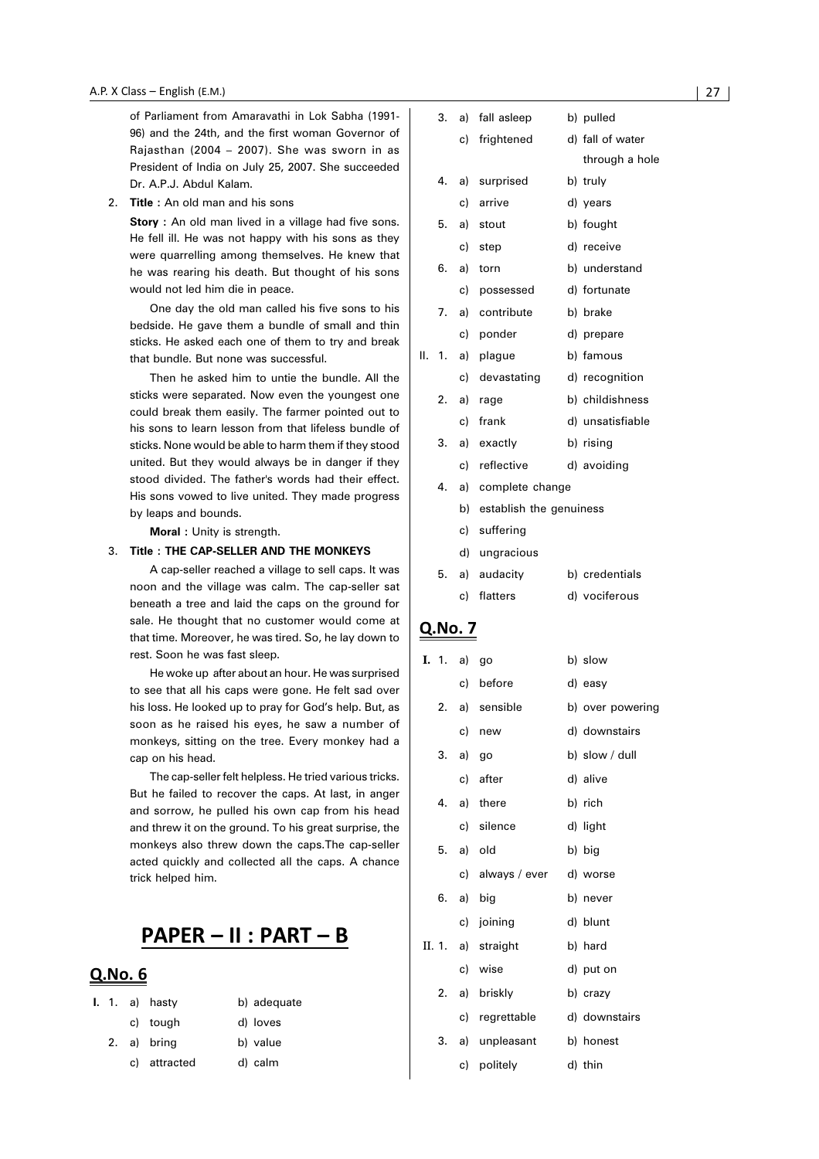of Parliament from Amaravathi in Lok Sabha (1991- 96) and the 24th, and the first woman Governor of Rajasthan (2004 – 2007). She was sworn in as President of India on July 25, 2007. She succeeded Dr. A.P.J. Abdul Kalam.

2. **Title :** An old man and his sons

**Story** : An old man lived in a village had five sons. He fell ill. He was not happy with his sons as they were quarrelling among themselves. He knew that he was rearing his death. But thought of his sons would not led him die in peace.

One day the old man called his five sons to his bedside. He gave them a bundle of small and thin sticks. He asked each one of them to try and break that bundle. But none was successful.

Then he asked him to untie the bundle. All the sticks were separated. Now even the youngest one could break them easily. The farmer pointed out to his sons to learn lesson from that lifeless bundle of sticks. None would be able to harm them if they stood united. But they would always be in danger if they stood divided. The father's words had their effect. His sons vowed to live united. They made progress by leaps and bounds.

**Moral :** Unity is strength.

#### 3. **Title : THE CAP-SELLER AND THE MONKEYS**

A cap-seller reached a village to sell caps. It was noon and the village was calm. The cap-seller sat beneath a tree and laid the caps on the ground for sale. He thought that no customer would come at that time. Moreover, he was tired. So, he lay down to rest. Soon he was fast sleep.

He woke up after about an hour. He was surprised to see that all his caps were gone. He felt sad over his loss. He looked up to pray for God's help. But, as soon as he raised his eyes, he saw a number of monkeys, sitting on the tree. Every monkey had a cap on his head.

The cap-seller felt helpless. He tried various tricks. But he failed to recover the caps. At last, in anger and sorrow, he pulled his own cap from his head and threw it on the ground. To his great surprise, the monkeys also threw down the caps.The cap-seller acted quickly and collected all the caps. A chance trick helped him.

## PAPER - II : PART - B

#### Q.No. 6

|  | <b>I.</b> 1. a) hasty | b) adequate |
|--|-----------------------|-------------|
|  | c) tough              | d) loves    |
|  | 2. a) bring           | b) value    |
|  | c) attracted          | d) calm     |

|    | 3. | a) | fall asleep                | b) pulled        |
|----|----|----|----------------------------|------------------|
|    |    | c) | frightened                 | d) fall of water |
|    |    |    |                            | through a hole   |
|    | 4. | a) | surprised                  | b) truly         |
|    |    | c) | arrive                     | d) years         |
|    | 5. | a) | stout                      | b) fought        |
|    |    | c) | step                       | d) receive       |
|    | 6. | a) | torn                       | b) understand    |
|    |    | C) | possessed                  | d) fortunate     |
|    | 7. | a) | contribute                 | b) brake         |
|    |    |    | c) ponder                  | d) prepare       |
| Н. | 1. | a) | plague                     | b) famous        |
|    |    | c) | devastating                | d) recognition   |
|    | 2. | a) | rage                       | b) childishness  |
|    |    | c) | frank                      | d) unsatisfiable |
|    | 3. | a) | exactly                    | b) rising        |
|    |    | c) | reflective                 | d) avoiding      |
|    | 4. | a) | complete change            |                  |
|    |    |    | b) establish the genuiness |                  |
|    |    | c) | suffering                  |                  |
|    |    | d) | ungracious                 |                  |
|    | 5. | a) | audacity                   | b) credentials   |
|    |    | c) | flatters                   | d) vociferous    |
|    |    |    |                            |                  |

| I. 1. | a)       | go                 | b) slow          |
|-------|----------|--------------------|------------------|
|       | c)       | before             | d) easy          |
| 2. a) |          | sensible           | b) over powering |
|       | c)       | new                | d) downstairs    |
|       | 3. a) go |                    | b) slow / dull   |
|       |          | c) after           | d) alive         |
|       |          | 4. a) there        | b) rich          |
|       |          | c) silence         | d) light         |
|       |          | 5. a) old          | b) big           |
|       |          | c) always / ever   | d) worse         |
|       |          | 6. a) big          | b) never         |
|       |          | c) joining         | d) blunt         |
|       |          | II. 1. a) straight | b) hard          |
|       |          | c) wise            | d) put on        |
|       |          | 2. a) briskly      | b) crazy         |
|       |          | c) regrettable     | d) downstairs    |
| 3.    |          | a) unpleasant      | b) honest        |
|       |          | c) politely        | d) thin          |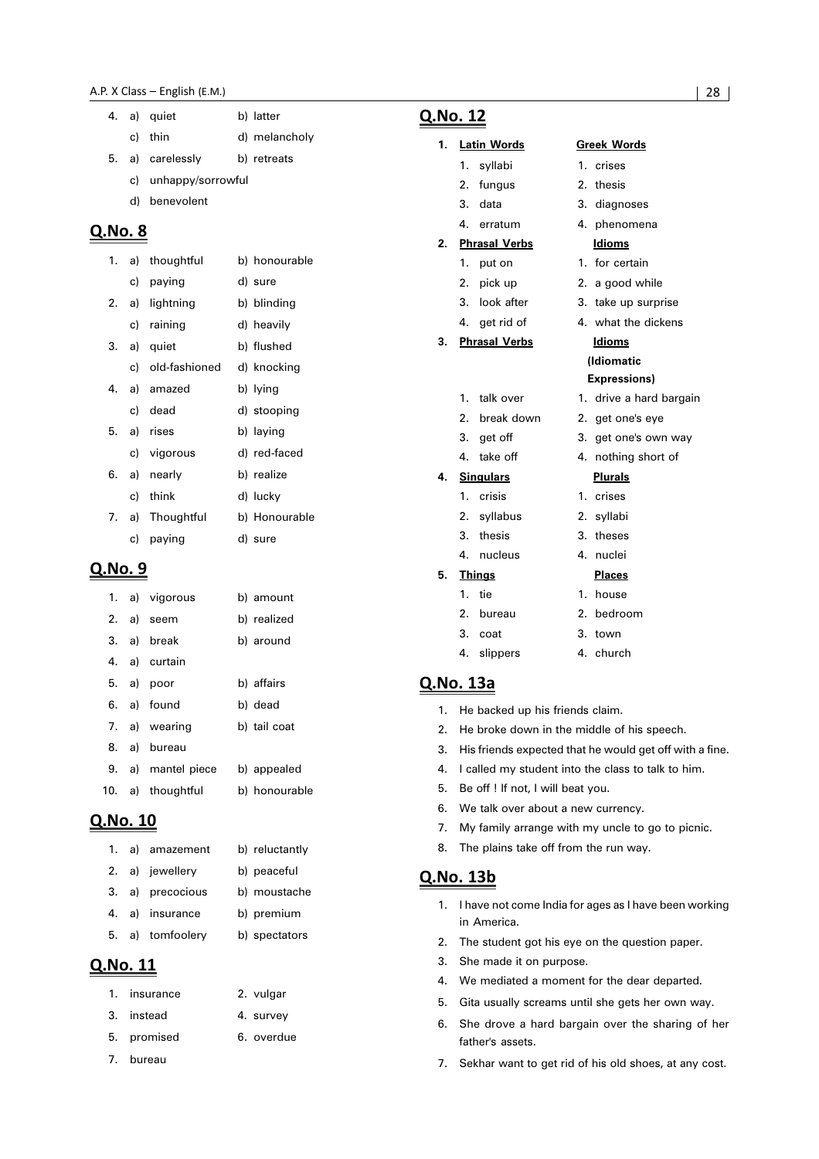- c) thin d) melancholy
- 5. a) carelessly b) retreats
	- c) unhappy/sorrowful
	- d) benevolent

| 1. |    | a) thoughtful    | b) honourable |
|----|----|------------------|---------------|
|    |    | c) paying        | d) sure       |
| 2. |    | a) lightning     | b) blinding   |
|    |    | c) raining       | d) heavily    |
| 3. |    | a) quiet         | b) flushed    |
|    |    | c) old-fashioned | d) knocking   |
| 4. |    | a) amazed        | b) lying      |
|    |    | c) dead          | d) stooping   |
| 5. |    | a) rises         | b) laying     |
|    |    | c) vigorous      | d) red-faced  |
| 6. |    | a) nearly        | b) realize    |
|    | c) | think            | d) lucky      |
|    |    | 7. a) Thoughtful | b) Honourable |
|    | C) | paying           | d) sure       |
|    |    |                  |               |

#### Q.No. 9

|  | 1. a) vigorous     | b) amount     |
|--|--------------------|---------------|
|  | 2. a) seem         | b) realized   |
|  | 3. a) break        | b) around     |
|  | 4. a) curtain      |               |
|  | 5. a) poor         | b) affairs    |
|  | 6. a) found        | b) dead       |
|  | 7. a) wearing      | b) tail coat  |
|  | 8. a) bureau       |               |
|  | 9. a) mantel piece | b) appealed   |
|  | 10. a) thoughtful  | b) honourable |

#### Q.No. 10

|  | 1. a) amazement  | b) reluctantly |
|--|------------------|----------------|
|  | 2. a) jewellery  | b) peaceful    |
|  | 3. a) precocious | b) moustache   |
|  | 4. a) insurance  | b) premium     |
|  | 5. a) tomfoolery | b) spectators  |

#### Q.No. 11

| 1. insurance | 2. vulgar  |
|--------------|------------|
| 3. instead   | 4. survey  |
| 5. promised  | 6. overdue |

7. bureau

#### Q.No. 12

## **1. Latin Words Greek Words**

- 1. syllabi 1. crises 2. fungus 2. thesis 3. data 3. diagnoses
- 4. erratum 4. phenomena

#### **2. Phrasal Verbs Idioms**

- 1. put on 1. for certain
- 2. pick up 2. a good while
- 3. look after 3. take up surprise
- 4. get rid of 4. what the dickens

#### **3. Phrasal Verbs Idioms**

- 1. talk over 1. drive a hard bargain
- 2. break down 2. get one's eye
- 3. get off 3. get one's own way
- 4. take off 4. nothing short of

#### **4. Singulars Plurals**

- 1. crisis 1. crises 2. syllabus 2. syllabi 3. thesis 3. theses 4. nucleus 4. nuclei **5. Things Places** 1. tie 1. house 2. bureau 2. bedroom 3. coat 3. town 4. slippers 4. church
- Q.No. 13a
	- 1. He backed up his friends claim.
	- 2. He broke down in the middle of his speech.
	- 3. His friends expected that he would get off with a fine.

**(Idiomatic Expressions)**

- 4. I called my student into the class to talk to him.
- 5. Be off ! If not, I will beat you.
- 6. We talk over about a new currency.
- 7. My family arrange with my uncle to go to picnic.
- 8. The plains take off from the run way.

#### Q.No. 13b

- 1. I have not come India for ages as I have been working in America.
- 2. The student got his eye on the question paper.
- 3. She made it on purpose.
- 4. We mediated a moment for the dear departed.
- 5. Gita usually screams until she gets her own way.
- 6. She drove a hard bargain over the sharing of her father's assets.
- 7. Sekhar want to get rid of his old shoes, at any cost.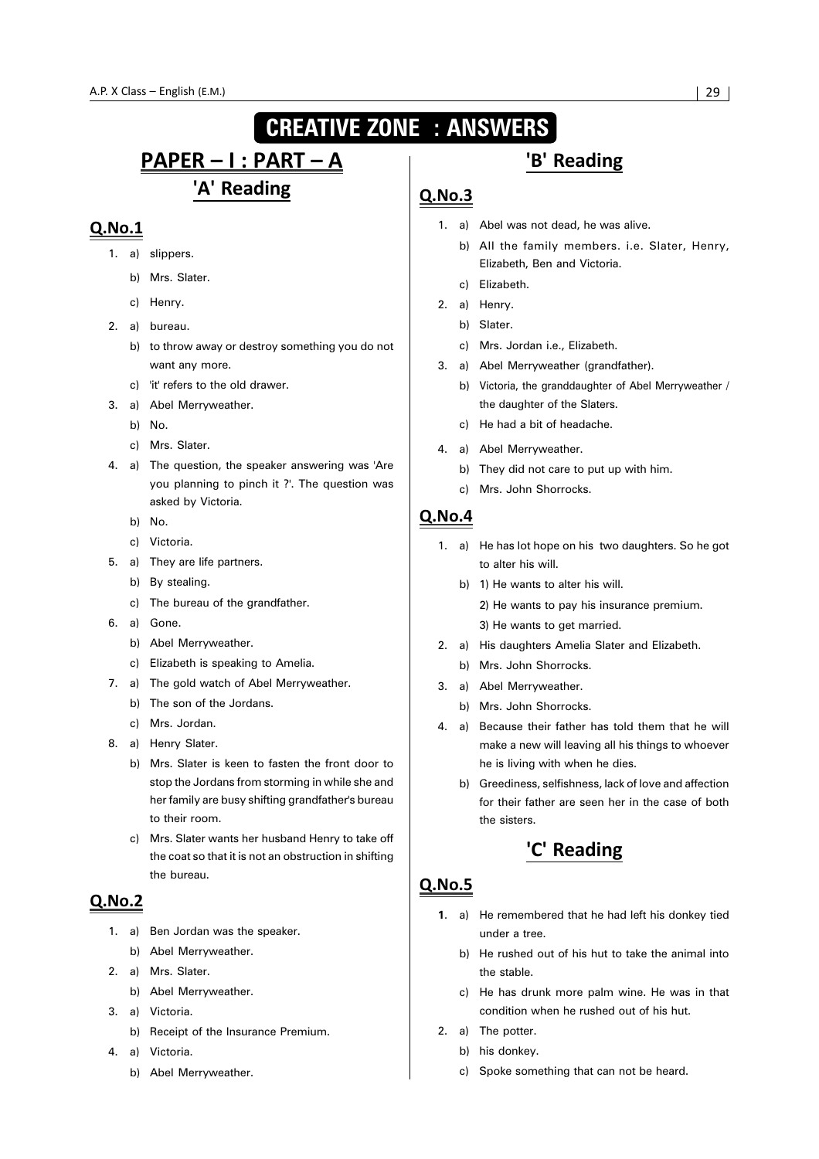## **CREATIVE ZONE : ANSWERS**

## <u> PAPER – I : PART – A</u> 'A' Reading

#### $Q.No.1$

- 1. a) slippers.
	- b) Mrs. Slater.
	- c) Henry.
- 2. a) bureau.
	- b) to throw away or destroy something you do not want any more.
	- c) 'it' refers to the old drawer.
- 3. a) Abel Merryweather.
	- b) No.
	- c) Mrs. Slater.
- 4. a) The question, the speaker answering was 'Are you planning to pinch it ?'. The question was asked by Victoria.
	- b) No.
	- c) Victoria.
- 5. a) They are life partners.
	- b) By stealing.
	- c) The bureau of the grandfather.
- 6. a) Gone.
	- b) Abel Merryweather.
	- c) Elizabeth is speaking to Amelia.
- 7. a) The gold watch of Abel Merryweather.
	- b) The son of the Jordans.
	- c) Mrs. Jordan.
- 8. a) Henry Slater.
	- b) Mrs. Slater is keen to fasten the front door to stop the Jordans from storming in while she and her family are busy shifting grandfather's bureau to their room.
	- c) Mrs. Slater wants her husband Henry to take off the coat so that it is not an obstruction in shifting the bureau.

#### **Q.No.2**

- 1. a) Ben Jordan was the speaker.
	- b) Abel Merryweather.
- 2. a) Mrs. Slater.
	- b) Abel Merryweather.
- 3. a) Victoria.
	- b) Receipt of the Insurance Premium.
- 4. a) Victoria.
	- b) Abel Merryweather.

## 'B' Reading

#### $Q.No.3$

- 1. a) Abel was not dead, he was alive.
	- b) All the family members. i.e. Slater, Henry, Elizabeth, Ben and Victoria.
	- c) Elizabeth.
- 2. a) Henry.
	- b) Slater.
	- c) Mrs. Jordan i.e., Elizabeth.
- 3. a) Abel Merryweather (grandfather).
	- b) Victoria, the granddaughter of Abel Merryweather / the daughter of the Slaters.
	- c) He had a bit of headache.
- 4. a) Abel Merryweather.
	- b) They did not care to put up with him.
	- c) Mrs. John Shorrocks.

#### $QNO.4$

- 1. a) He has lot hope on his two daughters. So he got to alter his will.
	- b) 1) He wants to alter his will.
		- 2) He wants to pay his insurance premium.
		- 3) He wants to get married.
- 2. a) His daughters Amelia Slater and Elizabeth.
	- b) Mrs. John Shorrocks.
- 3. a) Abel Merryweather.
	- b) Mrs. John Shorrocks.
- 4. a) Because their father has told them that he will make a new will leaving all his things to whoever he is living with when he dies.
	- b) Greediness, selfishness, lack of love and affection for their father are seen her in the case of both the sisters.

## 'C' Reading

- **1**. a) He remembered that he had left his donkey tied under a tree.
	- b) He rushed out of his hut to take the animal into the stable.
	- c) He has drunk more palm wine. He was in that condition when he rushed out of his hut.
- 2. a) The potter.
	- b) his donkey.
	- c) Spoke something that can not be heard.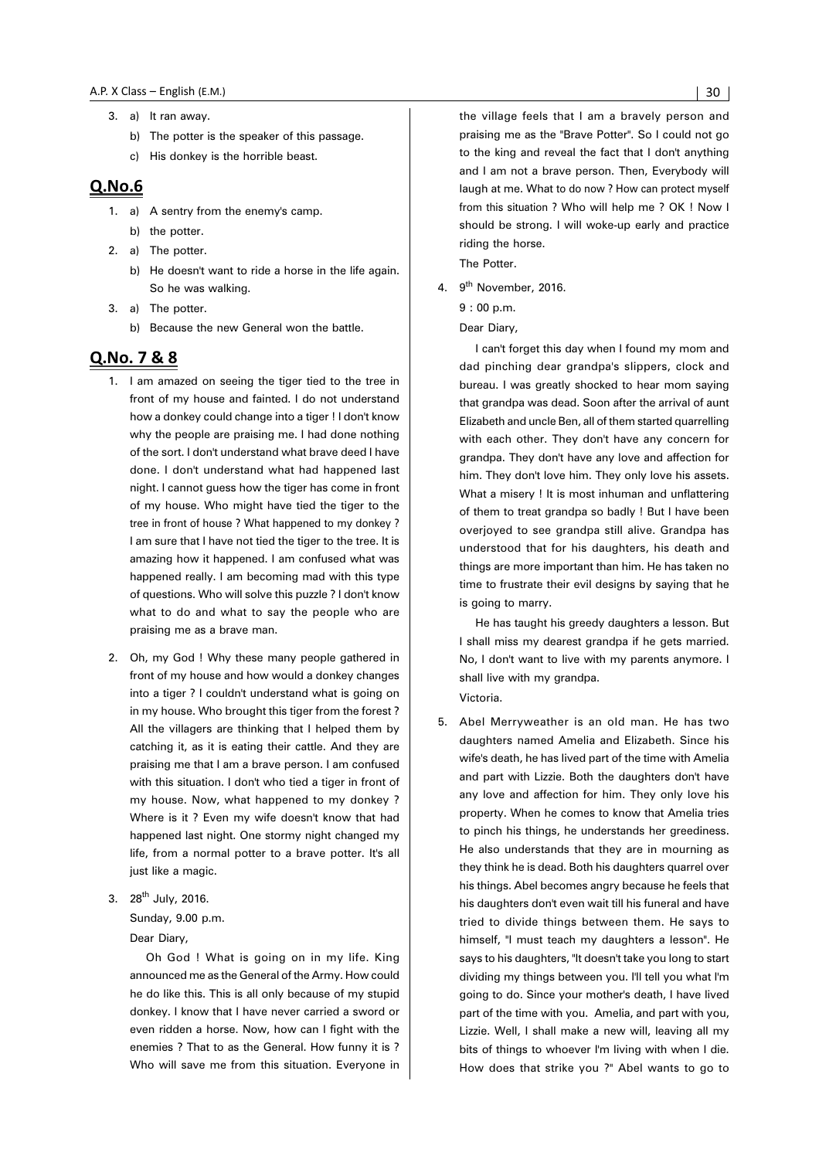- 3. a) It ran away.
	- b) The potter is the speaker of this passage.
	- c) His donkey is the horrible beast.

- 1. a) A sentry from the enemy's camp. b) the potter.
- 2. a) The potter.
	- b) He doesn't want to ride a horse in the life again. So he was walking.
- 3. a) The potter.
	- b) Because the new General won the battle.

#### Q.No. 7 & 8

- 1. I am amazed on seeing the tiger tied to the tree in front of my house and fainted. I do not understand how a donkey could change into a tiger ! I don't know why the people are praising me. I had done nothing of the sort. I don't understand what brave deed I have done. I don't understand what had happened last night. I cannot guess how the tiger has come in front of my house. Who might have tied the tiger to the tree in front of house ? What happened to my donkey ? I am sure that I have not tied the tiger to the tree. It is amazing how it happened. I am confused what was happened really. I am becoming mad with this type of questions. Who will solve this puzzle ? I don't know what to do and what to say the people who are praising me as a brave man.
- 2. Oh, my God ! Why these many people gathered in front of my house and how would a donkey changes into a tiger ? I couldn't understand what is going on in my house. Who brought this tiger from the forest ? All the villagers are thinking that I helped them by catching it, as it is eating their cattle. And they are praising me that I am a brave person. I am confused with this situation. I don't who tied a tiger in front of my house. Now, what happened to my donkey ? Where is it ? Even my wife doesn't know that had happened last night. One stormy night changed my life, from a normal potter to a brave potter. It's all just like a magic.
- 3. 28<sup>th</sup> July, 2016.

Sunday, 9.00 p.m.

Dear Diary,

Oh God ! What is going on in my life. King announced me as the General of the Army. How could he do like this. This is all only because of my stupid donkey. I know that I have never carried a sword or even ridden a horse. Now, how can I fight with the enemies ? That to as the General. How funny it is ? Who will save me from this situation. Everyone in the village feels that I am a bravely person and praising me as the "Brave Potter". So I could not go to the king and reveal the fact that I don't anything and I am not a brave person. Then, Everybody will laugh at me. What to do now ? How can protect myself from this situation ? Who will help me ? OK ! Now I should be strong. I will woke-up early and practice riding the horse. The Potter.

4. 9<sup>th</sup> November, 2016.

#### 9 : 00 p.m.

Dear Diary,

I can't forget this day when I found my mom and dad pinching dear grandpa's slippers, clock and bureau. I was greatly shocked to hear mom saying that grandpa was dead. Soon after the arrival of aunt Elizabeth and uncle Ben, all of them started quarrelling with each other. They don't have any concern for grandpa. They don't have any love and affection for him. They don't love him. They only love his assets. What a misery ! It is most inhuman and unflattering of them to treat grandpa so badly ! But I have been overjoyed to see grandpa still alive. Grandpa has understood that for his daughters, his death and things are more important than him. He has taken no time to frustrate their evil designs by saying that he is going to marry.

He has taught his greedy daughters a lesson. But I shall miss my dearest grandpa if he gets married. No, I don't want to live with my parents anymore. I shall live with my grandpa.

Victoria.

5. Abel Merryweather is an old man. He has two daughters named Amelia and Elizabeth. Since his wife's death, he has lived part of the time with Amelia and part with Lizzie. Both the daughters don't have any love and affection for him. They only love his property. When he comes to know that Amelia tries to pinch his things, he understands her greediness. He also understands that they are in mourning as they think he is dead. Both his daughters quarrel over his things. Abel becomes angry because he feels that his daughters don't even wait till his funeral and have tried to divide things between them. He says to himself, "I must teach my daughters a lesson". He says to his daughters, "It doesn't take you long to start dividing my things between you. I'll tell you what I'm going to do. Since your mother's death, I have lived part of the time with you. Amelia, and part with you, Lizzie. Well, I shall make a new will, leaving all my bits of things to whoever I'm living with when I die. How does that strike you ?" Abel wants to go to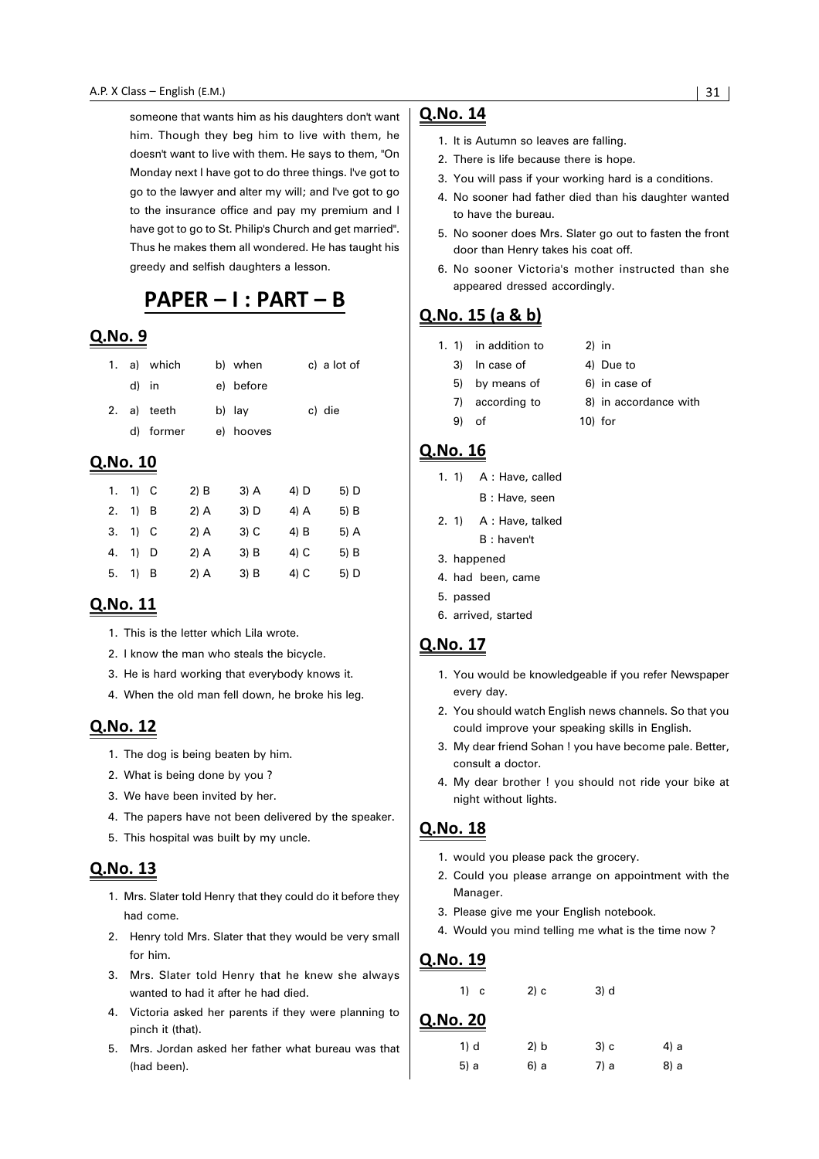someone that wants him as his daughters don't want him. Though they beg him to live with them, he doesn't want to live with them. He says to them, "On Monday next I have got to do three things. I've got to go to the lawyer and alter my will; and I've got to go to the insurance office and pay my premium and I have got to go to St. Philip's Church and get married". Thus he makes them all wondered. He has taught his greedy and selfish daughters a lesson.

## PAPER - I : PART - B

#### Q.No. 9

|       | 1. a) which | b) when   | c) a lot of |
|-------|-------------|-----------|-------------|
| d) in |             | e) before |             |
|       | 2. a) teeth | b) lay    | c) die      |
|       | d) former   | e) hooves |             |

#### Q.No. 10

| 1. | $1)$ C  | $2)$ B | $3)$ A | 4) D   | 5) D   |
|----|---------|--------|--------|--------|--------|
|    | 2. 1) B | $2)$ A | $3)$ D | $4)$ A | 5) B   |
|    | 3. 1) C | $2)$ A | $3)$ C | $4)$ B | $5)$ A |
| 4. | $1)$ D  | $2)$ A | $3)$ B | 4) C   | 5) B   |
| 5. | $1)$ B  | $2)$ A | $3)$ B | 4) C   | 5) D   |

#### Q.No. 11

- 1. This is the letter which Lila wrote.
- 2. I know the man who steals the bicycle.
- 3. He is hard working that everybody knows it.
- 4. When the old man fell down, he broke his leg.

#### Q.No. 12

- 1. The dog is being beaten by him.
- 2. What is being done by you ?
- 3. We have been invited by her.
- 4. The papers have not been delivered by the speaker.
- 5. This hospital was built by my uncle.

#### Q.No. 13

- 1. Mrs. Slater told Henry that they could do it before they had come.
- 2. Henry told Mrs. Slater that they would be very small for him.
- 3. Mrs. Slater told Henry that he knew she always wanted to had it after he had died.
- 4. Victoria asked her parents if they were planning to pinch it (that).
- 5. Mrs. Jordan asked her father what bureau was that (had been).

#### Q.No. 14

- 1. It is Autumn so leaves are falling.
- 2. There is life because there is hope.
- 3. You will pass if your working hard is a conditions.
- 4. No sooner had father died than his daughter wanted to have the bureau.
- 5. No sooner does Mrs. Slater go out to fasten the front door than Henry takes his coat off.
- 6. No sooner Victoria's mother instructed than she appeared dressed accordingly.

#### Q.No. 15 (a & b)

- 1. 1) in addition to 2) in
	- 3) In case of 4) Due to
	- 5) by means of 6) in case of
	- 7) according to 8) in accordance with
	- 9) of 10) for

#### Q.No. 16

|  |  | 1. 1) A : Have, called |
|--|--|------------------------|
|  |  |                        |

- B : Have, seen
- 2. 1) A : Have, talked B : haven't
- 3. happened
- 4. had been, came
- 5. passed
- 6. arrived, started

#### Q.No. 17

- 1. You would be knowledgeable if you refer Newspaper every day.
- 2. You should watch English news channels. So that you could improve your speaking skills in English.
- 3. My dear friend Sohan ! you have become pale. Better, consult a doctor.
- 4. My dear brother ! you should not ride your bike at night without lights.

#### Q.No. 18

- 1. would you please pack the grocery.
- 2. Could you please arrange on appointment with the Manager.
- 3. Please give me your English notebook.
- 4. Would you mind telling me what is the time now ?

| $1)$ c   | 2) c | $3)$ d |      |
|----------|------|--------|------|
| Q.No. 20 |      |        |      |
| 1) d     | 2) b | 3) c   | 4) a |
| 5) a     | 6) a | 7) a   | 8) a |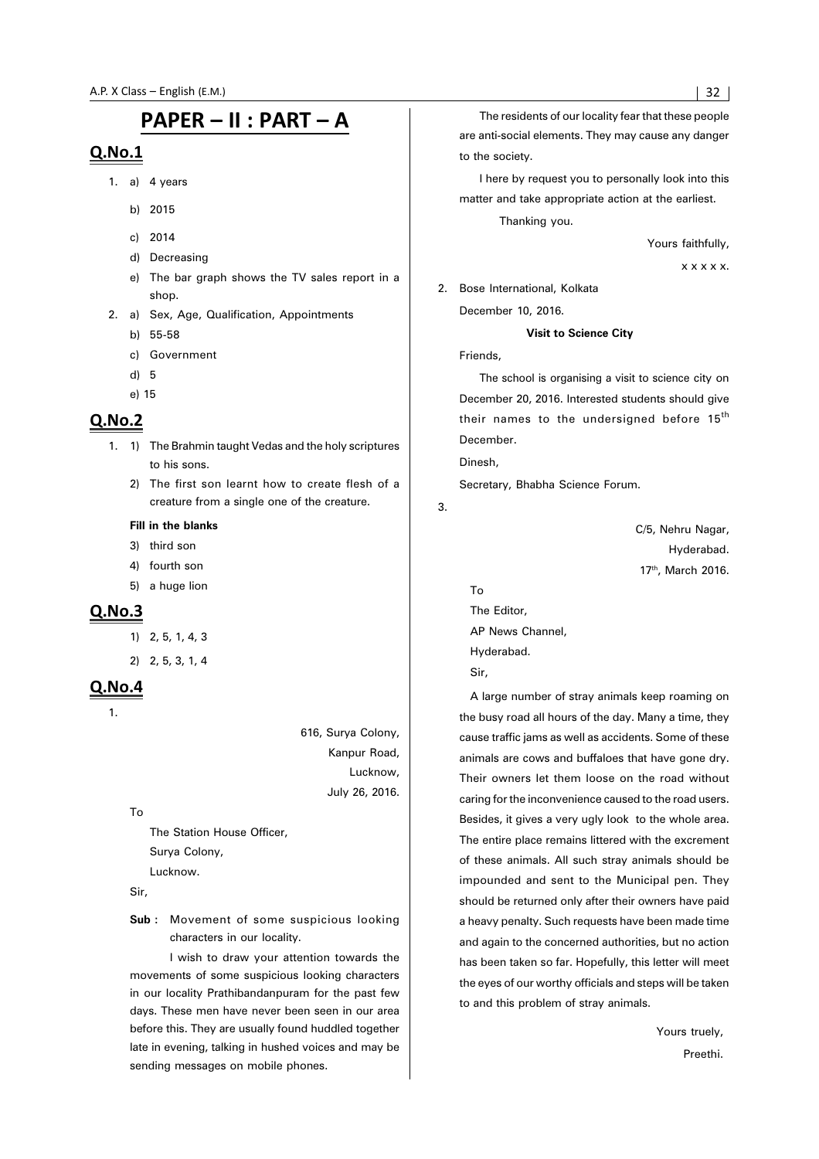## PAPER - II : PART - A

#### $Q.No.1$

- 1. a)  $4 \text{ years}$ 
	- b) 2015
	- c) 2014
	- d) Decreasing
	- e) The bar graph shows the TV sales report in a shop.
- 2. a) Sex, Age, Qualification, Appointments b) 55-58
	- c) Government
	- d) 5
	- e) 15

#### **Q.No.2**

- 1. 1) The Brahmin taught Vedas and the holy scriptures to his sons.
	- 2) The first son learnt how to create flesh of a creature from a single one of the creature.

#### **Fill in the blanks**

- 3) third son
- 4) fourth son
- 5) a huge lion

#### $Q.No.3$

- 1) 2, 5, 1, 4, 3
- 2) 2, 5, 3, 1, 4

#### $Q.No.4$

616, Surya Colony, Kanpur Road, Lucknow, July 26, 2016.

To

The Station House Officer, Surya Colony, Lucknow.

Sir,

**Sub :** Movement of some suspicious looking characters in our locality.

I wish to draw your attention towards the movements of some suspicious looking characters in our locality Prathibandanpuram for the past few days. These men have never been seen in our area before this. They are usually found huddled together late in evening, talking in hushed voices and may be sending messages on mobile phones.

The residents of our locality fear that these people are anti-social elements. They may cause any danger to the society.

I here by request you to personally look into this matter and take appropriate action at the earliest.

Thanking you.

Yours faithfully,

x x x x x.

2. Bose International, Kolkata

December 10, 2016.

#### **Visit to Science City**

Friends,

The school is organising a visit to science city on December 20, 2016. Interested students should give their names to the undersigned before 15<sup>th</sup> December.

Dinesh,

Secretary, Bhabha Science Forum.

3.

C/5, Nehru Nagar, Hyderabad. 17<sup>th</sup>, March 2016.

To

The Editor, AP News Channel, Hyderabad. Sir,

A large number of stray animals keep roaming on the busy road all hours of the day. Many a time, they cause traffic jams as well as accidents. Some of these animals are cows and buffaloes that have gone dry. Their owners let them loose on the road without caring for the inconvenience caused to the road users. Besides, it gives a very ugly look to the whole area. The entire place remains littered with the excrement of these animals. All such stray animals should be impounded and sent to the Municipal pen. They should be returned only after their owners have paid a heavy penalty. Such requests have been made time and again to the concerned authorities, but no action has been taken so far. Hopefully, this letter will meet the eyes of our worthy officials and steps will be taken to and this problem of stray animals.

> Yours truely, Preethi.

<sup>1.</sup>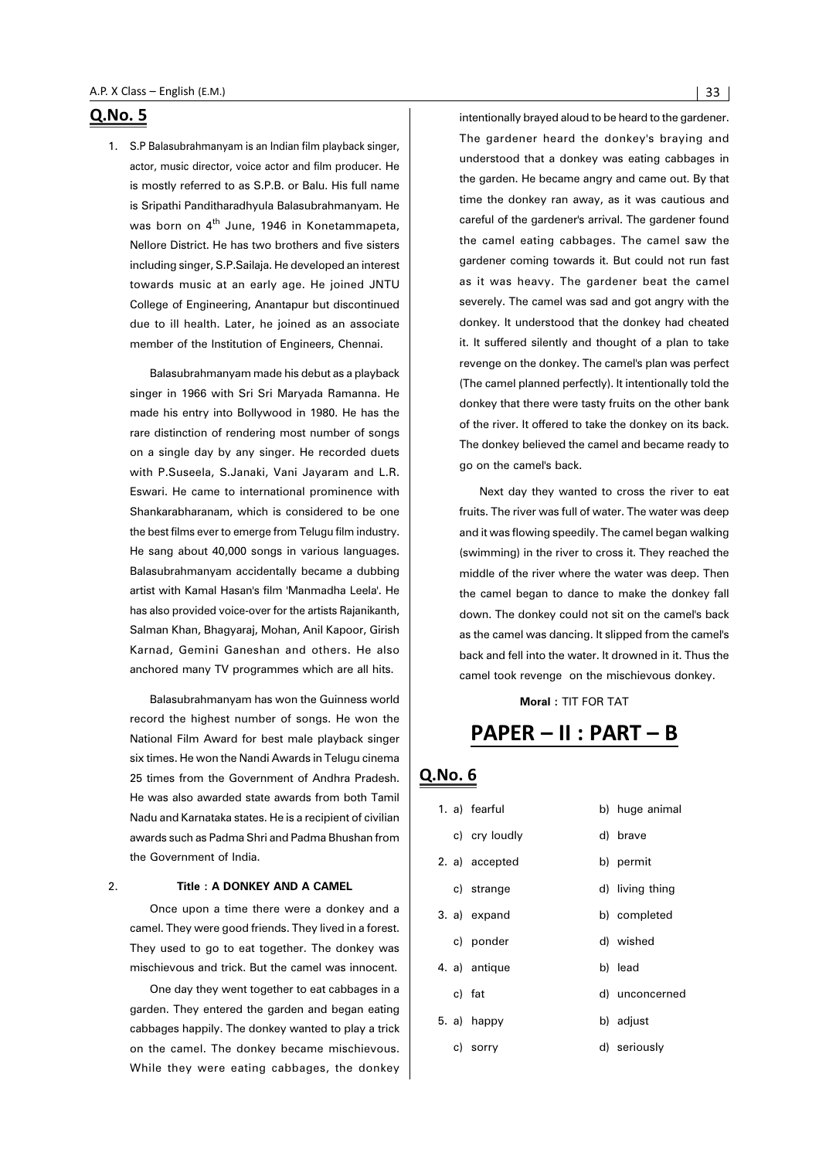1. S.P Balasubrahmanyam is an Indian film playback singer, actor, music director, voice actor and film producer. He is mostly referred to as S.P.B. or Balu. His full name is Sripathi Panditharadhyula Balasubrahmanyam. He was born on 4<sup>th</sup> June, 1946 in Konetammapeta, Nellore District. He has two brothers and five sisters including singer, S.P.Sailaja. He developed an interest towards music at an early age. He joined JNTU College of Engineering, Anantapur but discontinued due to ill health. Later, he joined as an associate member of the Institution of Engineers, Chennai.

Balasubrahmanyam made his debut as a playback singer in 1966 with Sri Sri Maryada Ramanna. He made his entry into Bollywood in 1980. He has the rare distinction of rendering most number of songs on a single day by any singer. He recorded duets with P.Suseela, S.Janaki, Vani Jayaram and L.R. Eswari. He came to international prominence with Shankarabharanam, which is considered to be one the best films ever to emerge from Telugu film industry. He sang about 40,000 songs in various languages. Balasubrahmanyam accidentally became a dubbing artist with Kamal Hasan's film 'Manmadha Leela'. He has also provided voice-over for the artists Rajanikanth, Salman Khan, Bhagyaraj, Mohan, Anil Kapoor, Girish Karnad, Gemini Ganeshan and others. He also anchored many TV programmes which are all hits.

Balasubrahmanyam has won the Guinness world record the highest number of songs. He won the National Film Award for best male playback singer six times. He won the Nandi Awards in Telugu cinema 25 times from the Government of Andhra Pradesh. He was also awarded state awards from both Tamil Nadu and Karnataka states. He is a recipient of civilian awards such as Padma Shri and Padma Bhushan from the Government of India.

#### 2. **Title : A DONKEY AND A CAMEL**

Once upon a time there were a donkey and a camel. They were good friends. They lived in a forest. They used to go to eat together. The donkey was mischievous and trick. But the camel was innocent.

One day they went together to eat cabbages in a garden. They entered the garden and began eating cabbages happily. The donkey wanted to play a trick on the camel. The donkey became mischievous. While they were eating cabbages, the donkey intentionally brayed aloud to be heard to the gardener. The gardener heard the donkey's braying and understood that a donkey was eating cabbages in the garden. He became angry and came out. By that time the donkey ran away, as it was cautious and careful of the gardener's arrival. The gardener found the camel eating cabbages. The camel saw the gardener coming towards it. But could not run fast as it was heavy. The gardener beat the camel severely. The camel was sad and got angry with the donkey. It understood that the donkey had cheated it. It suffered silently and thought of a plan to take revenge on the donkey. The camel's plan was perfect (The camel planned perfectly). It intentionally told the donkey that there were tasty fruits on the other bank of the river. It offered to take the donkey on its back. The donkey believed the camel and became ready to go on the camel's back.

Next day they wanted to cross the river to eat fruits. The river was full of water. The water was deep and it was flowing speedily. The camel began walking (swimming) in the river to cross it. They reached the middle of the river where the water was deep. Then the camel began to dance to make the donkey fall down. The donkey could not sit on the camel's back as the camel was dancing. It slipped from the camel's back and fell into the water. It drowned in it. Thus the camel took revenge on the mischievous donkey.

**Moral :** TIT FOR TAT

## PAPER - II : PART - B

|  | 1. a) fearful  | b) huge animal  |
|--|----------------|-----------------|
|  | c) cry loudly  | d) brave        |
|  | 2. a) accepted | b) permit       |
|  | c) strange     | d) living thing |
|  | 3. a) expand   | b) completed    |
|  | c) ponder      | d) wished       |
|  | 4. a) antique  | b) lead         |
|  | c) fat         | d) unconcerned  |
|  | $5. a)$ happy  | b) adjust       |
|  | c) sorry       | d) seriously    |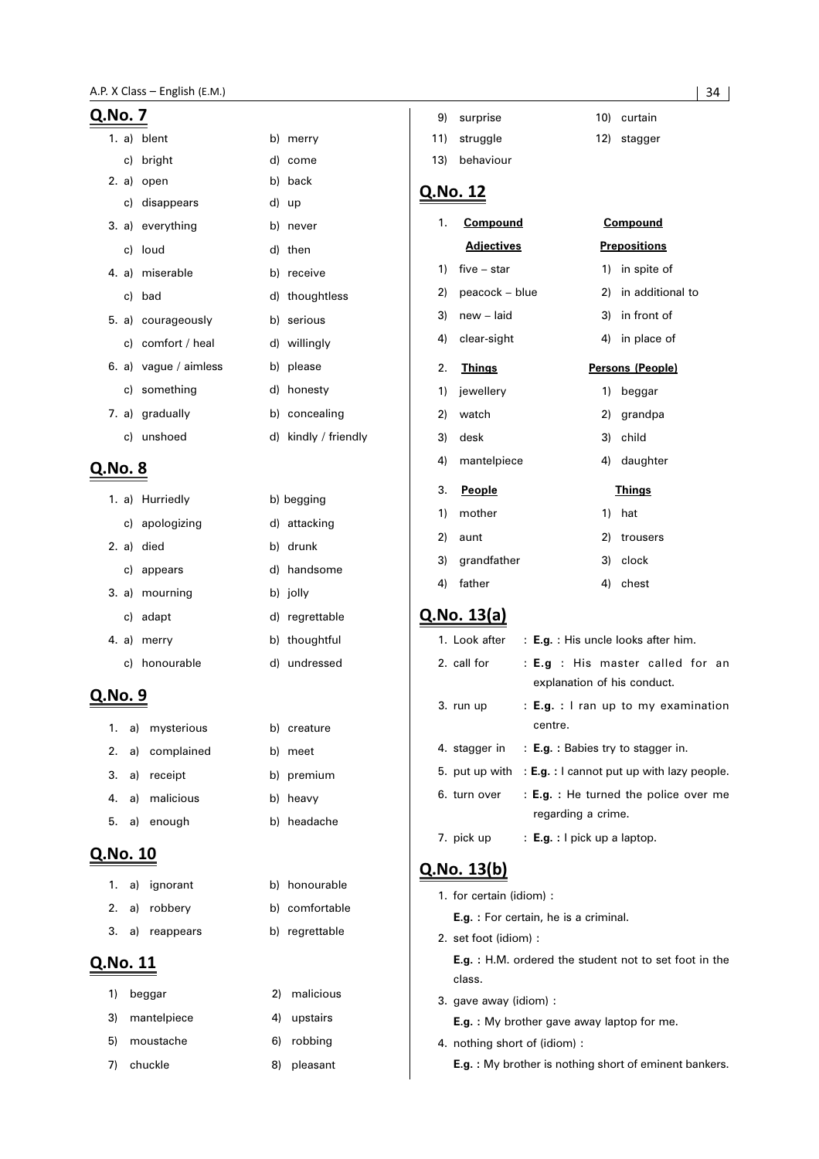| Q. <u>No. 7</u> |    |                       |    |                      |    |
|-----------------|----|-----------------------|----|----------------------|----|
|                 |    | 1. a) blent           |    | b) merry             | 11 |
|                 | c) | bright                | d) | come                 | 13 |
|                 |    | 2. a) open            |    | b) back              |    |
|                 |    | c) disappears         |    | d) up                |    |
|                 |    | 3. a) everything      |    | b) never             |    |
|                 |    | c) loud               |    | d) then              |    |
|                 |    | 4. a) miserable       |    | b) receive           |    |
|                 | c) | bad                   |    | d) thoughtless       |    |
|                 |    | 5. a) courageously    |    | b) serious           |    |
|                 |    | c) comfort / heal     |    | d) willingly         | L  |
|                 |    | 6. a) vague / aimless |    | b) please            |    |
|                 |    | c) something          |    | d) honesty           |    |
|                 |    | 7. a) gradually       |    | b) concealing        |    |
|                 |    | c) unshoed            |    | d) kindly / friendly |    |
| Q.No. 8         |    |                       |    |                      |    |
|                 |    |                       |    |                      |    |
|                 |    | 1. a) Hurriedly       |    | b) begging           |    |
|                 |    | c) apologizing        |    | d) attacking         |    |
|                 |    |                       |    |                      |    |

|  | 2. a) died     | b) drunk       |
|--|----------------|----------------|
|  | c) appears     | d) handsome    |
|  | 3. a) mourning | b) jolly       |
|  | c) adapt       | d) regrettable |
|  | 4. a) merry    | b) thoughtful  |
|  | c) honourable  | d) undressed   |

### Q.No. 9

|  | 1. a) mysterious | b) creature |
|--|------------------|-------------|
|  | 2. a) complained | b) meet     |
|  | 3. a) receipt    | b) premium  |
|  | 4. a) malicious  | b) heavy    |
|  | 5. a) enough     | b) headache |
|  |                  |             |

#### Q.No. 10

|  | 1. a) ignorant  | b) honourable  |  |
|--|-----------------|----------------|--|
|  | 2. a) robbery   | b) comfortable |  |
|  | 3. a) reappears | b) regrettable |  |

## Q.No. 11

| <b>1</b> | beggar      | 2) | malicious   |
|----------|-------------|----|-------------|
| 3)       | mantelpiece |    | 4) upstairs |
| 5)       | moustache   |    | 6) robbing  |
|          | 7) chuckle  | 8) | pleasant    |

| 9) surprise   | 10) curtain |
|---------------|-------------|
| 11) struggle  | 12) stagger |
| 13) behaviour |             |

## No. 12

| 1. | <b>Compound</b>   | <u>Compound</u>        |
|----|-------------------|------------------------|
|    | <b>Adjectives</b> | <u>Prepositions</u>    |
| 1) | $five - star$     | in spite of<br>1)      |
| 2) | peacock - blue    | in additional to<br>2) |
| 3) | new - laid        | in front of<br>3)      |
| 4) | clear-sight       | in place of<br>4)      |
| 2. | <b>Things</b>     | Persons (People)       |
| 1) | jewellery         | beggar<br>1)           |
| 2) | watch             | 2)<br>grandpa          |
| 3) | desk              | child<br>3)            |
| 4) | mantelpiece       | daughter<br>4)         |
| 3. | People            | <b>Things</b>          |
| 1) | mother            | 1)<br>hat              |
| 2) | aunt              | 2)<br>trousers         |
| 3) | grandfather       | 3)<br>clock            |
| 4) | father            | 4)<br>chest            |

## Q.No. 13(a)

| 1. Look after | $: E.g. : His$ uncle looks after him.                                       |  |  |  |  |
|---------------|-----------------------------------------------------------------------------|--|--|--|--|
| 2. call for   | : <b>E.g</b> : His master called for an<br>explanation of his conduct.      |  |  |  |  |
| 3. run up     | : E.g. : I ran up to my examination<br>centre.                              |  |  |  |  |
|               | 4. stagger in $\therefore$ <b>E.g.</b> : Babies try to stagger in.          |  |  |  |  |
|               | 5. put up with $\therefore$ <b>E.g.</b> : I cannot put up with lazy people. |  |  |  |  |
| 6. turn over  | : <b>E.g.</b> : He turned the police over me<br>regarding a crime.          |  |  |  |  |
| 7. pick up    | : <b>E.g.</b> : $\vert$ pick up a laptop.                                   |  |  |  |  |

## **Q.No. 13(b)**

|  |  |  | 1. for certain (idiom): |  |
|--|--|--|-------------------------|--|
|--|--|--|-------------------------|--|

**E.g. :** For certain, he is a criminal.

2. set foot (idiom) :

**E.g. :** H.M. ordered the student not to set foot in the class.

3. gave away (idiom) :

**E.g. :** My brother gave away laptop for me.

4. nothing short of (idiom) :

**E.g. :** My brother is nothing short of eminent bankers.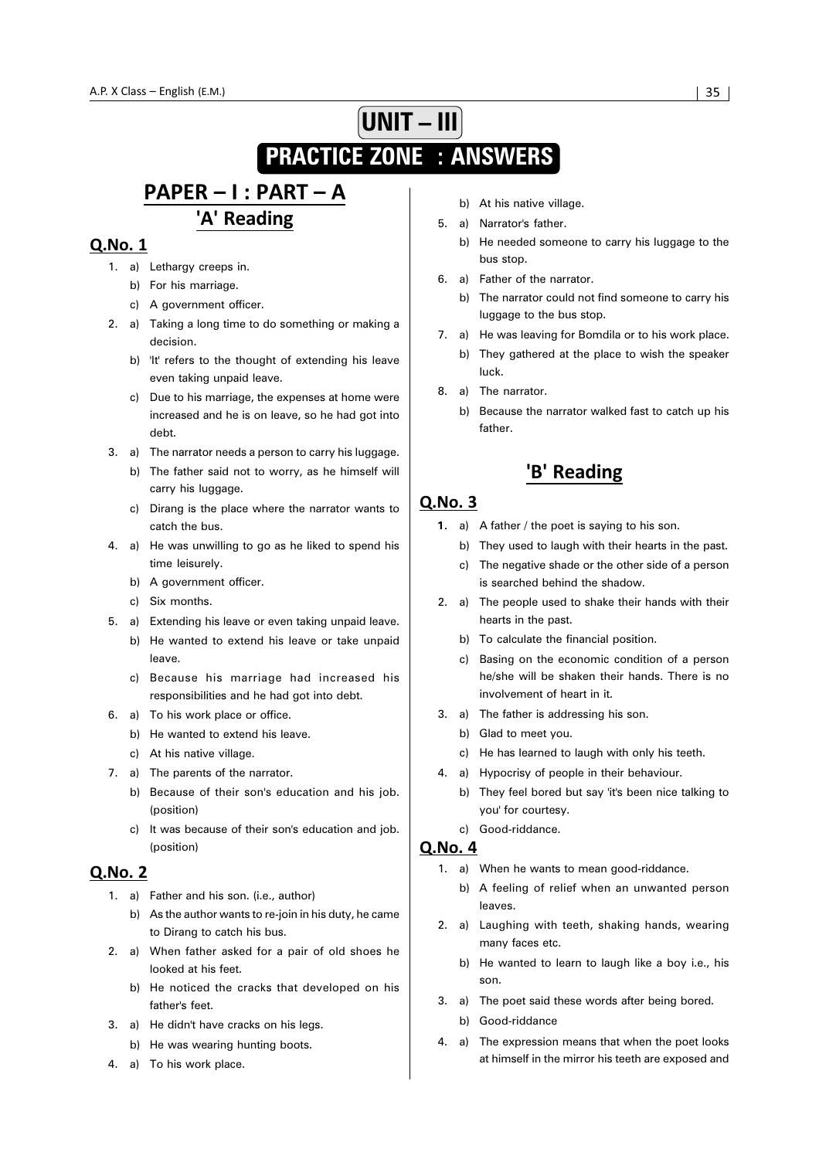## **UNIT – III PRACTICE ZONE : ANSWERS**

## PAPER - I : PART - A 'A' Reading

#### Q.No. 1

- 1. a) Lethargy creeps in.
	- b) For his marriage.
	- c) A government officer.
- 2. a) Taking a long time to do something or making a decision.
	- b) 'It' refers to the thought of extending his leave even taking unpaid leave.
	- c) Due to his marriage, the expenses at home were increased and he is on leave, so he had got into debt.
- 3. a) The narrator needs a person to carry his luggage.
	- b) The father said not to worry, as he himself will carry his luggage.
	- c) Dirang is the place where the narrator wants to catch the bus.
- 4. a) He was unwilling to go as he liked to spend his time leisurely.
	- b) A government officer.
	- c) Six months.
- 5. a) Extending his leave or even taking unpaid leave.
	- b) He wanted to extend his leave or take unpaid leave.
	- c) Because his marriage had increased his responsibilities and he had got into debt.
- 6. a) To his work place or office.
	- b) He wanted to extend his leave.
	- c) At his native village.
- 7. a) The parents of the narrator.
	- b) Because of their son's education and his job. (position)
	- c) It was because of their son's education and job. (position)

#### **Q.No. 2**

- 1. a) Father and his son. (i.e., author)
	- b) As the author wants to re-join in his duty, he came to Dirang to catch his bus.
- 2. a) When father asked for a pair of old shoes he looked at his feet.
	- b) He noticed the cracks that developed on his father's feet.
- 3. a) He didn't have cracks on his legs.
	- b) He was wearing hunting boots.
- 4. a) To his work place.
- b) At his native village.
- 5. a) Narrator's father.
	- b) He needed someone to carry his luggage to the bus stop.
- 6. a) Father of the narrator.
	- b) The narrator could not find someone to carry his luggage to the bus stop.
- 7. a) He was leaving for Bomdila or to his work place.
	- b) They gathered at the place to wish the speaker luck.
- 8. a) The narrator.
	- b) Because the narrator walked fast to catch up his father.

## 'B' Reading

#### Q.No. 3

- **1.** a) A father / the poet is saying to his son.
	- b) They used to laugh with their hearts in the past.
	- c) The negative shade or the other side of a person is searched behind the shadow.
- 2. a) The people used to shake their hands with their hearts in the past.
	- b) To calculate the financial position.
	- c) Basing on the economic condition of a person he/she will be shaken their hands. There is no involvement of heart in it.
- 3. a) The father is addressing his son.
	- b) Glad to meet you.
	- c) He has learned to laugh with only his teeth.
- 4. a) Hypocrisy of people in their behaviour.
	- b) They feel bored but say 'it's been nice talking to you' for courtesy.
	- c) Good-riddance.

- 1. a) When he wants to mean good-riddance.
	- b) A feeling of relief when an unwanted person leaves.
- 2. a) Laughing with teeth, shaking hands, wearing many faces etc.
	- b) He wanted to learn to laugh like a boy i.e., his son.
- 3. a) The poet said these words after being bored.
	- b) Good-riddance
- 4. a) The expression means that when the poet looks at himself in the mirror his teeth are exposed and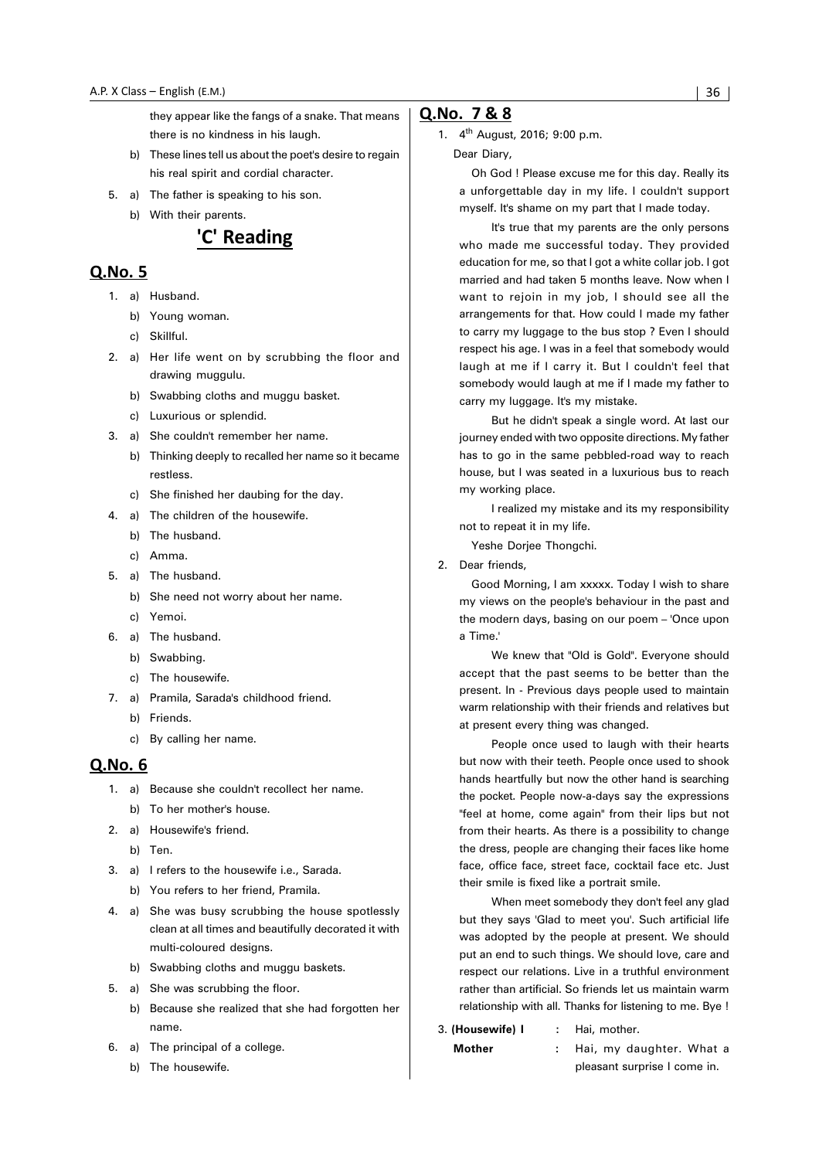they appear like the fangs of a snake. That means there is no kindness in his laugh.

- b) These lines tell us about the poet's desire to regain his real spirit and cordial character.
- 5. a) The father is speaking to his son. b) With their parents.



#### Q.No. 5

- 1. a) Husband.
	- b) Young woman.
	- c) Skillful.
- 2. a) Her life went on by scrubbing the floor and drawing muggulu.
	- b) Swabbing cloths and muggu basket.
	- c) Luxurious or splendid.
- 3. a) She couldn't remember her name.
	- b) Thinking deeply to recalled her name so it became restless.
	- c) She finished her daubing for the day.
- 4. a) The children of the housewife.
	- b) The husband.
	- c) Amma.
- 5. a) The husband.
	- b) She need not worry about her name.
	- c) Yemoi.
- 6. a) The husband.
	- b) Swabbing.
	- c) The housewife.
- 7. a) Pramila, Sarada's childhood friend. b) Friends.
	- c) By calling her name.

#### Q.No. 6

- 1. a) Because she couldn't recollect her name. b) To her mother's house.
- 2. a) Housewife's friend.
	- b) Ten.
- 3. a) I refers to the housewife i.e., Sarada. b) You refers to her friend, Pramila.
- 4. a) She was busy scrubbing the house spotlessly clean at all times and beautifully decorated it with multi-coloured designs.
	- b) Swabbing cloths and muggu baskets.
- 5. a) She was scrubbing the floor.
	- b) Because she realized that she had forgotten her name.
- 6. a) The principal of a college.
	- b) The housewife.

#### O.No. 7 & 8

1. 4<sup>th</sup> August, 2016; 9:00 p.m. Dear Diary,

> Oh God ! Please excuse me for this day. Really its a unforgettable day in my life. I couldn't support myself. It's shame on my part that I made today.

> It's true that my parents are the only persons who made me successful today. They provided education for me, so that I got a white collar job. I got married and had taken 5 months leave. Now when I want to rejoin in my job, I should see all the arrangements for that. How could I made my father to carry my luggage to the bus stop ? Even I should respect his age. I was in a feel that somebody would laugh at me if I carry it. But I couldn't feel that somebody would laugh at me if I made my father to carry my luggage. It's my mistake.

> But he didn't speak a single word. At last our journey ended with two opposite directions. My father has to go in the same pebbled-road way to reach house, but I was seated in a luxurious bus to reach my working place.

> I realized my mistake and its my responsibility not to repeat it in my life.

Yeshe Dorjee Thongchi.

2. Dear friends,

Good Morning, I am xxxxx. Today I wish to share my views on the people's behaviour in the past and the modern days, basing on our poem – 'Once upon a Time.'

We knew that "Old is Gold". Everyone should accept that the past seems to be better than the present. In - Previous days people used to maintain warm relationship with their friends and relatives but at present every thing was changed.

People once used to laugh with their hearts but now with their teeth. People once used to shook hands heartfully but now the other hand is searching the pocket. People now-a-days say the expressions "feel at home, come again" from their lips but not from their hearts. As there is a possibility to change the dress, people are changing their faces like home face, office face, street face, cocktail face etc. Just their smile is fixed like a portrait smile.

When meet somebody they don't feel any glad but they says 'Glad to meet you'. Such artificial life was adopted by the people at present. We should put an end to such things. We should love, care and respect our relations. Live in a truthful environment rather than artificial. So friends let us maintain warm relationship with all. Thanks for listening to me. Bye !

3. **(Housewife) I :** Hai, mother.

**Mother :** Hai, my daughter. What a pleasant surprise I come in.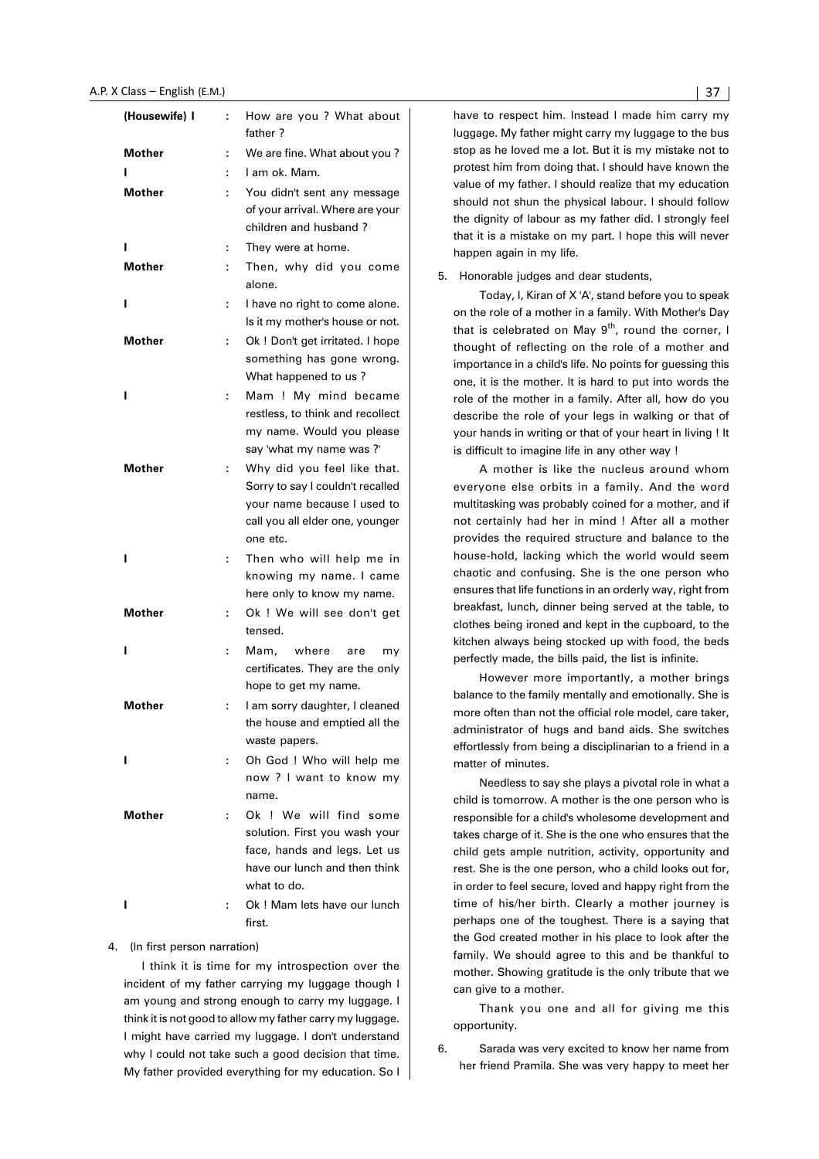| (Housewife) I |   | How are you ? What about<br>father?                                                                                                           |
|---------------|---|-----------------------------------------------------------------------------------------------------------------------------------------------|
| Mother        | ÷ | We are fine. What about you?                                                                                                                  |
|               | t | I am ok. Mam.                                                                                                                                 |
| <b>Mother</b> |   | You didn't sent any message                                                                                                                   |
|               |   | of your arrival. Where are your                                                                                                               |
|               |   | children and husband?                                                                                                                         |
| ı             | t | They were at home.                                                                                                                            |
| <b>Mother</b> | ÷ | Then, why did you come                                                                                                                        |
|               |   | alone.                                                                                                                                        |
| ı             | ÷ | I have no right to come alone.<br>Is it my mother's house or not.                                                                             |
| <b>Mother</b> | ÷ | Ok ! Don't get irritated. I hope<br>something has gone wrong.                                                                                 |
|               |   | What happened to us?                                                                                                                          |
| ı             | ÷ | Mam ! My mind became<br>restless, to think and recollect<br>my name. Would you please                                                         |
|               |   | say 'what my name was ?'                                                                                                                      |
| Mother        | ÷ | Why did you feel like that.<br>Sorry to say I couldn't recalled<br>your name because I used to<br>call you all elder one, younger<br>one etc. |
| ı             | ÷ | Then who will help me in<br>knowing my name. I came<br>here only to know my name.                                                             |
| Mother        | ÷ | Ok ! We will see don't get<br>tensed.                                                                                                         |
| ı             | ÷ | Mam, where<br>are<br>my<br>certificates. They are the only<br>hope to get my name.                                                            |
| Mother        | ÷ | I am sorry daughter, I cleaned<br>the house and emptied all the<br>waste papers.                                                              |
| ı             | ÷ | Oh God! Who will help me<br>now ? I want to know my<br>name.                                                                                  |
| Mother        | ÷ | Ok! We will find some<br>solution. First you wash your<br>face, hands and legs. Let us<br>have our lunch and then think<br>what to do.        |
| ı             | ÷ | Ok! Mam lets have our lunch<br>first.                                                                                                         |

#### 4. (In first person narration)

I think it is time for my introspection over the incident of my father carrying my luggage though I am young and strong enough to carry my luggage. I think it is not good to allow my father carry my luggage. I might have carried my luggage. I don't understand why I could not take such a good decision that time. My father provided everything for my education. So I have to respect him. Instead I made him carry my luggage. My father might carry my luggage to the bus stop as he loved me a lot. But it is my mistake not to protest him from doing that. I should have known the value of my father. I should realize that my education should not shun the physical labour. I should follow the dignity of labour as my father did. I strongly feel that it is a mistake on my part. I hope this will never happen again in my life.

5. Honorable judges and dear students,

Today, I, Kiran of X 'A', stand before you to speak on the role of a mother in a family. With Mother's Day that is celebrated on May  $9<sup>th</sup>$ , round the corner, I thought of reflecting on the role of a mother and importance in a child's life. No points for guessing this one, it is the mother. It is hard to put into words the role of the mother in a family. After all, how do you describe the role of your legs in walking or that of your hands in writing or that of your heart in living ! It is difficult to imagine life in any other way !

A mother is like the nucleus around whom everyone else orbits in a family. And the word multitasking was probably coined for a mother, and if not certainly had her in mind ! After all a mother provides the required structure and balance to the house-hold, lacking which the world would seem chaotic and confusing. She is the one person who ensures that life functions in an orderly way, right from breakfast, lunch, dinner being served at the table, to clothes being ironed and kept in the cupboard, to the kitchen always being stocked up with food, the beds perfectly made, the bills paid, the list is infinite.

However more importantly, a mother brings balance to the family mentally and emotionally. She is more often than not the official role model, care taker, administrator of hugs and band aids. She switches effortlessly from being a disciplinarian to a friend in a matter of minutes.

Needless to say she plays a pivotal role in what a child is tomorrow. A mother is the one person who is responsible for a child's wholesome development and takes charge of it. She is the one who ensures that the child gets ample nutrition, activity, opportunity and rest. She is the one person, who a child looks out for, in order to feel secure, loved and happy right from the time of his/her birth. Clearly a mother journey is perhaps one of the toughest. There is a saying that the God created mother in his place to look after the family. We should agree to this and be thankful to mother. Showing gratitude is the only tribute that we can give to a mother.

Thank you one and all for giving me this opportunity.

6. Sarada was very excited to know her name from her friend Pramila. She was very happy to meet her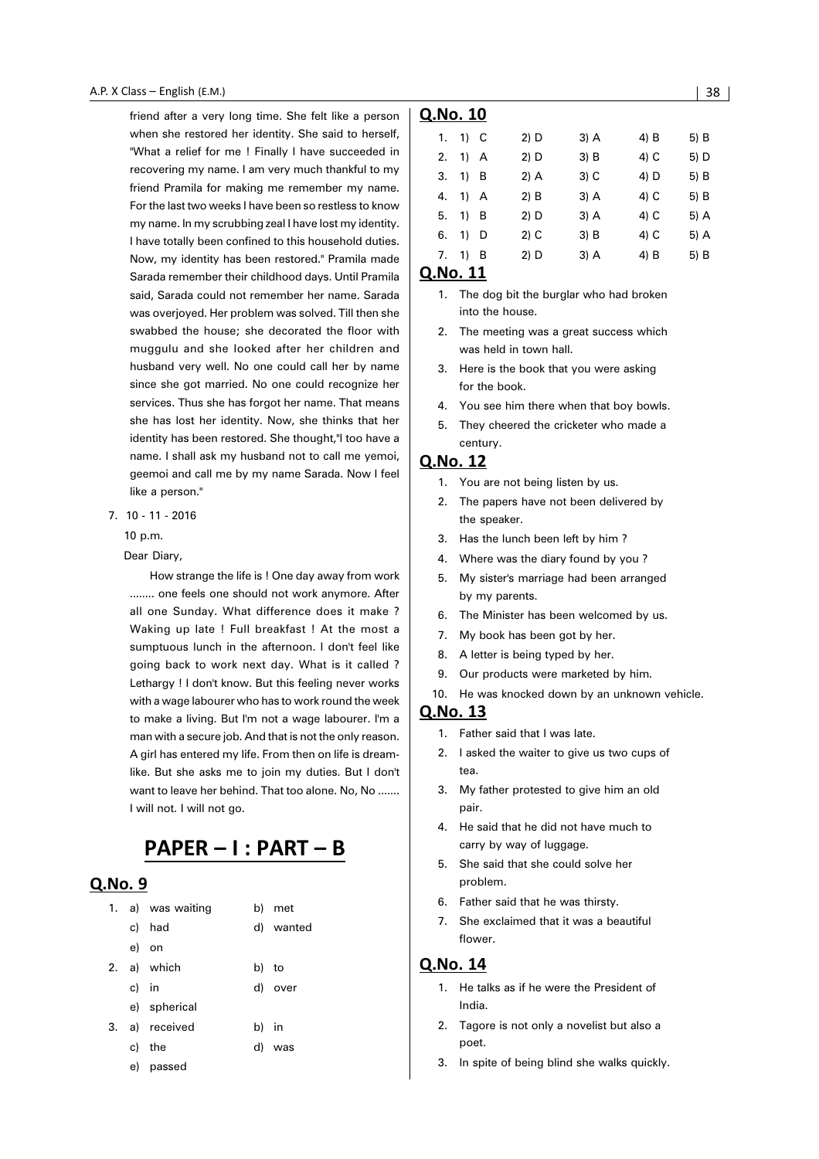friend after a very long time. She felt like a person when she restored her identity. She said to herself, "What a relief for me ! Finally I have succeeded in recovering my name. I am very much thankful to my friend Pramila for making me remember my name. For the last two weeks I have been so restless to know my name. In my scrubbing zeal I have lost my identity. I have totally been confined to this household duties. Now, my identity has been restored." Pramila made Sarada remember their childhood days. Until Pramila said, Sarada could not remember her name. Sarada was overjoyed. Her problem was solved. Till then she swabbed the house; she decorated the floor with muggulu and she looked after her children and husband very well. No one could call her by name since she got married. No one could recognize her services. Thus she has forgot her name. That means she has lost her identity. Now, she thinks that her identity has been restored. She thought,"I too have a name. I shall ask my husband not to call me yemoi, geemoi and call me by my name Sarada. Now I feel like a person."

7. 10 - 11 - 2016

10 p.m.

Dear Diary,

How strange the life is ! One day away from work ........ one feels one should not work anymore. After all one Sunday. What difference does it make ? Waking up late ! Full breakfast ! At the most a sumptuous lunch in the afternoon. I don't feel like going back to work next day. What is it called ? Lethargy ! I don't know. But this feeling never works with a wage labourer who has to work round the week to make a living. But I'm not a wage labourer. I'm a man with a secure job. And that is not the only reason. A girl has entered my life. From then on life is dreamlike. But she asks me to join my duties. But I don't want to leave her behind. That too alone. No, No ....... I will not. I will not go.

## PAPER - I : PART - B

#### $O.No.9$

|    |       | 1. a) was waiting | b) met    |
|----|-------|-------------------|-----------|
|    |       | c) had            | d) wanted |
|    |       | e) on             |           |
| 2. |       | a) which          | b) to     |
|    | c) in |                   | d) over   |
|    |       | e) spherical      |           |
| 3. |       | a) received       | b) in     |
|    |       | c) the            | d) was    |
|    |       | e) passed         |           |

|    | Q.No. 10  |        |      |      |      |  |  |  |
|----|-----------|--------|------|------|------|--|--|--|
| 1. | 1) C      | 2) D   | 3) A | 4) B | 5) B |  |  |  |
| 2. | 1) A      | 2) D   | 3) B | 4) C | 5) D |  |  |  |
| 3. | 1) B      | 2) A   | 3) C | 4) D | 5) B |  |  |  |
| 4. | 1) A      | 2) B   | 3) A | 4) C | 5) B |  |  |  |
| 5. | 1) B      | 2) D   | 3) A | 4) C | 5) A |  |  |  |
| 6. | 1)<br>D   | $2)$ C | 3) B | 4) C | 5) A |  |  |  |
| 7. | - B<br>1) | 2) D   | 3) A | 4) B | 5) B |  |  |  |
|    |           |        |      |      |      |  |  |  |

#### Q.No. 11

- 1. The dog bit the burglar who had broken into the house.
- 2. The meeting was a great success which was held in town hall.
- 3. Here is the book that you were asking for the book.
- 4. You see him there when that boy bowls.
- 5. They cheered the cricketer who made a century.

#### Q.No. 12

- 1. You are not being listen by us.
- 2. The papers have not been delivered by the speaker.
- 3. Has the lunch been left by him ?
- 4. Where was the diary found by you ?
- 5. My sister's marriage had been arranged by my parents.
- 6. The Minister has been welcomed by us.
- 7. My book has been got by her.
- 8. A letter is being typed by her.
- 9. Our products were marketed by him.
- 10. He was knocked down by an unknown vehicle.

#### <u>Q.No. 13</u>

- 1. Father said that I was late.
- 2. I asked the waiter to give us two cups of tea.
- 3. My father protested to give him an old pair.
- 4. He said that he did not have much to carry by way of luggage.
- 5. She said that she could solve her problem.
- 6. Father said that he was thirsty.
- 7. She exclaimed that it was a beautiful flower.

- 1. He talks as if he were the President of India.
- 2. Tagore is not only a novelist but also a poet.
- 3. In spite of being blind she walks quickly.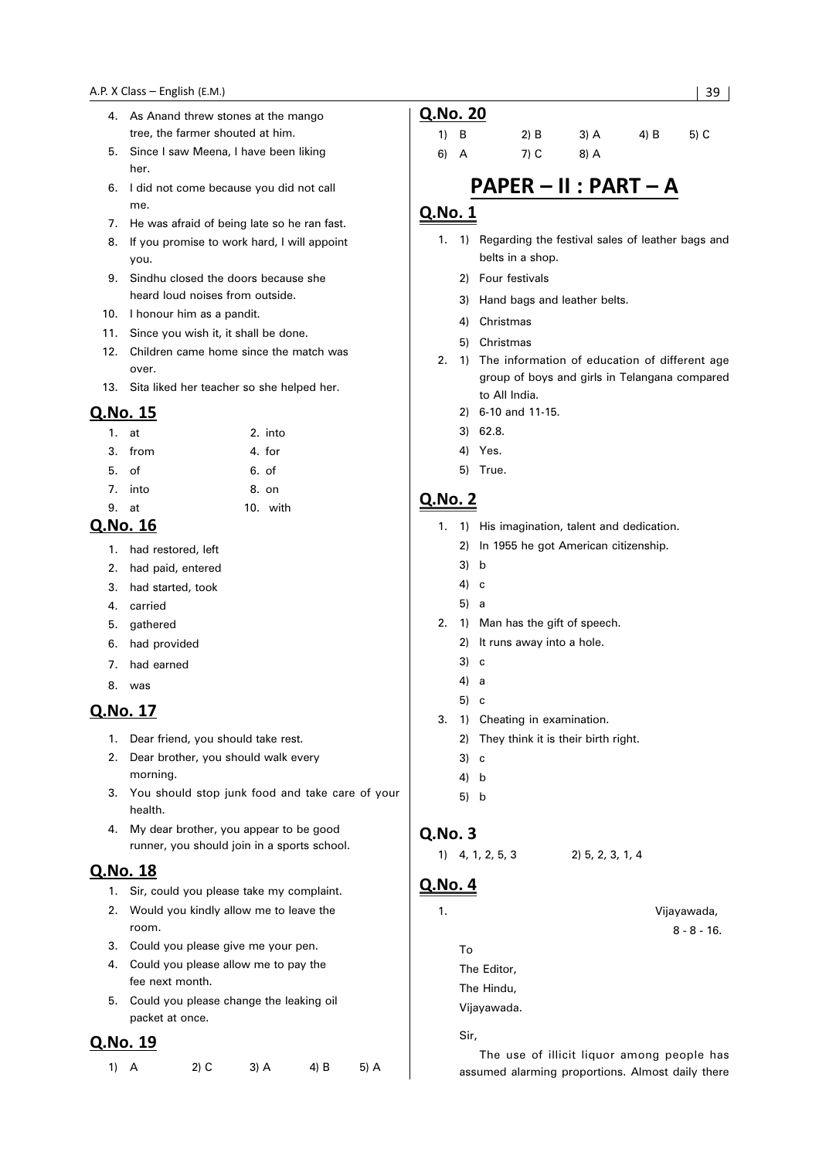- 4. As Anand threw stones at the mango tree, the farmer shouted at him.
- 5. Since I saw Meena, I have been liking her.
- 6. I did not come because you did not call me.
- 7. He was afraid of being late so he ran fast.
- 8. If you promise to work hard, I will appoint you.
- 9. Sindhu closed the doors because she heard loud noises from outside.
- 10. I honour him as a pandit.
- 11. Since you wish it, it shall be done.
- 12. Children came home since the match was over.
- 13. Sita liked her teacher so she helped her.

| 1. at |         | 2. into  |
|-------|---------|----------|
|       | 3. from | 4. for   |
| 5. of |         | 6. of    |
|       | 7. into | 8. on    |
| 9.    | at      | 10. with |

#### Q.No. 16

- 1. had restored, left
- 2. had paid, entered
- 3. had started, took
- 4. carried
- 5. gathered
- 6. had provided
- 7. had earned
- 8. was

#### Q.No. 17

- 1. Dear friend, you should take rest.
- 2. Dear brother, you should walk every morning.
- 3. You should stop junk food and take care of your health.
- 4. My dear brother, you appear to be good runner, you should join in a sports school.

#### Q.No. 18

- 1. Sir, could you please take my complaint.
- 2. Would you kindly allow me to leave the room.
- 3. Could you please give me your pen.
- 4. Could you please allow me to pay the fee next month.
- 5. Could you please change the leaking oil packet at once.

#### Q.No. 19

| $1)$ A | $2)$ C | $3)$ A | 4) B | 5) A |
|--------|--------|--------|------|------|
|--------|--------|--------|------|------|

| Q.No. 20 |        |      |      |      |
|----------|--------|------|------|------|
| 1) B     | $2)$ B | 3) A | 4) B | 5) C |
| 6) A     | 7) C   | 8) A |      |      |
|          |        |      |      |      |

## PAPER - II : PART - A

#### Q.No. 1

- 1. 1) Regarding the festival sales of leather bags and belts in a shop.
	- 2) Four festivals
	- 3) Hand bags and leather belts.
	- 4) Christmas
	- 5) Christmas
- 2. 1) The information of education of different age group of boys and girls in Telangana compared to All India.
	- 2) 6-10 and 11-15.
	- 3) 62.8.
	- 4) Yes.
	- 5) True.

#### **Q.No. 2**

- 1. 1) His imagination, talent and dedication.
	- 2) In 1955 he got American citizenship.
	- 3) b
	- 4) c
	- 5) a
- 2. 1) Man has the gift of speech.
	- 2) It runs away into a hole.
	- 3) c
	- 4) a
	- 5) c
- 3. 1) Cheating in examination.
	- 2) They think it is their birth right.
	- 3) c
	- 4) b
	- 5) b

#### Q.No. 3

1)  $4, 1, 2, 5, 3$  2)  $5, 2, 3, 1, 4$ 

#### <u>Q.No. 4</u>

#### 1. Vijayawada,

```
8 - 8 - 16.
```
To The Editor, The Hindu, Vijayawada.

Sir,

The use of illicit liquor among people has assumed alarming proportions. Almost daily there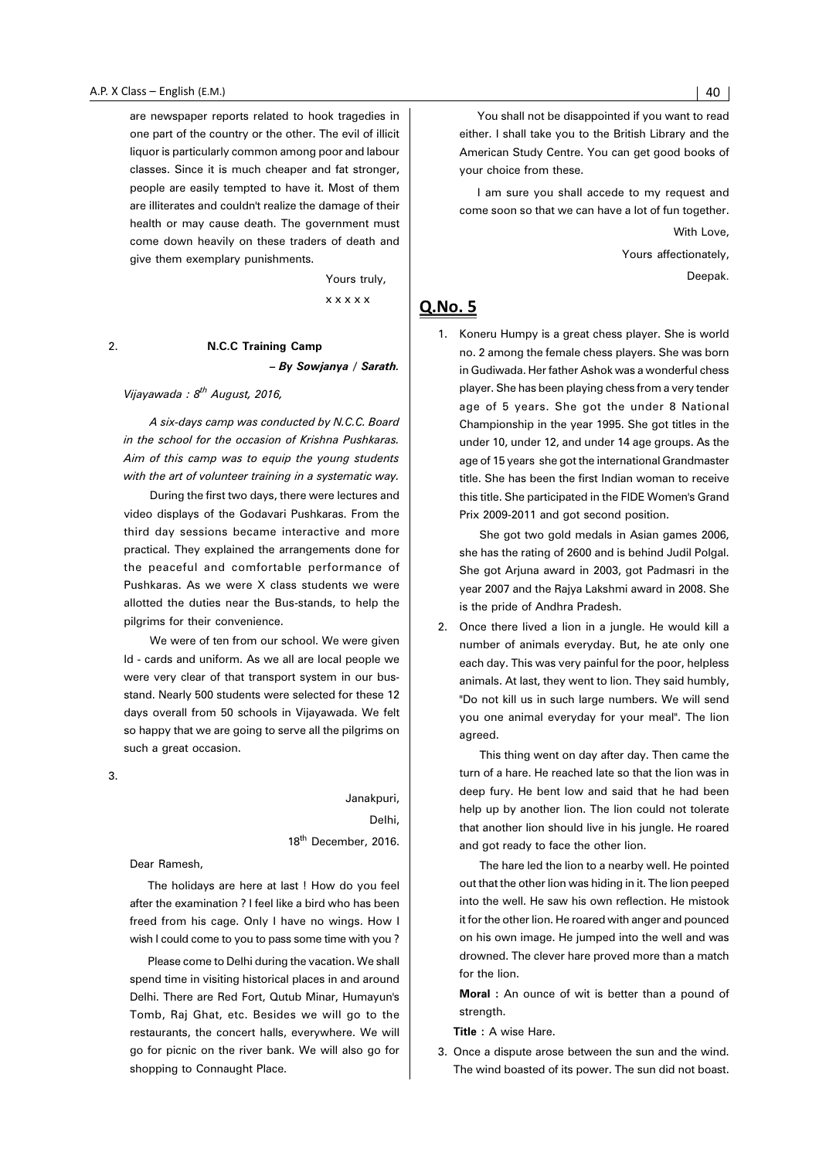are newspaper reports related to hook tragedies in one part of the country or the other. The evil of illicit liquor is particularly common among poor and labour classes. Since it is much cheaper and fat stronger, people are easily tempted to have it. Most of them are illiterates and couldn't realize the damage of their health or may cause death. The government must come down heavily on these traders of death and give them exemplary punishments.

Yours truly,

x x x x x

#### 2. **N.C.C Training Camp** *– By Sowjanya / Sarath.*

#### *Vijayawada : 8th August, 2016,*

*A six-days camp was conducted by N.C.C. Board in the school for the occasion of Krishna Pushkaras. Aim of this camp was to equip the young students with the art of volunteer training in a systematic way.*

During the first two days, there were lectures and video displays of the Godavari Pushkaras. From the third day sessions became interactive and more practical. They explained the arrangements done for the peaceful and comfortable performance of Pushkaras. As we were X class students we were allotted the duties near the Bus-stands, to help the pilgrims for their convenience.

We were of ten from our school. We were given Id - cards and uniform. As we all are local people we were very clear of that transport system in our busstand. Nearly 500 students were selected for these 12 days overall from 50 schools in Vijayawada. We felt so happy that we are going to serve all the pilgrims on such a great occasion.

3.

Janakpuri, Delhi, 18<sup>th</sup> December, 2016.

Dear Ramesh,

The holidays are here at last ! How do you feel after the examination ? I feel like a bird who has been freed from his cage. Only I have no wings. How I wish I could come to you to pass some time with you ?

Please come to Delhi during the vacation. We shall spend time in visiting historical places in and around Delhi. There are Red Fort, Qutub Minar, Humayun's Tomb, Raj Ghat, etc. Besides we will go to the restaurants, the concert halls, everywhere. We will go for picnic on the river bank. We will also go for shopping to Connaught Place.

You shall not be disappointed if you want to read either. I shall take you to the British Library and the American Study Centre. You can get good books of your choice from these.

I am sure you shall accede to my request and come soon so that we can have a lot of fun together.

With Love,

Yours affectionately,

Deepak.

#### **Q.No. 5**

1. Koneru Humpy is a great chess player. She is world no. 2 among the female chess players. She was born in Gudiwada. Her father Ashok was a wonderful chess player. She has been playing chess from a very tender age of 5 years. She got the under 8 National Championship in the year 1995. She got titles in the under 10, under 12, and under 14 age groups. As the age of 15 years she got the international Grandmaster title. She has been the first Indian woman to receive this title. She participated in the FIDE Women's Grand Prix 2009-2011 and got second position.

She got two gold medals in Asian games 2006, she has the rating of 2600 and is behind Judil Polgal. She got Arjuna award in 2003, got Padmasri in the year 2007 and the Rajya Lakshmi award in 2008. She is the pride of Andhra Pradesh.

2. Once there lived a lion in a jungle. He would kill a number of animals everyday. But, he ate only one each day. This was very painful for the poor, helpless animals. At last, they went to lion. They said humbly, "Do not kill us in such large numbers. We will send you one animal everyday for your meal". The lion heerne

This thing went on day after day. Then came the turn of a hare. He reached late so that the lion was in deep fury. He bent low and said that he had been help up by another lion. The lion could not tolerate that another lion should live in his jungle. He roared and got ready to face the other lion.

The hare led the lion to a nearby well. He pointed out that the other lion was hiding in it. The lion peeped into the well. He saw his own reflection. He mistook it for the other lion. He roared with anger and pounced on his own image. He jumped into the well and was drowned. The clever hare proved more than a match for the lion.

**Moral :** An ounce of wit is better than a pound of strength.

**Title : A wise Hare.** 

3. Once a dispute arose between the sun and the wind. The wind boasted of its power. The sun did not boast.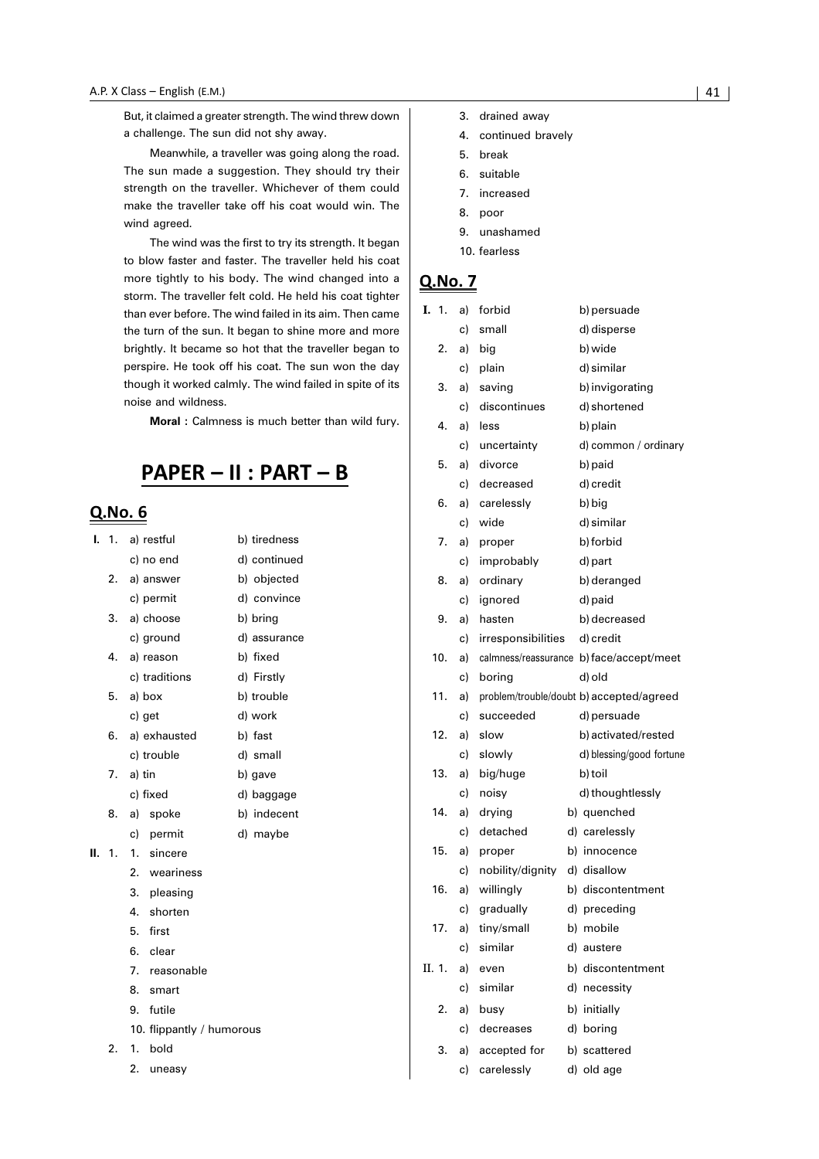But, it claimed a greater strength. The wind threw down a challenge. The sun did not shy away.

Meanwhile, a traveller was going along the road. The sun made a suggestion. They should try their strength on the traveller. Whichever of them could make the traveller take off his coat would win. The wind agreed.

The wind was the first to try its strength. It began to blow faster and faster. The traveller held his coat more tightly to his body. The wind changed into a storm. The traveller felt cold. He held his coat tighter than ever before. The wind failed in its aim. Then came the turn of the sun. It began to shine more and more brightly. It became so hot that the traveller began to perspire. He took off his coat. The sun won the day though it worked calmly. The wind failed in spite of its noise and wildness.

**Moral :** Calmness is much better than wild fury.

## PAPER - II : PART - B

#### Q.No. 6

| I. | $\overline{1}$ . | a) restful                | b) tiredness |
|----|------------------|---------------------------|--------------|
|    |                  | c) no end                 | d) continued |
|    | 2.               | a) answer                 | b) objected  |
|    |                  | c) permit                 | d) convince  |
|    | 3.               | a) choose                 | b) bring     |
|    |                  | c) ground                 | d) assurance |
|    | 4.               | a) reason                 | b) fixed     |
|    |                  | c) traditions             | d) Firstly   |
|    | 5.               | a) box                    | b) trouble   |
|    |                  | c) get                    | d) work      |
|    | 6.               | a) exhausted              | b) fast      |
|    |                  | c) trouble                | d) small     |
|    | 7.               | a) tin                    | b) gave      |
|    |                  | c) fixed                  | d) baggage   |
|    | 8.               | a) spoke                  | b) indecent  |
|    |                  | c) permit                 | d) maybe     |
| Н. | 1.               | 1. sincere                |              |
|    |                  | 2. weariness              |              |
|    |                  | 3. pleasing               |              |
|    |                  | 4. shorten                |              |
|    |                  | 5.<br>first               |              |
|    |                  | 6. clear                  |              |
|    |                  | 7. reasonable             |              |
|    |                  | 8.<br>smart               |              |
|    |                  | 9.<br>futile              |              |
|    |                  | 10. flippantly / humorous |              |
|    | 2.               | 1.<br>bold                |              |
|    |                  | 2.<br>uneasy              |              |

- 4. continued bravely
- 5. break
- 6. suitable
- 7. increased
- 8. poor
- 9. unashamed
- 10. fearless

| I. 1.  |     | a) | forbid             | b) persuade                              |
|--------|-----|----|--------------------|------------------------------------------|
|        |     | c) | small              | d) disperse                              |
|        | 2.  | a) | big                | b) wide                                  |
|        |     | c) | plain              | d) similar                               |
|        | 3.  | a) | saving             | b) invigorating                          |
|        |     | c) | discontinues       | d) shortened                             |
|        | 4.  | a) | less               | b) plain                                 |
|        |     | c) | uncertainty        | d) common / ordinary                     |
|        | 5.  | a) | divorce            | b) paid                                  |
|        |     | c) | decreased          | d) credit                                |
|        | 6.  | a) | carelessly         | b) big                                   |
|        |     | c) | wide               | d) similar                               |
|        | 7.  | a) | proper             | b) forbid                                |
|        |     | c) | improbably         | d) part                                  |
|        | 8.  | a) | ordinary           | b) deranged                              |
|        |     | c) | ignored            | d) paid                                  |
|        | 9.  | a) | hasten             | b) decreased                             |
|        |     | c) | irresponsibilities | d) credit                                |
|        | 10. | a) |                    | calmness/reassurance b) face/accept/meet |
|        |     | c) | boring             | d) old                                   |
|        | 11. | a) |                    | problem/trouble/doubt b) accepted/agreed |
|        |     | c) | succeeded          | d) persuade                              |
|        | 12. | a) | slow               | b) activated/rested                      |
|        |     | c) | slowly             | d) blessing/good fortune                 |
|        | 13. | a) | big/huge           | b) toil                                  |
|        |     | c) | noisy              | d) thoughtlessly                         |
|        | 14. | a) | drying             | b) quenched                              |
|        |     | c) | detached           | d) carelessly                            |
|        | 15. | a) | proper             | b) innocence                             |
|        |     | c) | nobility/dignity   | d) disallow                              |
|        | 16. | a) | willingly          | b) discontentment                        |
|        |     | c) | gradually          | d) preceding                             |
|        | 17. | a) | tiny/small         | b) mobile                                |
|        |     | c) | similar            | d) austere                               |
| II. 1. |     | a) | even               | b) discontentment                        |
|        |     | c) | similar            | d) necessity                             |
|        | 2.  | a) | busy               | b) initially                             |
|        |     | c) | decreases          | d) boring                                |
|        | 3.  | a) | accepted for       | b) scattered                             |
|        |     | c) | carelessly         | d) old age                               |
|        |     |    |                    |                                          |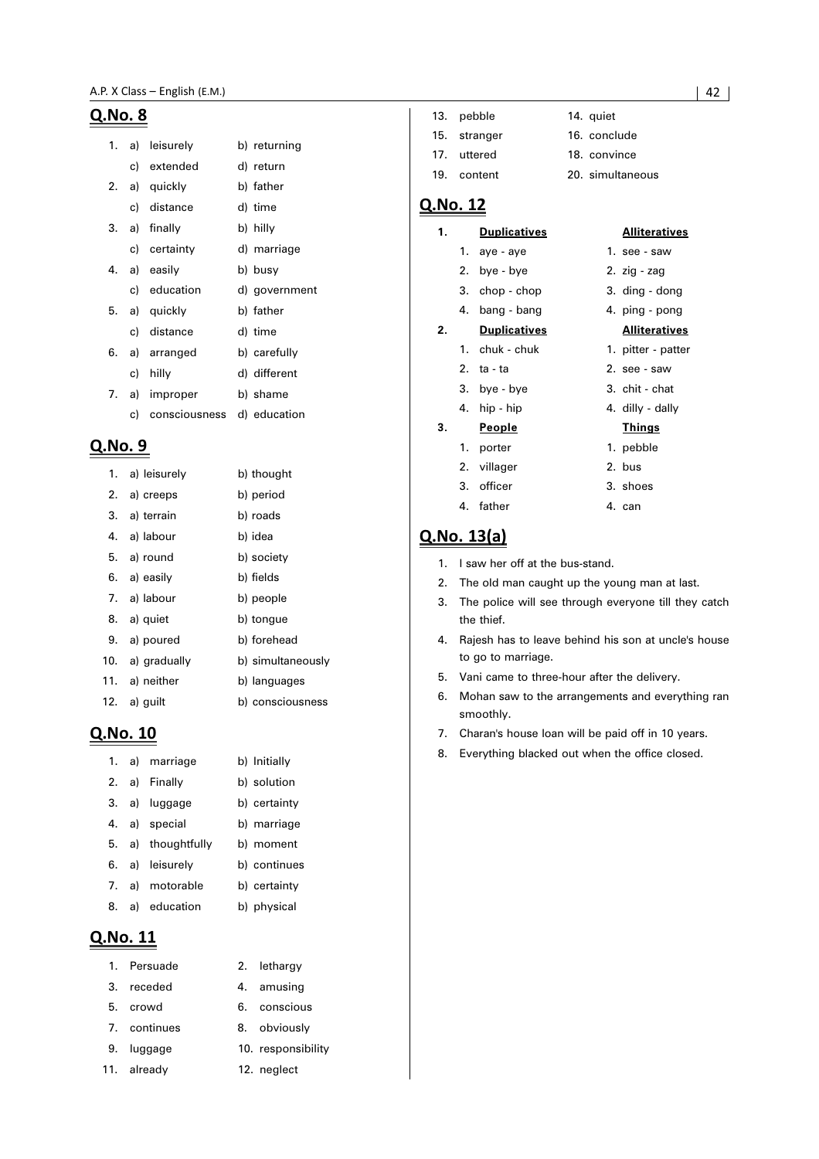| 1. | a) | leisurely      | b) returning  |
|----|----|----------------|---------------|
|    |    | c) extended    | d) return     |
| 2. |    | a) quickly     | b) father     |
|    |    | c) distance    | d) time       |
| 3. |    | a) finally     | b) hilly      |
|    |    | c) certainty   | d) marriage   |
| 4. |    | a) easily      | b) busy       |
|    |    | c) education   | d) government |
| 5. |    | a) quickly     | b) father     |
|    |    | c) distance    | d) time       |
| 6. |    | a) arranged    | b) carefully  |
|    | c) | hilly          | d) different  |
|    |    | 7. a) improper | b) shame      |
|    | c) | consciousness  | d) education  |

#### Q.No. 9

|     | 1. a) leisurely  | b) thought        |
|-----|------------------|-------------------|
|     | 2. a) creeps     | b) period         |
|     | 3. a) terrain    | b) roads          |
|     | 4. a) labour     | b) idea           |
|     | 5. a) round      | b) society        |
|     | 6. a) easily     | b) fields         |
|     | 7. a) labour     | b) people         |
|     | 8. a) quiet      | b) tongue         |
|     | 9. a) poured     | b) forehead       |
|     | 10. a) gradually | b) simultaneously |
|     | 11. a) neither   | b) languages      |
| 12. | a) guilt         | b) consciousness  |

#### Q.No. 10

|    | 1. a) marriage  | b) Initially |
|----|-----------------|--------------|
| 2. | a) Finally      | b) solution  |
| 3. | a) luggage      | b) certainty |
| 4. | a) special      | b) marriage  |
| 5. | a) thoughtfully | b) moment    |
| 6. | a) leisurely    | b) continues |
| 7. | a) motorable    | b) certainty |
| 8. | a) education    | b) physical  |

#### Q.No. 11

| 1. Persuade  | 2. lethargy  |
|--------------|--------------|
| 3. receded   | 4. amusing   |
| 5. crowd     | 6. conscious |
| 7. continues | 8. obviously |
|              |              |

- 9. luggage 10. responsibility
- 11. already 12. neglect

| 13. pebble   | 14. quiet        |
|--------------|------------------|
| 15. stranger | 16. conclude     |
| 17. uttered  | 18. convince     |
| 19. content  | 20. simultaneous |

#### Q.No. 12

| 1. |    | <b>Duplicatives</b> | <b>Alliteratives</b> |
|----|----|---------------------|----------------------|
|    |    | 1. aye - aye        | 1. see - saw         |
|    |    | 2. bye - bye        | 2. zig - zag         |
|    |    | 3. chop - chop      | 3. ding - dong       |
|    | 4. | bang - bang         | 4. ping - pong       |
| 2. |    | <b>Duplicatives</b> | <u>Alliteratives</u> |
|    |    | 1. chuk - chuk      | 1. pitter - patter   |
|    |    | 2. ta - ta          | 2. see - saw         |
|    |    | 3. bye - bye        | 3. chit - chat       |
|    |    | 4. hip - hip        | 4. dilly - dally     |
| 3. |    | <u>People</u>       | <u>Things</u>        |
|    | 1. | porter              | 1. pebble            |
|    |    | 2. villager         | 2. bus               |
|    |    | 3. officer          | 3. shoes             |
|    |    | 4. father           | 4. can               |

### **Q.No. 13(a)**

- 1. I saw her off at the bus-stand.
- 2. The old man caught up the young man at last.
- 3. The police will see through everyone till they catch the thief.
- 4. Rajesh has to leave behind his son at uncle's house to go to marriage.
- 5. Vani came to three-hour after the delivery.
- 6. Mohan saw to the arrangements and everything ran smoothly.
- 7. Charan's house loan will be paid off in 10 years.
- 8. Everything blacked out when the office closed.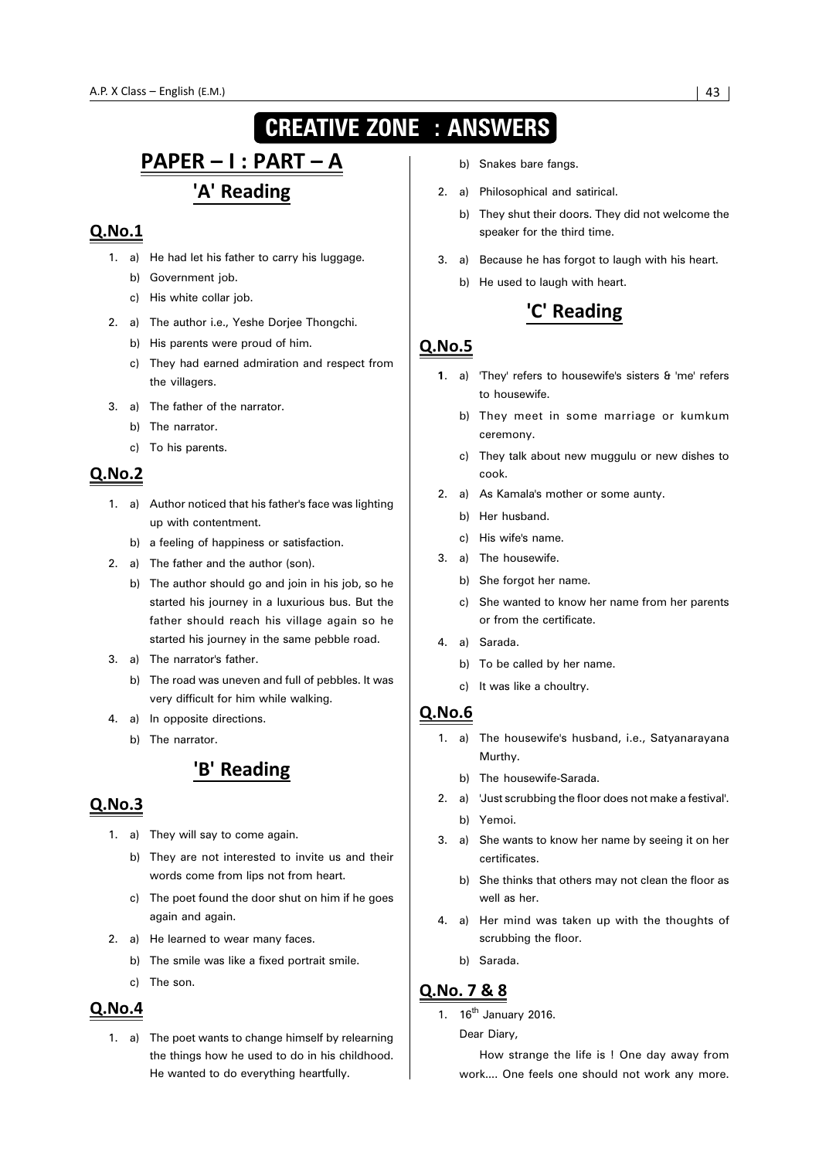## **CREATIVE ZONE : ANSWERS**

## <u> PAPER - I : PART - A</u> 'A' Reading

#### $Q.No.1$

- 1. a) He had let his father to carry his luggage.
	- b) Government job.
	- c) His white collar job.
- 2. a) The author i.e., Yeshe Dorjee Thongchi.
	- b) His parents were proud of him.
	- c) They had earned admiration and respect from the villagers.
- 3. a) The father of the narrator.
	- b) The narrator.
	- c) To his parents.

#### Q.No.2

- 1. a) Author noticed that his father's face was lighting up with contentment.
	- b) a feeling of happiness or satisfaction.
- 2. a) The father and the author (son).
	- b) The author should go and join in his job, so he started his journey in a luxurious bus. But the father should reach his village again so he started his journey in the same pebble road.
- 3. a) The narrator's father.
	- b) The road was uneven and full of pebbles. It was very difficult for him while walking.
- 4. a) In opposite directions.
	- b) The narrator.

## 'B' Reading

#### $Q.No.3$

- 1. a) They will say to come again.
	- b) They are not interested to invite us and their words come from lips not from heart.
	- c) The poet found the door shut on him if he goes again and again.
- 2. a) He learned to wear many faces.
	- b) The smile was like a fixed portrait smile.
	- c) The son.

#### **Q.No.4**

1. a) The poet wants to change himself by relearning the things how he used to do in his childhood. He wanted to do everything heartfully.

- b) Snakes bare fangs.
- 2. a) Philosophical and satirical.
	- b) They shut their doors. They did not welcome the speaker for the third time.
- 3. a) Because he has forgot to laugh with his heart.
	- b) He used to laugh with heart.

## 'C' Reading

#### **Q.No.5**

- **1**. a) 'They' refers to housewife's sisters & 'me' refers to housewife.
	- b) They meet in some marriage or kumkum ceremony.
	- c) They talk about new muggulu or new dishes to cook.
- 2. a) As Kamala's mother or some aunty.
	- b) Her husband.
	- c) His wife's name.
- 3. a) The housewife.
	- b) She forgot her name.
	- c) She wanted to know her name from her parents or from the certificate.
- 4. a) Sarada.
	- b) To be called by her name.
	- c) It was like a choultry.

#### $Q.No.6$

- 1. a) The housewife's husband, i.e., Satyanarayana Murthy.
	- b) The housewife-Sarada.
- 2. a) 'Just scrubbing the floor does not make a festival'. b) Yemoi.
- 3. a) She wants to know her name by seeing it on her certificates.
	- b) She thinks that others may not clean the floor as well as her.
- 4. a) Her mind was taken up with the thoughts of scrubbing the floor.
	- b) Sarada.

#### Q.No. 7 & 8

1.  $16^{th}$  January 2016.

Dear Diary,

How strange the life is ! One day away from work.... One feels one should not work any more.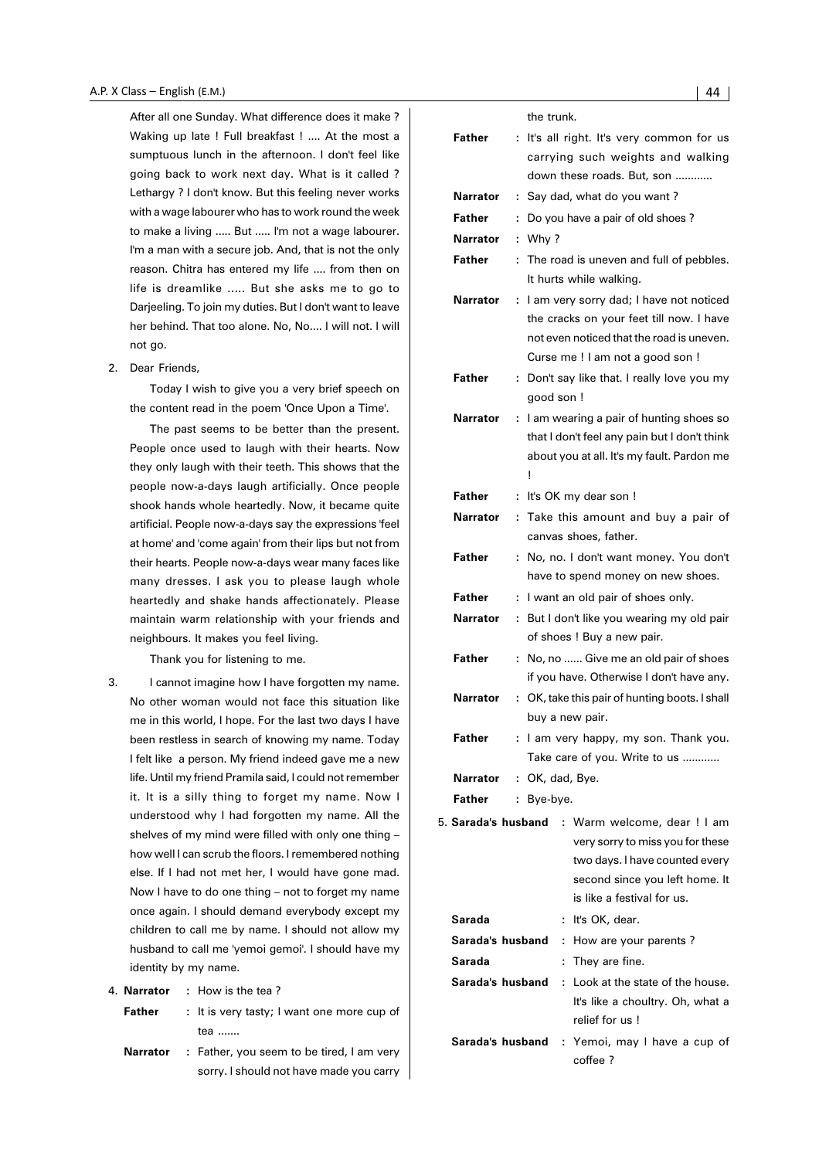After all one Sunday. What difference does it make ? Waking up late ! Full breakfast ! .... At the most a sumptuous lunch in the afternoon. I don't feel like going back to work next day. What is it called ? Lethargy ? I don't know. But this feeling never works with a wage labourer who has to work round the week to make a living ..... But ..... I'm not a wage labourer. I'm a man with a secure job. And, that is not the only reason. Chitra has entered my life .... from then on life is dreamlike ..... But she asks me to go to Darjeeling. To join my duties. But I don't want to leave her behind. That too alone. No, No.... I will not. I will not go.

2. Dear Friends,

Today I wish to give you a very brief speech on the content read in the poem 'Once Upon a Time'.

The past seems to be better than the present. People once used to laugh with their hearts. Now they only laugh with their teeth. This shows that the people now-a-days laugh artificially. Once people shook hands whole heartedly. Now, it became quite artificial. People now-a-days say the expressions 'feel at home' and 'come again' from their lips but not from their hearts. People now-a-days wear many faces like many dresses. I ask you to please laugh whole heartedly and shake hands affectionately. Please maintain warm relationship with your friends and neighbours. It makes you feel living.

Thank you for listening to me.

3. I cannot imagine how I have forgotten my name. No other woman would not face this situation like me in this world, I hope. For the last two days I have been restless in search of knowing my name. Today I felt like a person. My friend indeed gave me a new life. Until my friend Pramila said, I could not remember it. It is a silly thing to forget my name. Now I understood why I had forgotten my name. All the shelves of my mind were filled with only one thing – how well I can scrub the floors. I remembered nothing else. If I had not met her, I would have gone mad. Now I have to do one thing – not to forget my name once again. I should demand everybody except my children to call me by name. I should not allow my husband to call me 'yemoi gemoi'. I should have my identity by my name.

| 4. Narrator | How is the tea? |  |
|-------------|-----------------|--|
|             |                 |  |
|             |                 |  |

- **Father** : It is very tasty; I want one more cup of tea .......
- **Narrator :** Father, you seem to be tired, I am very sorry. I should not have made you carry

|                  |    | the trunk.                                                             |  |
|------------------|----|------------------------------------------------------------------------|--|
| Father           | ÷  | It's all right. It's very common for us                                |  |
|                  |    | carrying such weights and walking                                      |  |
|                  |    | down these roads. But, son                                             |  |
| Narrator         | ÷  | Say dad, what do you want?                                             |  |
| Father           | ÷  | Do you have a pair of old shoes?                                       |  |
| <b>Narrator</b>  | ÷  | Why ?                                                                  |  |
| Father           | ÷. | The road is uneven and full of pebbles.                                |  |
|                  |    | It hurts while walking.                                                |  |
| Narrator         | ÷  | I am very sorry dad; I have not noticed                                |  |
|                  |    | the cracks on your feet till now. I have                               |  |
|                  |    | not even noticed that the road is uneven.                              |  |
|                  |    | Curse me ! I am not a good son !                                       |  |
| Father           | ÷  | Don't say like that. I really love you my                              |  |
|                  |    | good son !                                                             |  |
| Narrator         | ÷  | I am wearing a pair of hunting shoes so                                |  |
|                  |    | that I don't feel any pain but I don't think                           |  |
|                  |    | about you at all. It's my fault. Pardon me                             |  |
|                  |    | Ţ                                                                      |  |
| <b>Father</b>    | ÷  | It's OK my dear son !                                                  |  |
| Narrator         | ÷. | Take this amount and buy a pair of                                     |  |
|                  |    | canvas shoes, father.                                                  |  |
| Father           | ÷  | No, no. I don't want money. You don't                                  |  |
| Father           |    | have to spend money on new shoes.                                      |  |
|                  | ÷  | I want an old pair of shoes only.                                      |  |
| Narrator         | ÷  | But I don't like you wearing my old pair<br>of shoes ! Buy a new pair. |  |
| Father           | ÷  | No, no  Give me an old pair of shoes                                   |  |
|                  |    | if you have. Otherwise I don't have any.                               |  |
| Narrator         | ÷  | OK, take this pair of hunting boots. I shall                           |  |
|                  |    | buy a new pair.                                                        |  |
| Father           |    | : I am very happy, my son. Thank you.                                  |  |
|                  |    | Take care of you. Write to us                                          |  |
| Narrator         |    | : OK, dad, Bye.                                                        |  |
| <b>Father</b>    |    | : Bye-bye.                                                             |  |
|                  |    | 5. <b>Sarada's husband</b> : Warm welcome, dear ! I am                 |  |
|                  |    | very sorry to miss you for these                                       |  |
|                  |    | two days. I have counted every                                         |  |
|                  |    | second since you left home. It                                         |  |
|                  |    | is like a festival for us.                                             |  |
| Sarada           |    | It's OK, dear.<br>÷                                                    |  |
| Sarada's husband |    | How are your parents?<br>t.                                            |  |
| Sarada           |    | They are fine.<br>÷.                                                   |  |
| Sarada's husband |    | Look at the state of the house.<br>÷                                   |  |
|                  |    | It's like a choultry. Oh, what a                                       |  |
|                  |    | relief for us !                                                        |  |
| Sarada's husband |    | : Yemoi, may I have a cup of                                           |  |
|                  |    | coffee ?                                                               |  |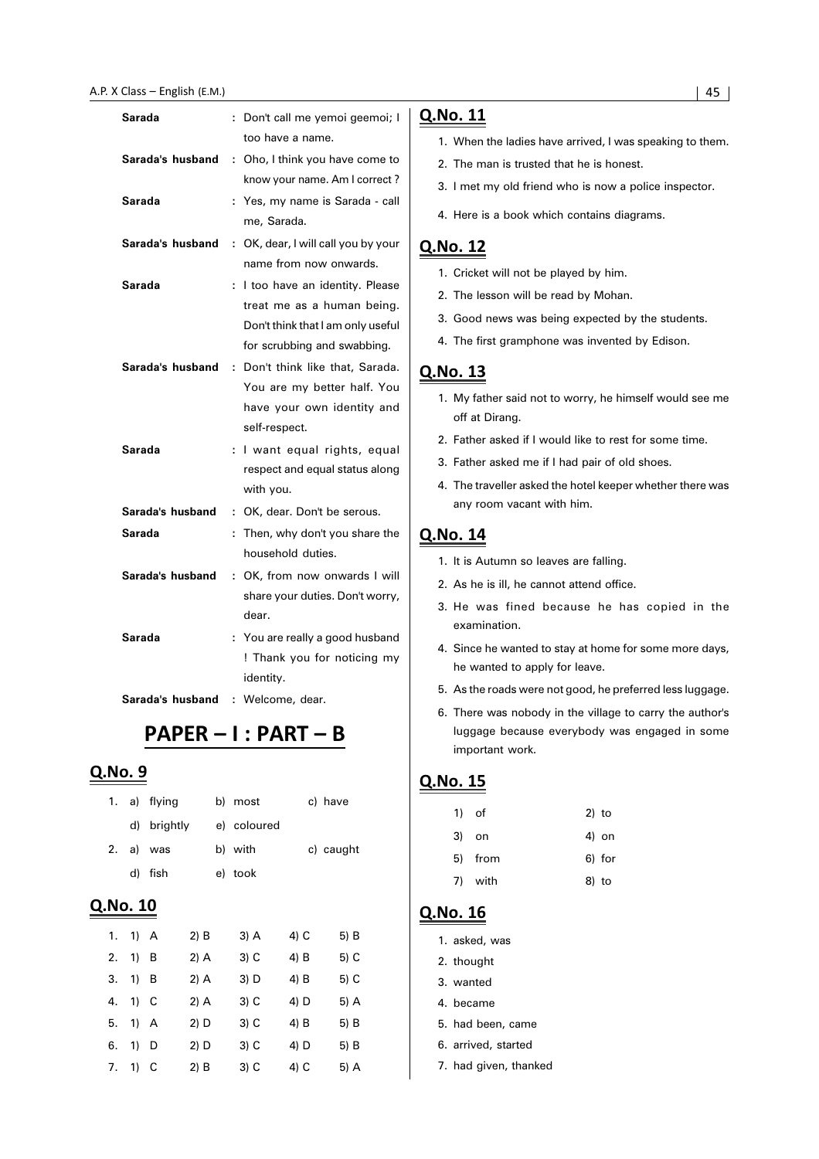#### A.P. X Class – English (E.M.) (2008) 2014 - 2022 - 2022 2023 2024 2022 2023 2024 2022 2023 2024 2022 2023 2024

| Sarada           | ÷. | Don't call me yemoi geemoi; I     |
|------------------|----|-----------------------------------|
|                  |    | too have a name.                  |
| Sarada's husband | ÷  | Oho, I think you have come to     |
|                  |    | know your name. Am I correct?     |
| Sarada           | ÷. | Yes, my name is Sarada - call     |
|                  |    | me, Sarada.                       |
| Sarada's husband | ÷. | OK, dear, I will call you by your |
|                  |    | name from now onwards.            |
| Sarada           | ÷. | I too have an identity. Please    |
|                  |    | treat me as a human being.        |
|                  |    | Don't think that I am only useful |
|                  |    | for scrubbing and swabbing.       |
| Sarada's husband |    | : Don't think like that, Sarada.  |
|                  |    | You are my better half. You       |
|                  |    | have your own identity and        |
|                  |    | self-respect.                     |
| Sarada           | ÷. | I want equal rights, equal        |
|                  |    | respect and equal status along    |
|                  |    | with you.                         |
| Sarada's husband | t. | OK, dear. Don't be serous.        |
| Sarada           | t  | Then, why don't you share the     |
|                  |    | household duties.                 |
| Sarada's husband |    | : OK, from now onwards I will     |
|                  |    | share your duties. Don't worry,   |
|                  |    | dear.                             |
| Sarada           |    | : You are really a good husband   |
|                  |    | ! Thank you for noticing my       |
|                  |    | identity.                         |
| Sarada's husband | ÷  | Welcome, dear.                    |

## PAPER - I : PART - B

#### Q.No. 9

| 1.       |        | a) flying |        | b) most     |        | c) have   |
|----------|--------|-----------|--------|-------------|--------|-----------|
|          | d)     | brightly  |        | e) coloured |        |           |
| 2.       |        | a) was    |        | b) with     |        | c) caught |
|          | d)     | fish      |        | e) took     |        |           |
| Q.No. 10 |        |           |        |             |        |           |
| 1.       | $1)$ A |           | $2)$ B | 3) A        | $4)$ C | 5) B      |
| 2.       | 1)     | B         | $2)$ A | 3) C        | 4) B   | 5) C      |
| 3.       | 1)     | в         | $2)$ A | 3) D        | 4) B   | 5) C      |
| 4.       | 1)     | С         | $2)$ A | $3)$ C      | 4) D   | 5) A      |
| 5.       | 1) A   |           | 2) D   | 3) C        | 4) B   | 5) B      |
| 6.       | 1)     | D         | 2) D   | $3)$ C      | 4) D   | 5) B      |

7. 1) C 2) B 3) C 4) C 5) A

#### Q.No. 11

- 1. When the ladies have arrived, I was speaking to them.
- 2. The man is trusted that he is honest.
- 3. I met my old friend who is now a police inspector.
- 4. Here is a book which contains diagrams.

#### Q.No. 12

- 1. Cricket will not be played by him.
- 2. The lesson will be read by Mohan.
- 3. Good news was being expected by the students.
- 4. The first gramphone was invented by Edison.

### Q.No. 13

- 1. My father said not to worry, he himself would see me off at Dirang.
- 2. Father asked if I would like to rest for some time.
- 3. Father asked me if I had pair of old shoes.
- 4. The traveller asked the hotel keeper whether there was any room vacant with him.

#### Q.No. 14

- 1. It is Autumn so leaves are falling.
- 2. As he is ill, he cannot attend office.
- 3. He was fined because he has copied in the examination.
- 4. Since he wanted to stay at home for some more days, he wanted to apply for leave.
- 5. As the roads were not good, he preferred less luggage.
- 6. There was nobody in the village to carry the author's luggage because everybody was engaged in some important work.

#### Q.No. 15

| 1) of |         | $2)$ to |
|-------|---------|---------|
| 3) on |         | 4) on   |
|       | 5) from | 6) for  |
|       | 7) with | 8) to   |
|       |         |         |

- 1. asked, was
- 2. thought
- 3. wanted
- 4. became
- 5. had been, came
- 6. arrived, started
- 7. had given, thanked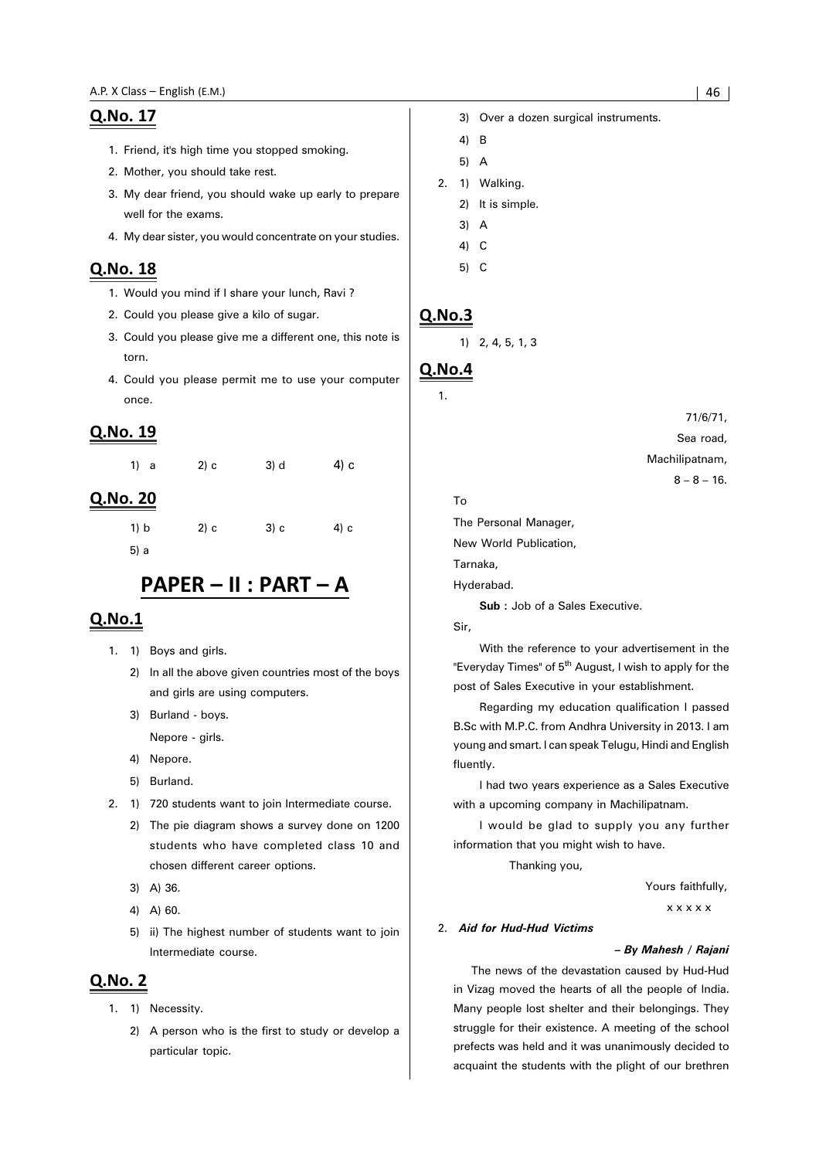- 1. Friend, it's high time you stopped smoking.
- 2. Mother, you should take rest.
- 3. My dear friend, you should wake up early to prepare well for the exams.
- 4. My dear sister, you would concentrate on your studies.

#### Q.No. 18

- 1. Would you mind if I share your lunch, Ravi ?
- 2. Could you please give a kilo of sugar.
- 3. Could you please give me a different one, this note is torn.
- 4. Could you please permit me to use your computer once.

#### **Q.No. 19**

| 1) a | 2) c | 3) d | 4) c |
|------|------|------|------|
|      |      |      |      |

#### Q.No. 20

1) b 2) c 3) c 4) c 5) a

## PAPER - II : PART - A

#### Q.No.1

- 1. 1) Boys and girls.
	- 2) In all the above given countries most of the boys and girls are using computers.
	- 3) Burland boys.
		- Nepore girls.
	- 4) Nepore.
	- 5) Burland.
- 2. 1) 720 students want to join Intermediate course.
	- 2) The pie diagram shows a survey done on 1200 students who have completed class 10 and chosen different career options.
	- 3) A) 36.
	- 4) A) 60.
	- 5) ii) The highest number of students want to join Intermediate course.

#### **Q.No. 2**

- 1. 1) Necessity.
	- 2) A person who is the first to study or develop a particular topic.
- 3) Over a dozen surgical instruments.
- 4) B
- 5) A
- 2. 1) Walking.
	- 2) It is simple.
	- 3) A
	- 4) C
	- 5) C

#### $Q.No.3$

1) 2, 4, 5, 1, 3

### **Q.No.4**

1.

71/6/71, Sea road, Machilipatnam,  $8 - 8 - 16$ .

#### To

The Personal Manager,

New World Publication,

Tarnaka,

Hyderabad.

**Sub :** Job of a Sales Executive.

Sir,

With the reference to your advertisement in the "Everyday Times" of 5<sup>th</sup> August, I wish to apply for the post of Sales Executive in your establishment.

Regarding my education qualification I passed B.Sc with M.P.C. from Andhra University in 2013. I am young and smart. I can speak Telugu, Hindi and English fluently.

I had two years experience as a Sales Executive with a upcoming company in Machilipatnam.

I would be glad to supply you any further information that you might wish to have.

Thanking you,

Yours faithfully,

x x x x x

#### 2. *Aid for Hud-Hud Victims*

#### *– By Mahesh / Rajani*

The news of the devastation caused by Hud-Hud in Vizag moved the hearts of all the people of India. Many people lost shelter and their belongings. They struggle for their existence. A meeting of the school prefects was held and it was unanimously decided to acquaint the students with the plight of our brethren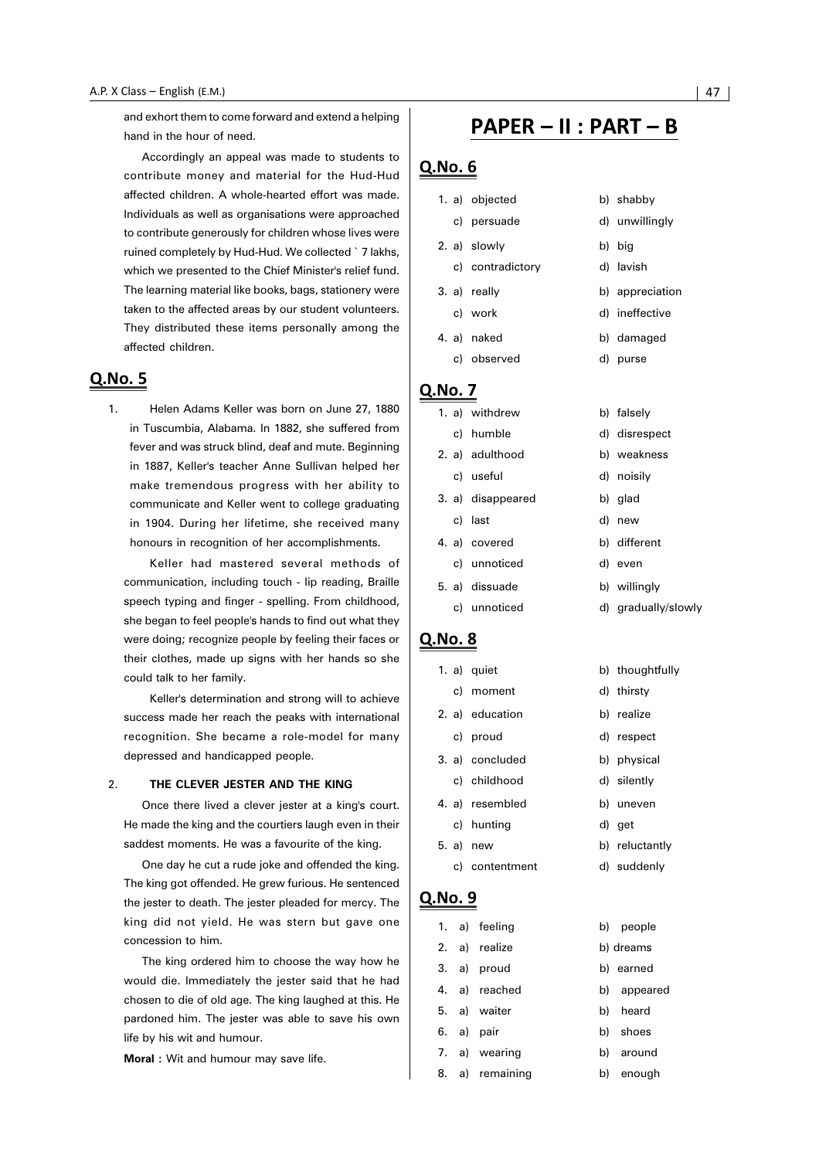and exhort them to come forward and extend a helping hand in the hour of need.

Accordingly an appeal was made to students to contribute money and material for the Hud-Hud affected children. A whole-hearted effort was made. Individuals as well as organisations were approached to contribute generously for children whose lives were ruined completely by Hud-Hud. We collected ` 7 lakhs, which we presented to the Chief Minister's relief fund. The learning material like books, bags, stationery were taken to the affected areas by our student volunteers. They distributed these items personally among the affected children.

#### Q.No. 5

1. Helen Adams Keller was born on June 27, 1880 in Tuscumbia, Alabama. In 1882, she suffered from fever and was struck blind, deaf and mute. Beginning in 1887, Keller's teacher Anne Sullivan helped her make tremendous progress with her ability to communicate and Keller went to college graduating in 1904. During her lifetime, she received many honours in recognition of her accomplishments.

Keller had mastered several methods of communication, including touch - lip reading, Braille speech typing and finger - spelling. From childhood, she began to feel people's hands to find out what they were doing; recognize people by feeling their faces or their clothes, made up signs with her hands so she could talk to her family.

Keller's determination and strong will to achieve success made her reach the peaks with international recognition. She became a role-model for many depressed and handicapped people.

#### 2. **THE CLEVER JESTER AND THE KING**

Once there lived a clever jester at a king's court. He made the king and the courtiers laugh even in their saddest moments. He was a favourite of the king.

One day he cut a rude joke and offended the king. The king got offended. He grew furious. He sentenced the jester to death. The jester pleaded for mercy. The king did not yield. He was stern but gave one concession to him.

The king ordered him to choose the way how he would die. Immediately the jester said that he had chosen to die of old age. The king laughed at this. He pardoned him. The jester was able to save his own life by his wit and humour.

**Moral :** Wit and humour may save life.

## PAPER – II : PART – B

#### Q.No. 6

Q.No. 1.  $a)$ 

|              |  | 1. a) objected    |  | b) shabby       |  |  |  |
|--------------|--|-------------------|--|-----------------|--|--|--|
|              |  | c) persuade       |  | d) unwillingly  |  |  |  |
|              |  | 2. a) slowly      |  | b) big          |  |  |  |
|              |  | c) contradictory  |  | d) lavish       |  |  |  |
|              |  | 3. a) really      |  | b) appreciation |  |  |  |
|              |  | c) work           |  | d) ineffective  |  |  |  |
|              |  | 4. a) naked       |  | b) damaged      |  |  |  |
|              |  | c) observed       |  | d) purse        |  |  |  |
| <b>No. 7</b> |  |                   |  |                 |  |  |  |
|              |  | 1. a) withdrew    |  | b) falsely      |  |  |  |
|              |  | c) humble         |  | d) disrespect   |  |  |  |
|              |  | 2. a) adulthood   |  | b) weakness     |  |  |  |
|              |  | c) useful         |  | d) noisily      |  |  |  |
|              |  | 3. a) disappeared |  | b) glad         |  |  |  |

c) last d) new 4. a) covered b) different

- c) unnoticed d) even
- 5. a) dissuade b) willingly
	- c) unnoticed d) gradually/slowly

#### Q.No. 8

|  | 1. a) quiet     | b) thoughtfully |
|--|-----------------|-----------------|
|  | c) moment       | d) thirsty      |
|  | 2. a) education | b) realize      |
|  | c) proud        | d) respect      |
|  | 3. a) concluded | b) physical     |
|  | c) childhood    | d) silently     |
|  | 4. a) resembled | b) uneven       |
|  | c) hunting      | d) get          |
|  | 5. a) new       | b) reluctantly  |
|  |                 |                 |

c) contentment d) suddenly

|    | 1. a) feeling |     | b) people   |  |  |
|----|---------------|-----|-------------|--|--|
|    | 2. a) realize |     | b) dreams   |  |  |
|    | 3. a) proud   |     | b) earned   |  |  |
|    | 4. a) reached |     | b) appeared |  |  |
|    | 5. a) waiter  | b). | heard       |  |  |
|    | 6. a) pair    |     | b) shoes    |  |  |
|    | 7. a) wearing |     | b) around   |  |  |
| 8. | a) remaining  | b)  | enough      |  |  |